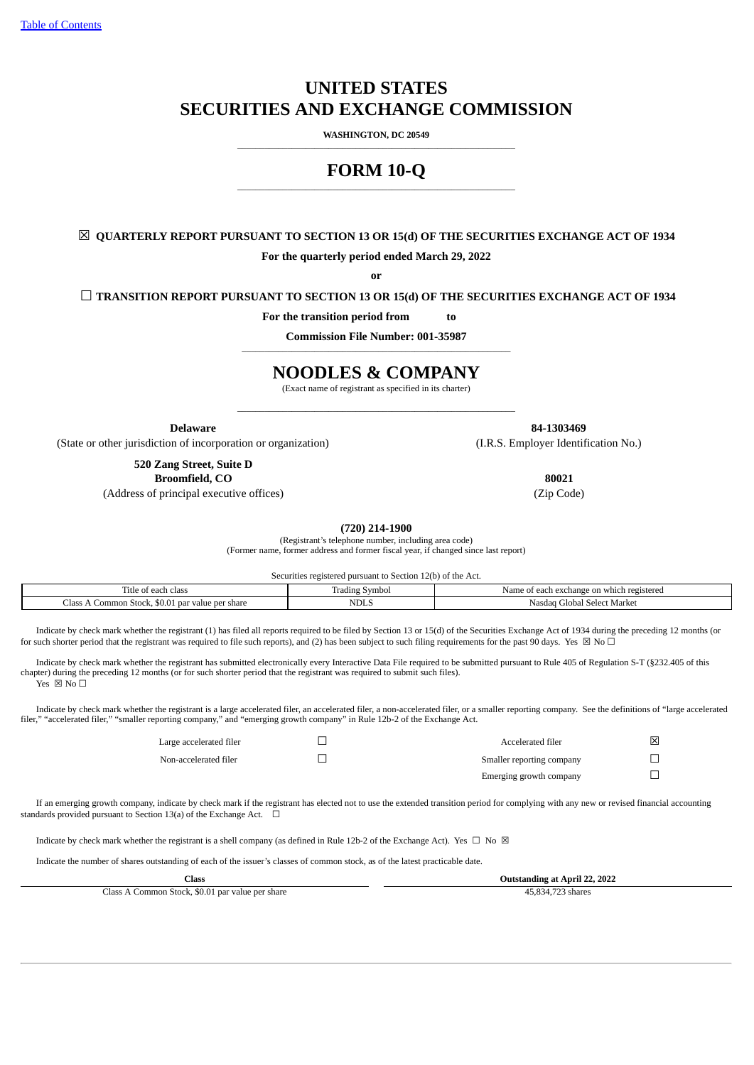# **UNITED STATES SECURITIES AND EXCHANGE COMMISSION**

**WASHINGTON, DC 20549** \_\_\_\_\_\_\_\_\_\_\_\_\_\_\_\_\_\_\_\_\_\_\_\_\_\_\_\_\_\_\_\_\_\_\_\_\_\_\_\_\_\_\_\_\_\_\_\_\_\_\_\_\_\_\_\_\_\_\_\_\_

## **FORM 10-Q** \_\_\_\_\_\_\_\_\_\_\_\_\_\_\_\_\_\_\_\_\_\_\_\_\_\_\_\_\_\_\_\_\_\_\_\_\_\_\_\_\_\_\_\_\_\_\_\_\_\_\_\_\_\_\_\_\_\_\_\_\_

☒ **QUARTERLY REPORT PURSUANT TO SECTION 13 OR 15(d) OF THE SECURITIES EXCHANGE ACT OF 1934**

**For the quarterly period ended March 29, 2022**

**or**

☐ **TRANSITION REPORT PURSUANT TO SECTION 13 OR 15(d) OF THE SECURITIES EXCHANGE ACT OF 1934**

**For the transition period from to**

**Commission File Number: 001-35987**  $\overline{\phantom{a}}$  , and the contribution of the contribution of the contribution of the contribution of the contribution of the contribution of the contribution of the contribution of the contribution of the contribution of the

# **NOODLES & COMPANY**

(Exact name of registrant as specified in its charter) \_\_\_\_\_\_\_\_\_\_\_\_\_\_\_\_\_\_\_\_\_\_\_\_\_\_\_\_\_\_\_\_\_\_\_\_\_\_\_\_\_\_\_\_\_\_\_\_\_\_\_\_\_\_\_\_\_\_\_\_\_

(State or other jurisdiction of incorporation or organization) (I.R.S. Employer Identification No.)

**520 Zang Street, Suite D Broomfield, CO 80021**

(Address of principal executive offices) (Zip Code)

**(720) 214-1900**

(Registrant's telephone number, including area code) (Former name, former address and former fiscal year, if changed since last report)

| Title<br>class<br>each<br>Ωt                                              | <b>CONTRACTOR</b><br>Symbol | f each exchange on which registered<br>Name<br>$\cdot$ |  |  |  |  |
|---------------------------------------------------------------------------|-----------------------------|--------------------------------------------------------|--|--|--|--|
| Class<br><b>SO.O</b><br>Jommon Stock.<br>share<br>per :<br>par<br>" valu. | <b>NDLS</b><br>$\sim$       | t Market.<br>. Select<br>Tobal<br>Nasdad               |  |  |  |  |

Indicate by check mark whether the registrant (1) has filed all reports required to be filed by Section 13 or 15(d) of the Securities Exchange Act of 1934 during the preceding 12 months (or for such shorter period that the registrant was required to file such reports), and (2) has been subject to such filing requirements for the past 90 days. Yes  $\boxtimes$  No  $\Box$ 

Indicate by check mark whether the registrant has submitted electronically every Interactive Data File required to be submitted pursuant to Rule 405 of Regulation S-T (§232.405 of this chapter) during the preceding 12 months (or for such shorter period that the registrant was required to submit such files). Yes  $\boxtimes$  No  $\Box$ 

Indicate by check mark whether the registrant is a large accelerated filer, an accelerated filer, a non-accelerated filer, or a smaller reporting company. See the definitions of "large accelerated filer," "accelerated filer," "smaller reporting company," and "emerging growth company" in Rule 12b-2 of the Exchange Act.

| Large accelerated filer | Accelerated filer         | ⊠ |
|-------------------------|---------------------------|---|
| Non-accelerated filer   | Smaller reporting company |   |
|                         | Emerging growth company   |   |

If an emerging growth company, indicate by check mark if the registrant has elected not to use the extended transition period for complying with any new or revised financial accounting standards provided pursuant to Section 13(a) of the Exchange Act.  $\Box$ 

Indicate by check mark whether the registrant is a shell company (as defined in Rule 12b-2 of the Exchange Act). Yes  $\Box$  No  $\boxtimes$ 

<span id="page-0-0"></span>Indicate the number of shares outstanding of each of the issuer's classes of common stock, as of the latest practicable date.

**Class Outstanding at April 22, 2022**

Class A Common Stock, \$0.01 par value per share 45,834,723 shares

**Delaware 84-1303469**

Securities registered pursuant to Section 12(b) of the Act.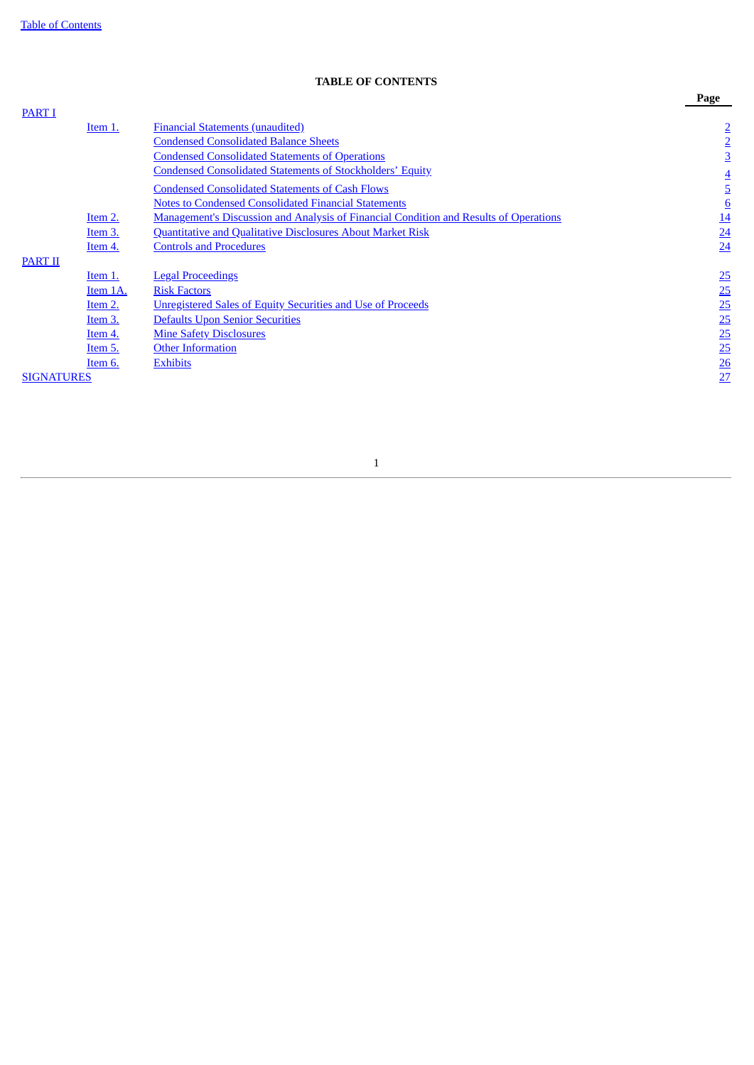# **TABLE OF CONTENTS**

<span id="page-1-0"></span>

|                   |          |                                                                                              | Page           |
|-------------------|----------|----------------------------------------------------------------------------------------------|----------------|
| <b>PART I</b>     |          |                                                                                              |                |
|                   | Item 1.  | <b>Financial Statements (unaudited)</b>                                                      | $\overline{2}$ |
|                   |          | <b>Condensed Consolidated Balance Sheets</b>                                                 |                |
|                   |          | <b>Condensed Consolidated Statements of Operations</b>                                       |                |
|                   |          | <b>Condensed Consolidated Statements of Stockholders' Equity</b>                             |                |
|                   |          | <b>Condensed Consolidated Statements of Cash Flows</b>                                       | <u>5</u>       |
|                   |          | <b>Notes to Condensed Consolidated Financial Statements</b>                                  | 6              |
|                   | Item 2.  | <b>Management's Discussion and Analysis of Financial Condition and Results of Operations</b> | 14             |
|                   | Item 3.  | Quantitative and Qualitative Disclosures About Market Risk                                   | 24             |
|                   | Item 4.  | <b>Controls and Procedures</b>                                                               | 24             |
| <b>PART II</b>    |          |                                                                                              |                |
|                   | Item 1.  | <b>Legal Proceedings</b>                                                                     | 25             |
|                   | Item 1A. | <b>Risk Factors</b>                                                                          | 25             |
|                   | Item 2.  | <b>Unregistered Sales of Equity Securities and Use of Proceeds</b>                           | 25             |
|                   | Item 3.  | <b>Defaults Upon Senior Securities</b>                                                       | 25             |
|                   | Item 4.  | <b>Mine Safety Disclosures</b>                                                               | 25             |
|                   | Item 5.  | <b>Other Information</b>                                                                     | 25             |
|                   | Item 6.  | <b>Exhibits</b>                                                                              | 26             |
| <b>SIGNATURES</b> |          |                                                                                              | 27             |
|                   |          |                                                                                              |                |
|                   |          |                                                                                              |                |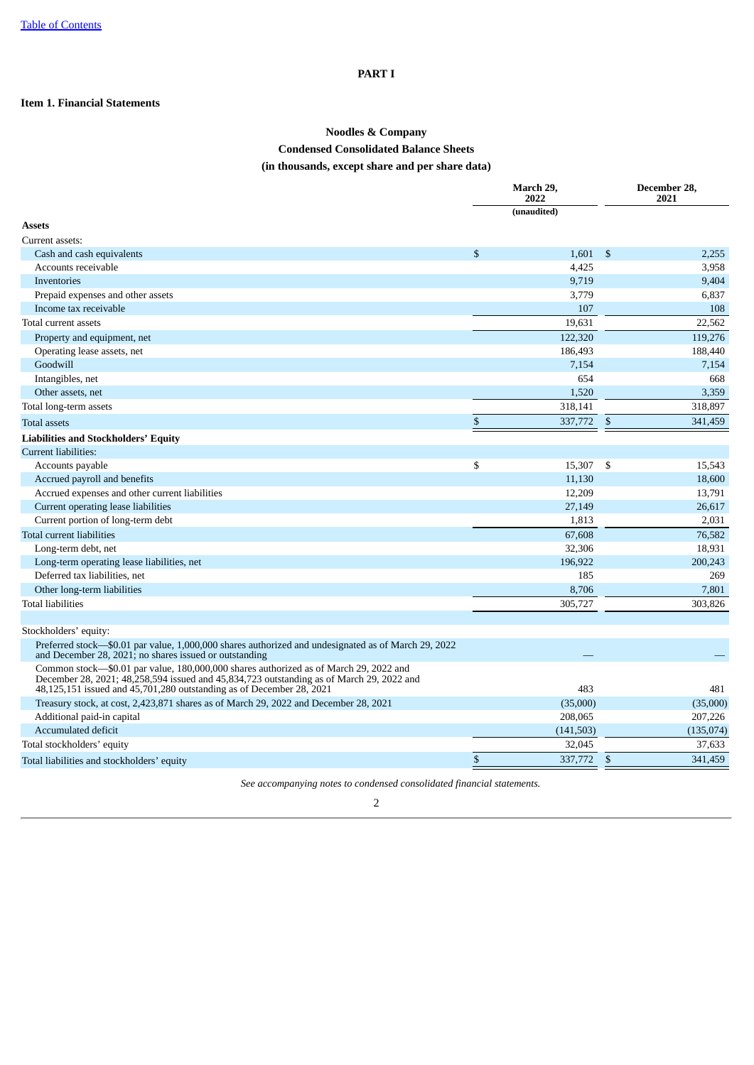## **PART I**

## <span id="page-2-1"></span><span id="page-2-0"></span>**Item 1. Financial Statements**

## **Noodles & Company Condensed Consolidated Balance Sheets**

**(in thousands, except share and per share data)**

|                                                                                                                                                                                                                                                               | March 29,<br>2022<br>(unaudited) |           |                         | December 28,<br>2021 |
|---------------------------------------------------------------------------------------------------------------------------------------------------------------------------------------------------------------------------------------------------------------|----------------------------------|-----------|-------------------------|----------------------|
| <b>Assets</b>                                                                                                                                                                                                                                                 |                                  |           |                         |                      |
| Current assets:                                                                                                                                                                                                                                               |                                  |           |                         |                      |
| Cash and cash equivalents                                                                                                                                                                                                                                     | \$                               | 1,601     | $\mathbf{\mathfrak{S}}$ | 2,255                |
| Accounts receivable                                                                                                                                                                                                                                           |                                  | 4,425     |                         | 3,958                |
| Inventories                                                                                                                                                                                                                                                   |                                  | 9,719     |                         | 9,404                |
| Prepaid expenses and other assets                                                                                                                                                                                                                             |                                  | 3,779     |                         | 6,837                |
| Income tax receivable                                                                                                                                                                                                                                         |                                  | 107       |                         | 108                  |
| Total current assets                                                                                                                                                                                                                                          |                                  | 19,631    |                         | 22,562               |
| Property and equipment, net                                                                                                                                                                                                                                   |                                  | 122,320   |                         | 119,276              |
| Operating lease assets, net                                                                                                                                                                                                                                   |                                  | 186,493   |                         | 188,440              |
| Goodwill                                                                                                                                                                                                                                                      |                                  | 7,154     |                         | 7,154                |
| Intangibles, net                                                                                                                                                                                                                                              |                                  | 654       |                         | 668                  |
| Other assets, net                                                                                                                                                                                                                                             |                                  | 1,520     |                         | 3,359                |
| Total long-term assets                                                                                                                                                                                                                                        |                                  | 318,141   |                         | 318,897              |
|                                                                                                                                                                                                                                                               | \$                               | 337,772   | \$                      | 341,459              |
| <b>Total assets</b>                                                                                                                                                                                                                                           |                                  |           |                         |                      |
| <b>Liabilities and Stockholders' Equity</b>                                                                                                                                                                                                                   |                                  |           |                         |                      |
| <b>Current liabilities:</b>                                                                                                                                                                                                                                   |                                  |           |                         |                      |
| Accounts payable                                                                                                                                                                                                                                              | \$                               | 15,307    | - \$                    | 15,543               |
| Accrued payroll and benefits                                                                                                                                                                                                                                  |                                  | 11,130    |                         | 18,600               |
| Accrued expenses and other current liabilities                                                                                                                                                                                                                |                                  | 12,209    |                         | 13,791               |
| Current operating lease liabilities                                                                                                                                                                                                                           |                                  | 27,149    |                         | 26,617               |
| Current portion of long-term debt                                                                                                                                                                                                                             |                                  | 1,813     |                         | 2,031                |
| Total current liabilities                                                                                                                                                                                                                                     |                                  | 67,608    |                         | 76,582               |
| Long-term debt, net                                                                                                                                                                                                                                           |                                  | 32,306    |                         | 18,931               |
| Long-term operating lease liabilities, net                                                                                                                                                                                                                    |                                  | 196,922   |                         | 200,243              |
| Deferred tax liabilities, net                                                                                                                                                                                                                                 |                                  | 185       |                         | 269                  |
| Other long-term liabilities                                                                                                                                                                                                                                   |                                  | 8,706     |                         | 7,801                |
| <b>Total liabilities</b>                                                                                                                                                                                                                                      |                                  | 305,727   |                         | 303.826              |
|                                                                                                                                                                                                                                                               |                                  |           |                         |                      |
| Stockholders' equity:                                                                                                                                                                                                                                         |                                  |           |                         |                      |
| Preferred stock—\$0.01 par value, 1,000,000 shares authorized and undesignated as of March 29, 2022<br>and December 28, 2021; no shares issued or outstanding                                                                                                 |                                  |           |                         |                      |
| Common stock—\$0.01 par value, 180,000,000 shares authorized as of March 29, 2022 and<br>December 28, 2021; 48, 258, 594 issued and 45, 834, 723 outstanding as of March 29, 2022 and<br>48,125,151 issued and 45,701,280 outstanding as of December 28, 2021 |                                  | 483       |                         | 481                  |
| Treasury stock, at cost, 2,423,871 shares as of March 29, 2022 and December 28, 2021                                                                                                                                                                          |                                  | (35,000)  |                         | (35,000)             |
| Additional paid-in capital                                                                                                                                                                                                                                    |                                  | 208,065   |                         | 207,226              |
| Accumulated deficit                                                                                                                                                                                                                                           |                                  | (141,503) |                         | (135,074)            |
| Total stockholders' equity                                                                                                                                                                                                                                    |                                  | 32,045    |                         | 37,633               |
| Total liabilities and stockholders' equity                                                                                                                                                                                                                    | \$                               | 337,772   | $\mathfrak{F}$          | 341,459              |
|                                                                                                                                                                                                                                                               |                                  |           |                         |                      |

<span id="page-2-2"></span>*See accompanying notes to condensed consolidated financial statements.*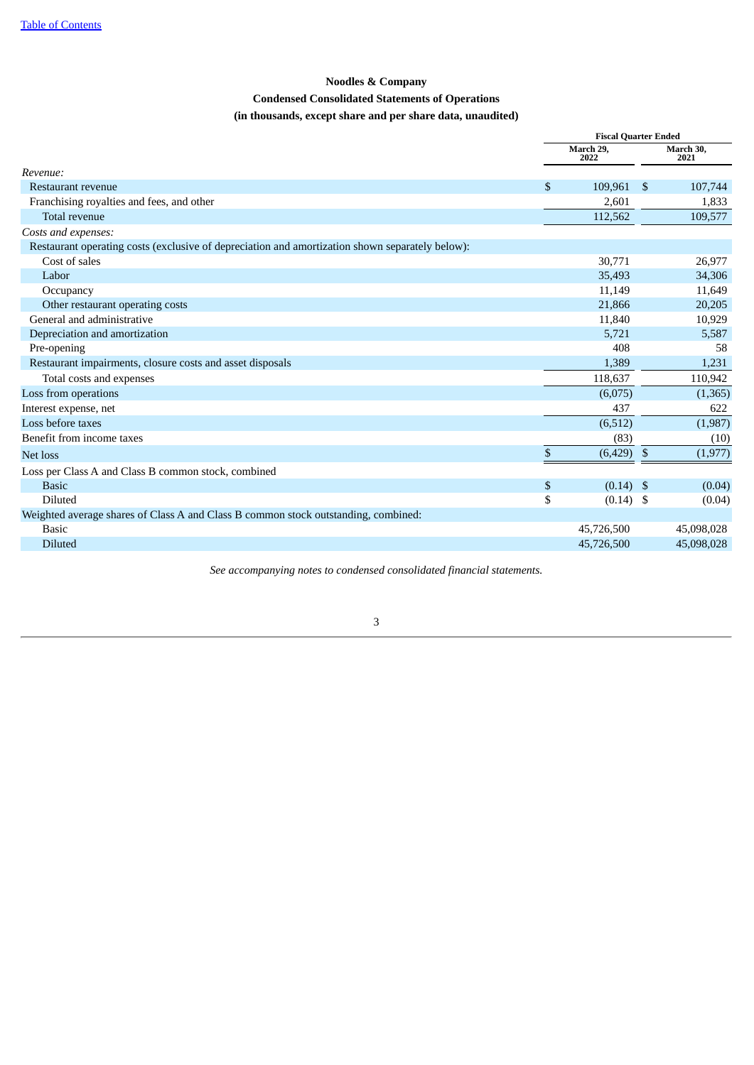## **Noodles & Company**

# **Condensed Consolidated Statements of Operations**

# **(in thousands, except share and per share data, unaudited)**

|                                                                                                 | <b>Fiscal Quarter Ended</b> |      |                   |
|-------------------------------------------------------------------------------------------------|-----------------------------|------|-------------------|
|                                                                                                 | March 29,<br>2022           |      | March 30,<br>2021 |
| Revenue:                                                                                        |                             |      |                   |
| Restaurant revenue                                                                              | \$<br>109,961               | - \$ | 107,744           |
| Franchising royalties and fees, and other                                                       | 2,601                       |      | 1,833             |
| <b>Total revenue</b>                                                                            | 112,562                     |      | 109,577           |
| Costs and expenses:                                                                             |                             |      |                   |
| Restaurant operating costs (exclusive of depreciation and amortization shown separately below): |                             |      |                   |
| Cost of sales                                                                                   | 30,771                      |      | 26,977            |
| Labor                                                                                           | 35,493                      |      | 34,306            |
| Occupancy                                                                                       | 11,149                      |      | 11,649            |
| Other restaurant operating costs                                                                | 21,866                      |      | 20,205            |
| General and administrative                                                                      | 11,840                      |      | 10,929            |
| Depreciation and amortization                                                                   | 5,721                       |      | 5,587             |
| Pre-opening                                                                                     | 408                         |      | 58                |
| Restaurant impairments, closure costs and asset disposals                                       | 1,389                       |      | 1,231             |
| Total costs and expenses                                                                        | 118,637                     |      | 110,942           |
| Loss from operations                                                                            | (6,075)                     |      | (1,365)           |
| Interest expense, net                                                                           | 437                         |      | 622               |
| Loss before taxes                                                                               | (6,512)                     |      | (1,987)           |
| Benefit from income taxes                                                                       | (83)                        |      | (10)              |
| Net loss                                                                                        | \$<br>(6,429)               | -\$  | (1, 977)          |
| Loss per Class A and Class B common stock, combined                                             |                             |      |                   |
| <b>Basic</b>                                                                                    | \$<br>$(0.14)$ \$           |      | (0.04)            |
| Diluted                                                                                         | \$<br>$(0.14)$ \$           |      | (0.04)            |
| Weighted average shares of Class A and Class B common stock outstanding, combined:              |                             |      |                   |
| <b>Basic</b>                                                                                    | 45,726,500                  |      | 45,098,028        |
| <b>Diluted</b>                                                                                  | 45,726,500                  |      | 45,098,028        |
|                                                                                                 |                             |      |                   |

<span id="page-3-0"></span>*See accompanying notes to condensed consolidated financial statements.*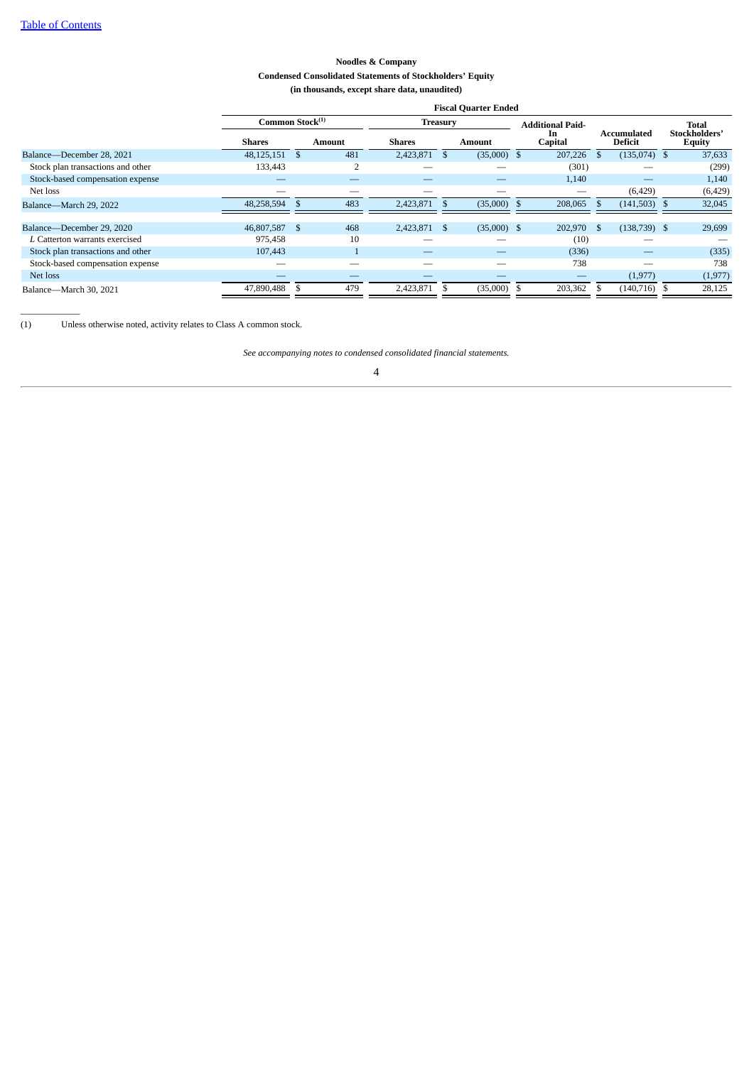$\overline{\phantom{a}}$ 

## **Noodles & Company Condensed Consolidated Statements of Stockholders' Equity (in thousands, except share data, unaudited)**

|                                   | <b>Fiscal Quarter Ended</b> |      |        |                 |           |               |      |               |     |                 |                         |          |  |                               |                               |               |
|-----------------------------------|-----------------------------|------|--------|-----------------|-----------|---------------|------|---------------|-----|-----------------|-------------------------|----------|--|-------------------------------|-------------------------------|---------------|
|                                   | Common Stock <sup>(1)</sup> |      |        | <b>Treasury</b> |           |               |      |               |     |                 | <b>Additional Paid-</b> |          |  |                               | <b>Total</b><br>Stockholders' |               |
|                                   | Shares                      |      | Amount | <b>Shares</b>   |           | Amount        |      | In<br>Capital |     |                 |                         |          |  | Accumulated<br><b>Deficit</b> |                               | <b>Equity</b> |
| Balance-December 28, 2021         | 48,125,151                  | S    | 481    | 2,423,871       | $\sim$ \$ | $(35,000)$ \$ |      | 207,226 \$    |     | $(135,074)$ \$  |                         | 37,633   |  |                               |                               |               |
| Stock plan transactions and other | 133,443                     |      |        |                 |           | --            |      | (301)         |     |                 |                         | (299)    |  |                               |                               |               |
| Stock-based compensation expense  | –                           |      |        |                 |           |               |      | 1,140         |     |                 |                         | 1,140    |  |                               |                               |               |
| Net loss                          |                             |      |        |                 |           |               |      |               |     | (6,429)         |                         | (6, 429) |  |                               |                               |               |
| Balance-March 29, 2022            | 48,258,594                  |      | 483    | 2,423,871       | -8        | (35,000)      | - 55 | 208,065       | -\$ | $(141,503)$ \$  |                         | 32,045   |  |                               |                               |               |
| Balance-December 29, 2020         | 46,807,587                  | - \$ | 468    | 2,423,871 \$    |           | $(35,000)$ \$ |      | 202,970 \$    |     | $(138,739)$ \$  |                         | 29,699   |  |                               |                               |               |
| L Catterton warrants exercised    | 975,458                     |      | 10     |                 |           |               |      | (10)          |     |                 |                         |          |  |                               |                               |               |
| Stock plan transactions and other | 107,443                     |      |        |                 |           |               |      | (336)         |     |                 |                         | (335)    |  |                               |                               |               |
| Stock-based compensation expense  |                             |      |        |                 |           |               |      | 738           |     |                 |                         | 738      |  |                               |                               |               |
| Net loss                          |                             |      |        |                 |           |               |      |               |     | (1,977)         |                         | (1, 977) |  |                               |                               |               |
| Balance-March 30, 2021            | 47,890,488                  |      | 479    | 2,423,871       |           | (35,000)      |      | 203,362       |     | $(140, 716)$ \$ |                         | 28,125   |  |                               |                               |               |

<span id="page-4-0"></span>(1) Unless otherwise noted, activity relates to Class A common stock.

*See accompanying notes to condensed consolidated financial statements.*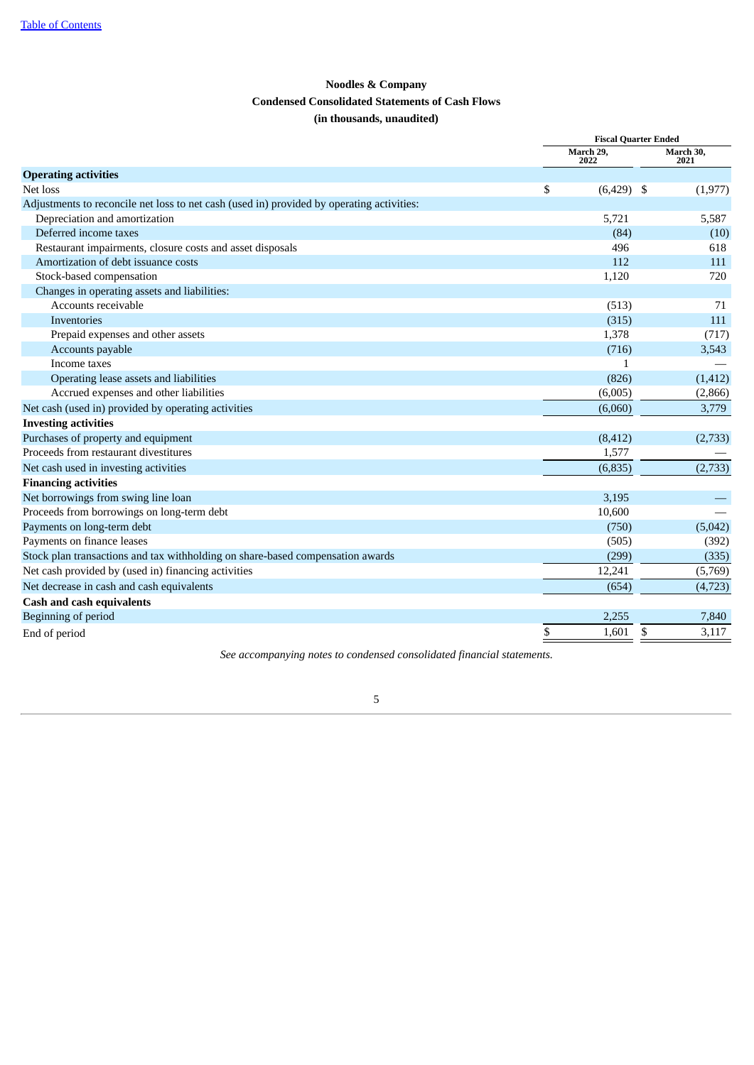# **Noodles & Company Condensed Consolidated Statements of Cash Flows (in thousands, unaudited)**

|                                                                                           | <b>Fiscal Quarter Ended</b> |    |                   |  |
|-------------------------------------------------------------------------------------------|-----------------------------|----|-------------------|--|
|                                                                                           | March 29,<br>2022           |    | March 30.<br>2021 |  |
| <b>Operating activities</b>                                                               |                             |    |                   |  |
| Net loss                                                                                  | \$<br>$(6,429)$ \$          |    | (1, 977)          |  |
| Adjustments to reconcile net loss to net cash (used in) provided by operating activities: |                             |    |                   |  |
| Depreciation and amortization                                                             | 5,721                       |    | 5,587             |  |
| Deferred income taxes                                                                     | (84)                        |    | (10)              |  |
| Restaurant impairments, closure costs and asset disposals                                 | 496                         |    | 618               |  |
| Amortization of debt issuance costs                                                       | 112                         |    | 111               |  |
| Stock-based compensation                                                                  | 1,120                       |    | 720               |  |
| Changes in operating assets and liabilities:                                              |                             |    |                   |  |
| Accounts receivable                                                                       | (513)                       |    | 71                |  |
| Inventories                                                                               | (315)                       |    | 111               |  |
| Prepaid expenses and other assets                                                         | 1,378                       |    | (717)             |  |
| Accounts payable                                                                          | (716)                       |    | 3,543             |  |
| Income taxes                                                                              |                             |    |                   |  |
| Operating lease assets and liabilities                                                    | (826)                       |    | (1, 412)          |  |
| Accrued expenses and other liabilities                                                    | (6,005)                     |    | (2,866)           |  |
| Net cash (used in) provided by operating activities                                       | (6,060)                     |    | 3,779             |  |
| <b>Investing activities</b>                                                               |                             |    |                   |  |
| Purchases of property and equipment                                                       | (8, 412)                    |    | (2,733)           |  |
| Proceeds from restaurant divestitures                                                     | 1,577                       |    |                   |  |
| Net cash used in investing activities                                                     | (6, 835)                    |    | (2,733)           |  |
| <b>Financing activities</b>                                                               |                             |    |                   |  |
| Net borrowings from swing line loan                                                       | 3,195                       |    |                   |  |
| Proceeds from borrowings on long-term debt                                                | 10,600                      |    |                   |  |
| Payments on long-term debt                                                                | (750)                       |    | (5,042)           |  |
| Payments on finance leases                                                                | (505)                       |    | (392)             |  |
| Stock plan transactions and tax withholding on share-based compensation awards            | (299)                       |    | (335)             |  |
| Net cash provided by (used in) financing activities                                       | 12,241                      |    | (5,769)           |  |
| Net decrease in cash and cash equivalents                                                 | (654)                       |    | (4, 723)          |  |
| <b>Cash and cash equivalents</b>                                                          |                             |    |                   |  |
| Beginning of period                                                                       | 2,255                       |    | 7,840             |  |
| End of period                                                                             | \$<br>1,601                 | \$ | 3,117             |  |
|                                                                                           |                             |    |                   |  |

<span id="page-5-0"></span>*See accompanying notes to condensed consolidated financial statements.*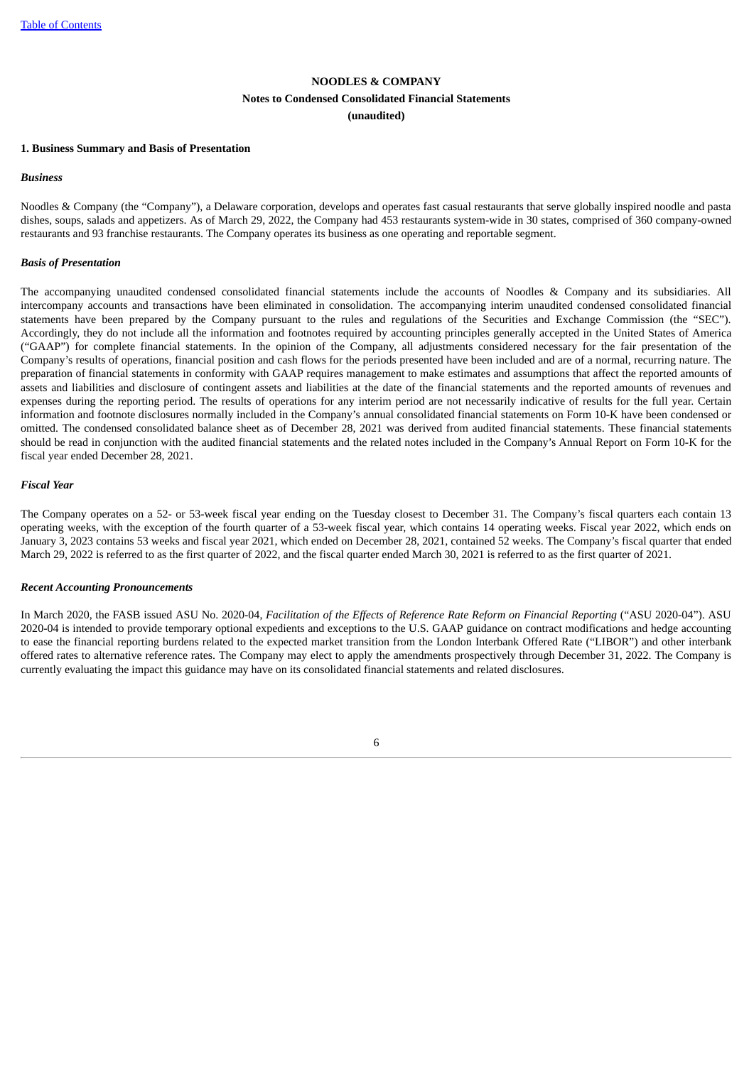### **NOODLES & COMPANY**

#### **Notes to Condensed Consolidated Financial Statements**

**(unaudited)**

#### **1. Business Summary and Basis of Presentation**

#### *Business*

Noodles & Company (the "Company"), a Delaware corporation, develops and operates fast casual restaurants that serve globally inspired noodle and pasta dishes, soups, salads and appetizers. As of March 29, 2022, the Company had 453 restaurants system-wide in 30 states, comprised of 360 company-owned restaurants and 93 franchise restaurants. The Company operates its business as one operating and reportable segment.

#### *Basis of Presentation*

The accompanying unaudited condensed consolidated financial statements include the accounts of Noodles & Company and its subsidiaries. All intercompany accounts and transactions have been eliminated in consolidation. The accompanying interim unaudited condensed consolidated financial statements have been prepared by the Company pursuant to the rules and regulations of the Securities and Exchange Commission (the "SEC"). Accordingly, they do not include all the information and footnotes required by accounting principles generally accepted in the United States of America ("GAAP") for complete financial statements. In the opinion of the Company, all adjustments considered necessary for the fair presentation of the Company's results of operations, financial position and cash flows for the periods presented have been included and are of a normal, recurring nature. The preparation of financial statements in conformity with GAAP requires management to make estimates and assumptions that affect the reported amounts of assets and liabilities and disclosure of contingent assets and liabilities at the date of the financial statements and the reported amounts of revenues and expenses during the reporting period. The results of operations for any interim period are not necessarily indicative of results for the full year. Certain information and footnote disclosures normally included in the Company's annual consolidated financial statements on Form 10-K have been condensed or omitted. The condensed consolidated balance sheet as of December 28, 2021 was derived from audited financial statements. These financial statements should be read in conjunction with the audited financial statements and the related notes included in the Company's Annual Report on Form 10-K for the fiscal year ended December 28, 2021.

#### *Fiscal Year*

The Company operates on a 52- or 53-week fiscal year ending on the Tuesday closest to December 31. The Company's fiscal quarters each contain 13 operating weeks, with the exception of the fourth quarter of a 53-week fiscal year, which contains 14 operating weeks. Fiscal year 2022, which ends on January 3, 2023 contains 53 weeks and fiscal year 2021, which ended on December 28, 2021, contained 52 weeks. The Company's fiscal quarter that ended March 29, 2022 is referred to as the first quarter of 2022, and the fiscal quarter ended March 30, 2021 is referred to as the first quarter of 2021.

#### *Recent Accounting Pronouncements*

In March 2020, the FASB issued ASU No. 2020-04, *Facilitation of the Effects of Reference Rate Reform on Financial Reporting* ("ASU 2020-04"). ASU 2020-04 is intended to provide temporary optional expedients and exceptions to the U.S. GAAP guidance on contract modifications and hedge accounting to ease the financial reporting burdens related to the expected market transition from the London Interbank Offered Rate ("LIBOR") and other interbank offered rates to alternative reference rates. The Company may elect to apply the amendments prospectively through December 31, 2022. The Company is currently evaluating the impact this guidance may have on its consolidated financial statements and related disclosures.

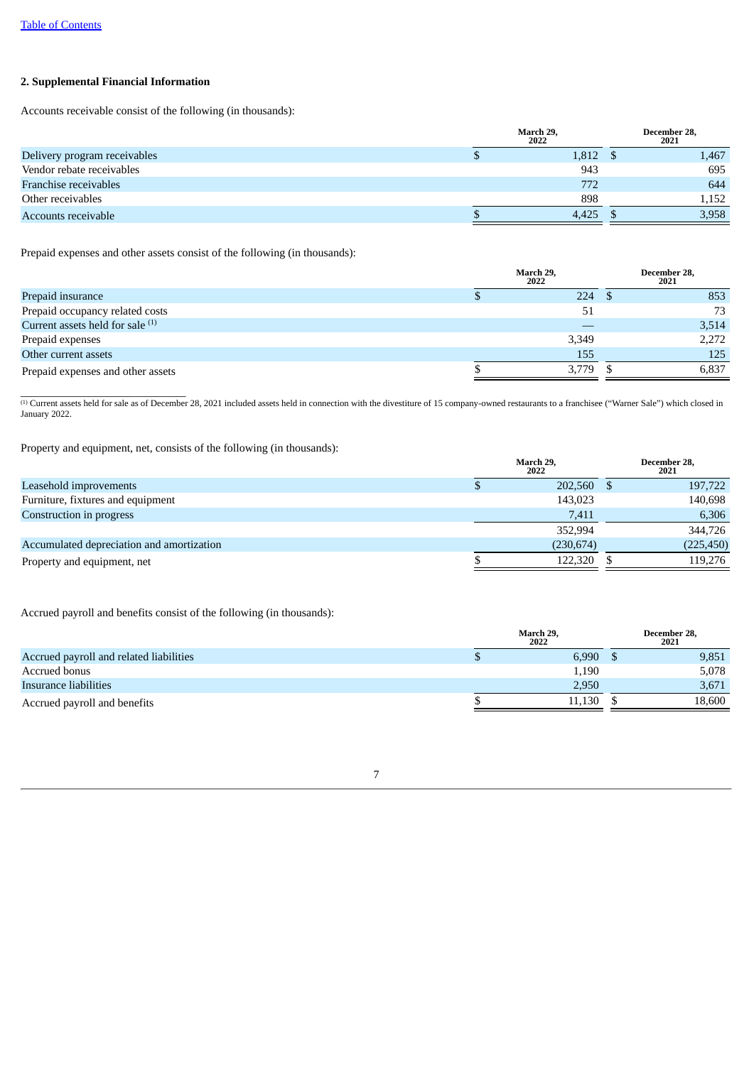## **2. Supplemental Financial Information**

Accounts receivable consist of the following (in thousands):

| December 28, |
|--------------|
| 1,467        |
| 695          |
| 644          |
| 1,152        |
| 3,958        |
|              |

Prepaid expenses and other assets consist of the following (in thousands):

|                                   | March 29,<br>2022 | December 28,<br>2021 |
|-----------------------------------|-------------------|----------------------|
| Prepaid insurance                 | 224               | 853                  |
| Prepaid occupancy related costs   | 51                | 73                   |
| Current assets held for sale (1)  |                   | 3,514                |
| Prepaid expenses                  | 3,349             | 2,272                |
| Other current assets              | 155               | 125                  |
| Prepaid expenses and other assets | 3.779             | 6,837                |

 $\_$  $\frac{(1)}{2}$  Current assets held for sale as of December 28, 2021 included assets held in connection with the divestiture of 15 company-owned restaurants to a franchisee ("Warner Sale") which closed in January 2022.

Property and equipment, net, consists of the following (in thousands):

| $\cdots$                                  |                   |                      |
|-------------------------------------------|-------------------|----------------------|
|                                           | March 29,<br>2022 | December 28,<br>2021 |
| Leasehold improvements                    | 202,560           | 197,722              |
| Furniture, fixtures and equipment         | 143,023           | 140,698              |
| Construction in progress                  | 7.411             | 6,306                |
|                                           | 352,994           | 344,726              |
| Accumulated depreciation and amortization | (230, 674)        | (225, 450)           |
| Property and equipment, net               | 122,320           | 119,276              |

Accrued payroll and benefits consist of the following (in thousands):

|                                         | March 29,<br>2022 |        | December 28,<br>2021 |
|-----------------------------------------|-------------------|--------|----------------------|
| Accrued payroll and related liabilities |                   | 6,990  | 9,851                |
| Accrued bonus                           |                   | 1,190  | 5,078                |
| Insurance liabilities                   |                   | 2.950  | 3,671                |
| Accrued payroll and benefits            |                   | 11.130 | 18,600               |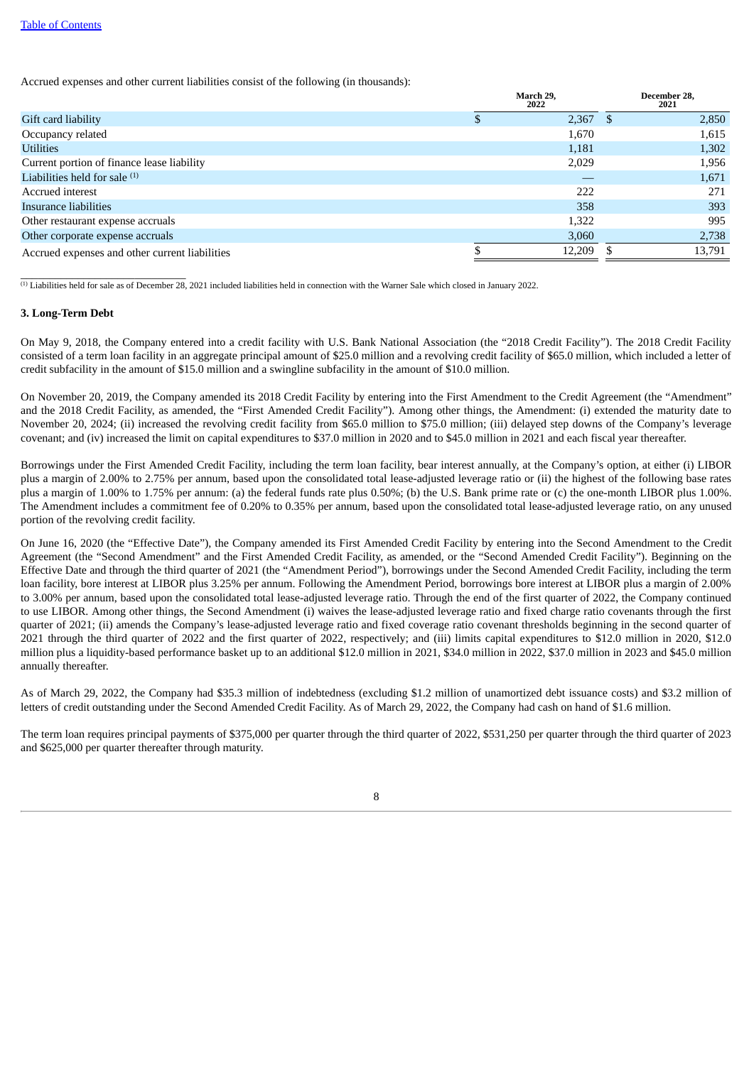## Accrued expenses and other current liabilities consist of the following (in thousands):

|                                                | March 29,<br>2022 |        | December 28,<br>2021 |
|------------------------------------------------|-------------------|--------|----------------------|
| Gift card liability                            |                   | 2,367  | 2,850<br>- 55        |
| Occupancy related                              |                   | 1,670  | 1,615                |
| <b>Utilities</b>                               |                   | 1,181  | 1,302                |
| Current portion of finance lease liability     |                   | 2,029  | 1,956                |
| Liabilities held for sale (1)                  |                   |        | 1,671                |
| Accrued interest                               |                   | 222    | 271                  |
| Insurance liabilities                          |                   | 358    | 393                  |
| Other restaurant expense accruals              |                   | 1,322  | 995                  |
| Other corporate expense accruals               |                   | 3,060  | 2,738                |
| Accrued expenses and other current liabilities |                   | 12,209 | 13,791               |

\_\_\_\_\_\_\_\_\_\_\_\_\_\_\_\_\_\_\_\_\_\_\_\_\_\_\_\_\_  $<sup>(1)</sup>$  Liabilities held for sale as of December 28, 2021 included liabilities held in connection with the Warner Sale which closed in January 2022.</sup>

## **3. Long-Term Debt**

On May 9, 2018, the Company entered into a credit facility with U.S. Bank National Association (the "2018 Credit Facility"). The 2018 Credit Facility consisted of a term loan facility in an aggregate principal amount of \$25.0 million and a revolving credit facility of \$65.0 million, which included a letter of credit subfacility in the amount of \$15.0 million and a swingline subfacility in the amount of \$10.0 million.

On November 20, 2019, the Company amended its 2018 Credit Facility by entering into the First Amendment to the Credit Agreement (the "Amendment" and the 2018 Credit Facility, as amended, the "First Amended Credit Facility"). Among other things, the Amendment: (i) extended the maturity date to November 20, 2024; (ii) increased the revolving credit facility from \$65.0 million to \$75.0 million; (iii) delayed step downs of the Company's leverage covenant; and (iv) increased the limit on capital expenditures to \$37.0 million in 2020 and to \$45.0 million in 2021 and each fiscal year thereafter.

Borrowings under the First Amended Credit Facility, including the term loan facility, bear interest annually, at the Company's option, at either (i) LIBOR plus a margin of 2.00% to 2.75% per annum, based upon the consolidated total lease-adjusted leverage ratio or (ii) the highest of the following base rates plus a margin of 1.00% to 1.75% per annum: (a) the federal funds rate plus 0.50%; (b) the U.S. Bank prime rate or (c) the one-month LIBOR plus 1.00%. The Amendment includes a commitment fee of 0.20% to 0.35% per annum, based upon the consolidated total lease-adjusted leverage ratio, on any unused portion of the revolving credit facility.

On June 16, 2020 (the "Effective Date"), the Company amended its First Amended Credit Facility by entering into the Second Amendment to the Credit Agreement (the "Second Amendment" and the First Amended Credit Facility, as amended, or the "Second Amended Credit Facility"). Beginning on the Effective Date and through the third quarter of 2021 (the "Amendment Period"), borrowings under the Second Amended Credit Facility, including the term loan facility, bore interest at LIBOR plus 3.25% per annum. Following the Amendment Period, borrowings bore interest at LIBOR plus a margin of 2.00% to 3.00% per annum, based upon the consolidated total lease-adjusted leverage ratio. Through the end of the first quarter of 2022, the Company continued to use LIBOR. Among other things, the Second Amendment (i) waives the lease-adjusted leverage ratio and fixed charge ratio covenants through the first quarter of 2021; (ii) amends the Company's lease-adjusted leverage ratio and fixed coverage ratio covenant thresholds beginning in the second quarter of 2021 through the third quarter of 2022 and the first quarter of 2022, respectively; and (iii) limits capital expenditures to \$12.0 million in 2020, \$12.0 million plus a liquidity-based performance basket up to an additional \$12.0 million in 2021, \$34.0 million in 2022, \$37.0 million in 2023 and \$45.0 million annually thereafter.

As of March 29, 2022, the Company had \$35.3 million of indebtedness (excluding \$1.2 million of unamortized debt issuance costs) and \$3.2 million of letters of credit outstanding under the Second Amended Credit Facility. As of March 29, 2022, the Company had cash on hand of \$1.6 million.

The term loan requires principal payments of \$375,000 per quarter through the third quarter of 2022, \$531,250 per quarter through the third quarter of 2023 and \$625,000 per quarter thereafter through maturity.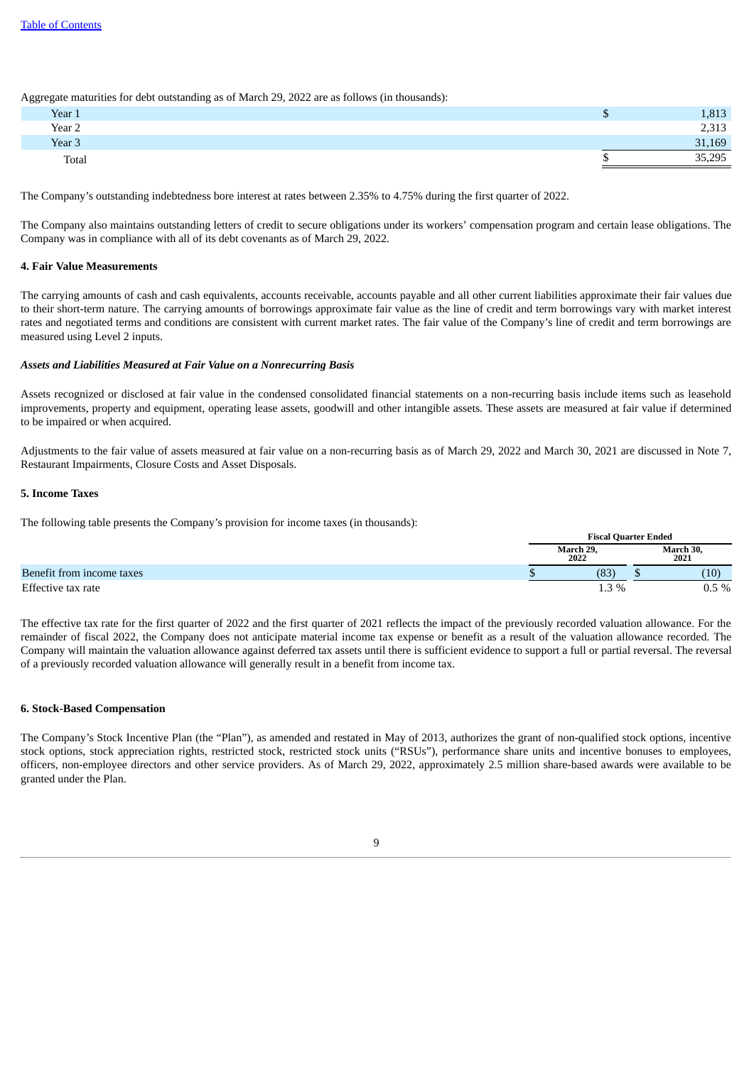Aggregate maturities for debt outstanding as of March 29, 2022 are as follows (in thousands):

| Year 1            | 012<br>1,019   |
|-------------------|----------------|
| Year 2            | 1 פופ<br>د1د,∠ |
| Year <sub>3</sub> | ,169<br>21     |
| Total             | 35,295         |

The Company's outstanding indebtedness bore interest at rates between 2.35% to 4.75% during the first quarter of 2022.

The Company also maintains outstanding letters of credit to secure obligations under its workers' compensation program and certain lease obligations. The Company was in compliance with all of its debt covenants as of March 29, 2022.

### **4. Fair Value Measurements**

The carrying amounts of cash and cash equivalents, accounts receivable, accounts payable and all other current liabilities approximate their fair values due to their short-term nature. The carrying amounts of borrowings approximate fair value as the line of credit and term borrowings vary with market interest rates and negotiated terms and conditions are consistent with current market rates. The fair value of the Company's line of credit and term borrowings are measured using Level 2 inputs.

### *Assets and Liabilities Measured at Fair Value on a Nonrecurring Basis*

Assets recognized or disclosed at fair value in the condensed consolidated financial statements on a non-recurring basis include items such as leasehold improvements, property and equipment, operating lease assets, goodwill and other intangible assets. These assets are measured at fair value if determined to be impaired or when acquired.

Adjustments to the fair value of assets measured at fair value on a non-recurring basis as of March 29, 2022 and March 30, 2021 are discussed in Note 7, Restaurant Impairments, Closure Costs and Asset Disposals.

### **5. Income Taxes**

The following table presents the Company's provision for income taxes (in thousands):

|                           | <b>Fiscal Quarter Ended</b> |                   |
|---------------------------|-----------------------------|-------------------|
|                           | March 29,<br>2022           | March 30,<br>2021 |
| Benefit from income taxes | (83)                        | (10)              |
| Effective tax rate        | $1.3\%$                     | $0.5\%$           |

The effective tax rate for the first quarter of 2022 and the first quarter of 2021 reflects the impact of the previously recorded valuation allowance. For the remainder of fiscal 2022, the Company does not anticipate material income tax expense or benefit as a result of the valuation allowance recorded. The Company will maintain the valuation allowance against deferred tax assets until there is sufficient evidence to support a full or partial reversal. The reversal of a previously recorded valuation allowance will generally result in a benefit from income tax.

#### **6. Stock-Based Compensation**

The Company's Stock Incentive Plan (the "Plan"), as amended and restated in May of 2013, authorizes the grant of non-qualified stock options, incentive stock options, stock appreciation rights, restricted stock, restricted stock units ("RSUs"), performance share units and incentive bonuses to employees, officers, non-employee directors and other service providers. As of March 29, 2022, approximately 2.5 million share-based awards were available to be granted under the Plan.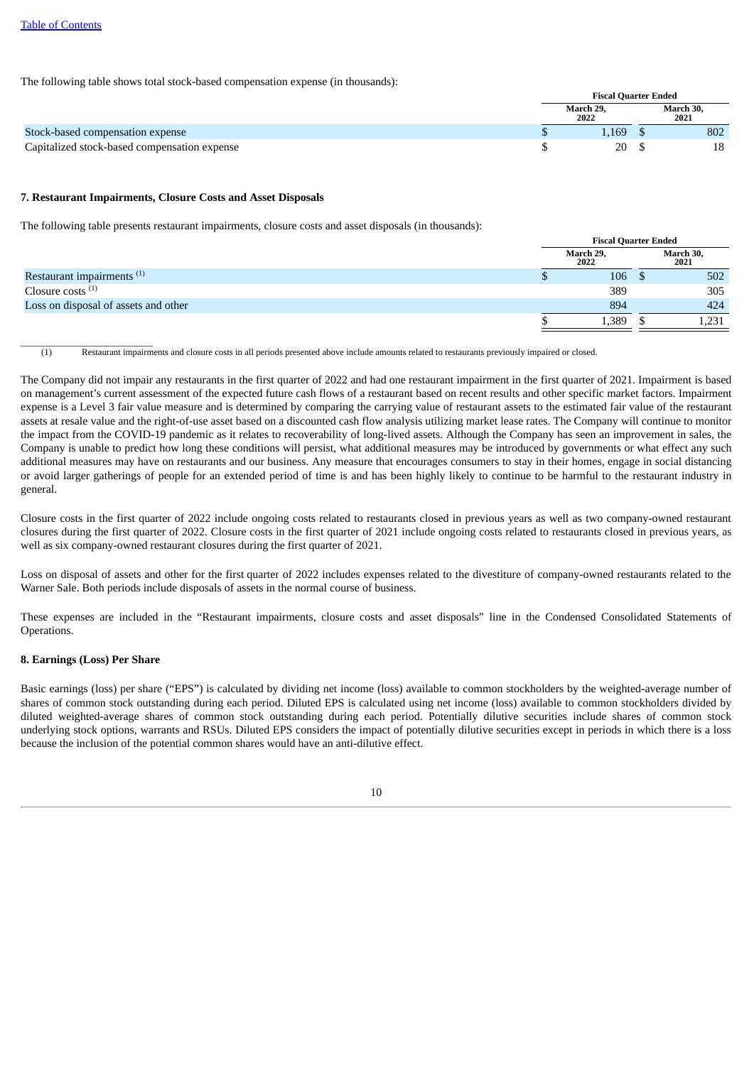The following table shows total stock-based compensation expense (in thousands):

|                                              | <b>Fiscal Quarter Ended</b> |                   |  |                   |
|----------------------------------------------|-----------------------------|-------------------|--|-------------------|
|                                              |                             | March 29.<br>2022 |  | March 30.<br>2021 |
| Stock-based compensation expense             |                             | 1.169             |  | 802               |
| Capitalized stock-based compensation expense |                             | 20                |  | 18                |

#### **7. Restaurant Impairments, Closure Costs and Asset Disposals**

The following table presents restaurant impairments, closure costs and asset disposals (in thousands):

|                                       | <b>Fiscal Quarter Ended</b> |                   |  |                   |
|---------------------------------------|-----------------------------|-------------------|--|-------------------|
|                                       |                             | March 29,<br>2022 |  | March 30,<br>2021 |
| Restaurant impairments <sup>(1)</sup> |                             | 106               |  | 502               |
| Closure costs $(1)$                   |                             | 389               |  | 305               |
| Loss on disposal of assets and other  |                             | 894               |  | 424               |
|                                       |                             | 1,389             |  | 1,231             |

(1) Restaurant impairments and closure costs in all periods presented above include amounts related to restaurants previously impaired or closed.

The Company did not impair any restaurants in the first quarter of 2022 and had one restaurant impairment in the first quarter of 2021. Impairment is based on management's current assessment of the expected future cash flows of a restaurant based on recent results and other specific market factors. Impairment expense is a Level 3 fair value measure and is determined by comparing the carrying value of restaurant assets to the estimated fair value of the restaurant assets at resale value and the right-of-use asset based on a discounted cash flow analysis utilizing market lease rates. The Company will continue to monitor the impact from the COVID-19 pandemic as it relates to recoverability of long-lived assets. Although the Company has seen an improvement in sales, the Company is unable to predict how long these conditions will persist, what additional measures may be introduced by governments or what effect any such additional measures may have on restaurants and our business. Any measure that encourages consumers to stay in their homes, engage in social distancing or avoid larger gatherings of people for an extended period of time is and has been highly likely to continue to be harmful to the restaurant industry in general.

Closure costs in the first quarter of 2022 include ongoing costs related to restaurants closed in previous years as well as two company-owned restaurant closures during the first quarter of 2022. Closure costs in the first quarter of 2021 include ongoing costs related to restaurants closed in previous years, as well as six company-owned restaurant closures during the first quarter of 2021.

Loss on disposal of assets and other for the first quarter of 2022 includes expenses related to the divestiture of company-owned restaurants related to the Warner Sale. Both periods include disposals of assets in the normal course of business.

These expenses are included in the "Restaurant impairments, closure costs and asset disposals" line in the Condensed Consolidated Statements of Operations.

## **8. Earnings (Loss) Per Share**

\_\_\_\_\_\_\_\_\_\_\_\_\_\_\_\_\_\_\_\_\_\_\_\_\_\_\_\_\_

Basic earnings (loss) per share ("EPS") is calculated by dividing net income (loss) available to common stockholders by the weighted-average number of shares of common stock outstanding during each period. Diluted EPS is calculated using net income (loss) available to common stockholders divided by diluted weighted-average shares of common stock outstanding during each period. Potentially dilutive securities include shares of common stock underlying stock options, warrants and RSUs. Diluted EPS considers the impact of potentially dilutive securities except in periods in which there is a loss because the inclusion of the potential common shares would have an anti-dilutive effect.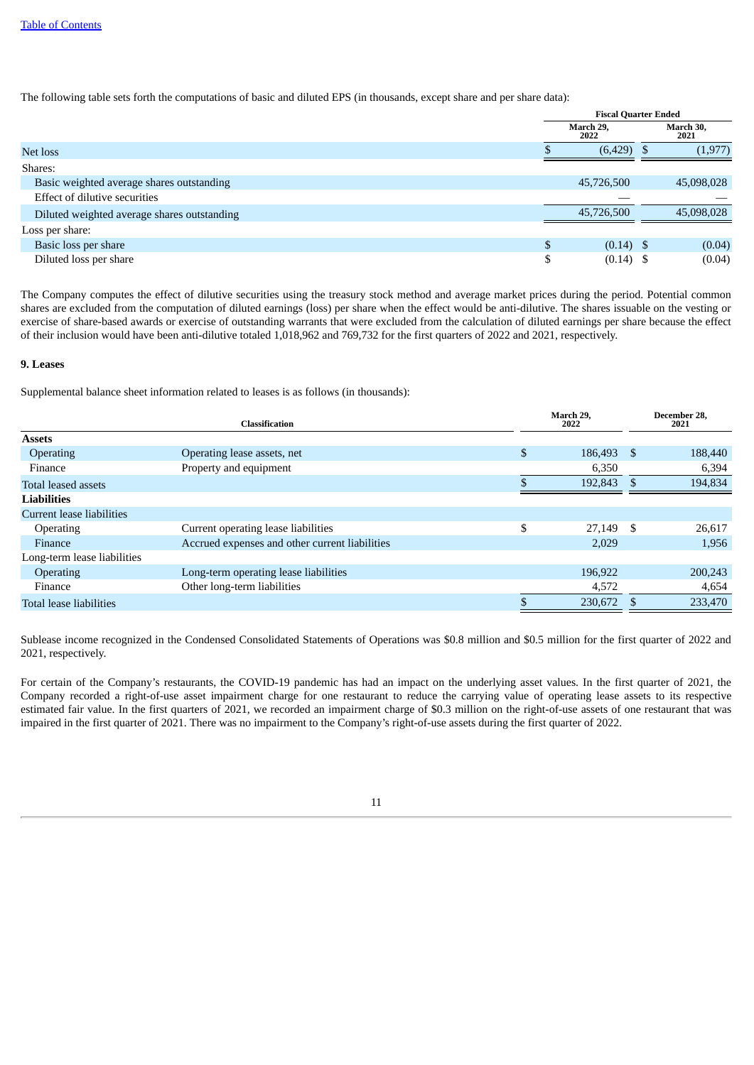The following table sets forth the computations of basic and diluted EPS (in thousands, except share and per share data):

|                                             | <b>Fiscal Quarter Ended</b> |                   |  |                   |
|---------------------------------------------|-----------------------------|-------------------|--|-------------------|
|                                             |                             | March 29,<br>2022 |  | March 30,<br>2021 |
| Net loss                                    |                             | $(6,429)$ \$      |  | (1,977)           |
| Shares:                                     |                             |                   |  |                   |
| Basic weighted average shares outstanding   |                             | 45,726,500        |  | 45,098,028        |
| Effect of dilutive securities               |                             |                   |  |                   |
| Diluted weighted average shares outstanding |                             | 45,726,500        |  | 45,098,028        |
| Loss per share:                             |                             |                   |  |                   |
| Basic loss per share                        | S                           | $(0.14)$ \$       |  | (0.04)            |
| Diluted loss per share                      | S                           | $(0.14)$ \$       |  | (0.04)            |

The Company computes the effect of dilutive securities using the treasury stock method and average market prices during the period. Potential common shares are excluded from the computation of diluted earnings (loss) per share when the effect would be anti-dilutive. The shares issuable on the vesting or exercise of share-based awards or exercise of outstanding warrants that were excluded from the calculation of diluted earnings per share because the effect of their inclusion would have been anti-dilutive totaled 1,018,962 and 769,732 for the first quarters of 2022 and 2021, respectively.

#### **9. Leases**

Supplemental balance sheet information related to leases is as follows (in thousands):

|                             | March 29,<br>Classification<br>2022            |    |           |          | December 28,<br>2021 |
|-----------------------------|------------------------------------------------|----|-----------|----------|----------------------|
| Assets                      |                                                |    |           |          |                      |
| <b>Operating</b>            | Operating lease assets, net                    | \$ | 186,493   | <b>S</b> | 188,440              |
| Finance                     | Property and equipment                         |    | 6,350     |          | 6,394                |
| Total leased assets         |                                                |    | 192,843   |          | 194,834              |
| <b>Liabilities</b>          |                                                |    |           |          |                      |
| Current lease liabilities   |                                                |    |           |          |                      |
| <b>Operating</b>            | Current operating lease liabilities            | \$ | 27,149 \$ |          | 26,617               |
| Finance                     | Accrued expenses and other current liabilities |    | 2,029     |          | 1,956                |
| Long-term lease liabilities |                                                |    |           |          |                      |
| <b>Operating</b>            | Long-term operating lease liabilities          |    | 196,922   |          | 200,243              |
| Finance                     | Other long-term liabilities                    |    | 4,572     |          | 4,654                |
| Total lease liabilities     |                                                |    | 230,672   |          | 233,470              |

Sublease income recognized in the Condensed Consolidated Statements of Operations was \$0.8 million and \$0.5 million for the first quarter of 2022 and 2021, respectively.

For certain of the Company's restaurants, the COVID-19 pandemic has had an impact on the underlying asset values. In the first quarter of 2021, the Company recorded a right-of-use asset impairment charge for one restaurant to reduce the carrying value of operating lease assets to its respective estimated fair value. In the first quarters of 2021, we recorded an impairment charge of \$0.3 million on the right-of-use assets of one restaurant that was impaired in the first quarter of 2021. There was no impairment to the Company's right-of-use assets during the first quarter of 2022.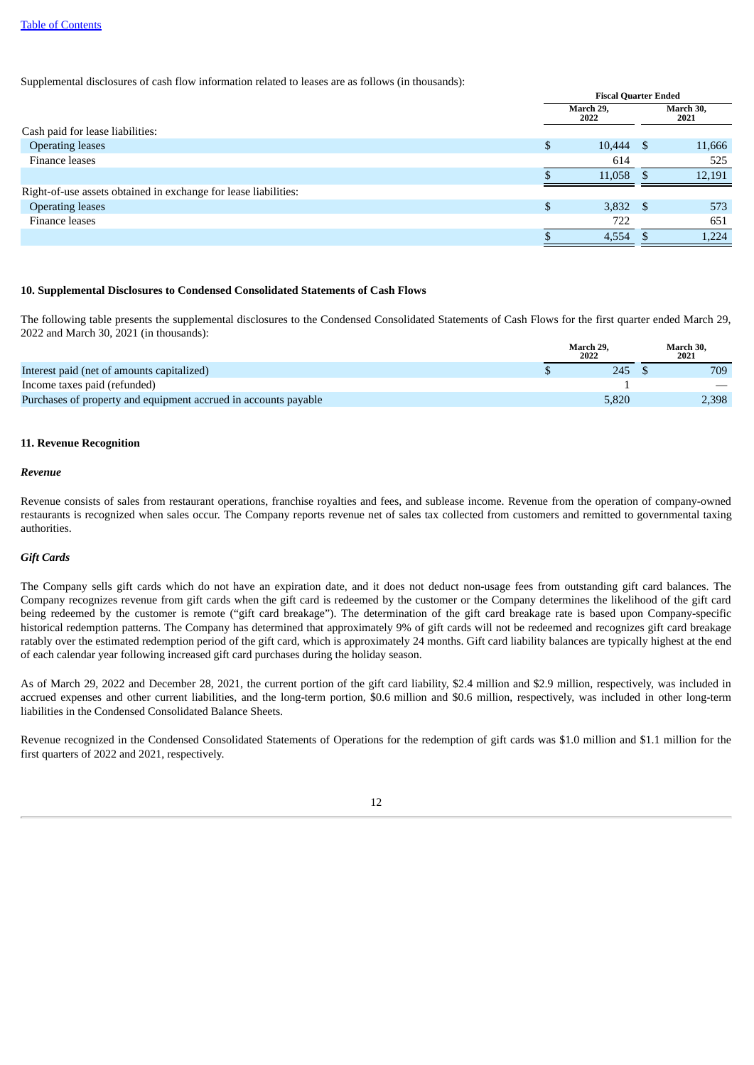## Supplemental disclosures of cash flow information related to leases are as follows (in thousands):

|                                                                 | <b>Fiscal Quarter Ended</b> |  |                   |  |
|-----------------------------------------------------------------|-----------------------------|--|-------------------|--|
|                                                                 | March 29,<br>2022           |  | March 30,<br>2021 |  |
| Cash paid for lease liabilities:                                |                             |  |                   |  |
| <b>Operating leases</b>                                         | \$<br>$10,444$ \$           |  | 11,666            |  |
| Finance leases                                                  | 614                         |  | 525               |  |
|                                                                 | 11,058                      |  | 12,191            |  |
| Right-of-use assets obtained in exchange for lease liabilities: |                             |  |                   |  |
| <b>Operating leases</b>                                         | \$<br>$3,832$ \$            |  | 573               |  |
| Finance leases                                                  | 722                         |  | 651               |  |
|                                                                 | 4,554                       |  | 1,224             |  |

## **10. Supplemental Disclosures to Condensed Consolidated Statements of Cash Flows**

The following table presents the supplemental disclosures to the Condensed Consolidated Statements of Cash Flows for the first quarter ended March 29, 2022 and March 30, 2021 (in thousands):

|                                                                 | March 29.<br>2022 | March 30.<br>2021 |
|-----------------------------------------------------------------|-------------------|-------------------|
| Interest paid (net of amounts capitalized)                      | 245               | 709               |
| Income taxes paid (refunded)                                    |                   |                   |
| Purchases of property and equipment accrued in accounts payable | 5.820             | 2,398             |

#### **11. Revenue Recognition**

#### *Revenue*

Revenue consists of sales from restaurant operations, franchise royalties and fees, and sublease income. Revenue from the operation of company-owned restaurants is recognized when sales occur. The Company reports revenue net of sales tax collected from customers and remitted to governmental taxing authorities.

#### *Gift Cards*

The Company sells gift cards which do not have an expiration date, and it does not deduct non-usage fees from outstanding gift card balances. The Company recognizes revenue from gift cards when the gift card is redeemed by the customer or the Company determines the likelihood of the gift card being redeemed by the customer is remote ("gift card breakage"). The determination of the gift card breakage rate is based upon Company-specific historical redemption patterns. The Company has determined that approximately 9% of gift cards will not be redeemed and recognizes gift card breakage ratably over the estimated redemption period of the gift card, which is approximately 24 months. Gift card liability balances are typically highest at the end of each calendar year following increased gift card purchases during the holiday season.

As of March 29, 2022 and December 28, 2021, the current portion of the gift card liability, \$2.4 million and \$2.9 million, respectively, was included in accrued expenses and other current liabilities, and the long-term portion, \$0.6 million and \$0.6 million, respectively, was included in other long-term liabilities in the Condensed Consolidated Balance Sheets.

Revenue recognized in the Condensed Consolidated Statements of Operations for the redemption of gift cards was \$1.0 million and \$1.1 million for the first quarters of 2022 and 2021, respectively.

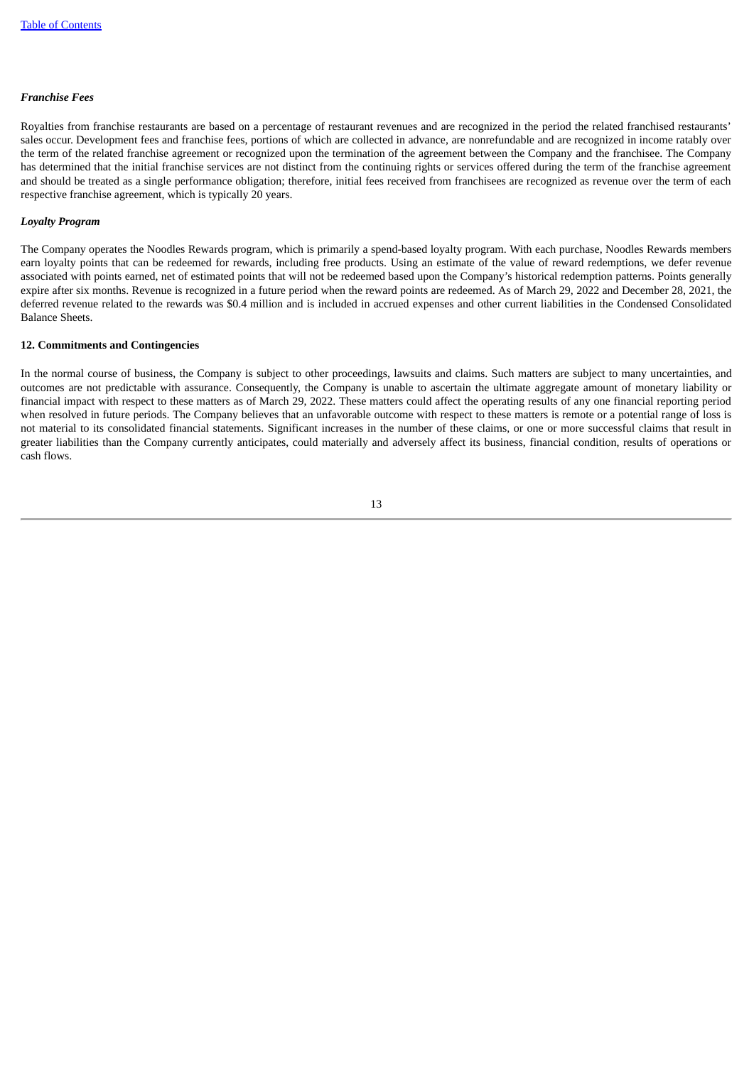#### *Franchise Fees*

Royalties from franchise restaurants are based on a percentage of restaurant revenues and are recognized in the period the related franchised restaurants' sales occur. Development fees and franchise fees, portions of which are collected in advance, are nonrefundable and are recognized in income ratably over the term of the related franchise agreement or recognized upon the termination of the agreement between the Company and the franchisee. The Company has determined that the initial franchise services are not distinct from the continuing rights or services offered during the term of the franchise agreement and should be treated as a single performance obligation; therefore, initial fees received from franchisees are recognized as revenue over the term of each respective franchise agreement, which is typically 20 years.

#### *Loyalty Program*

The Company operates the Noodles Rewards program, which is primarily a spend-based loyalty program. With each purchase, Noodles Rewards members earn loyalty points that can be redeemed for rewards, including free products. Using an estimate of the value of reward redemptions, we defer revenue associated with points earned, net of estimated points that will not be redeemed based upon the Company's historical redemption patterns. Points generally expire after six months. Revenue is recognized in a future period when the reward points are redeemed. As of March 29, 2022 and December 28, 2021, the deferred revenue related to the rewards was \$0.4 million and is included in accrued expenses and other current liabilities in the Condensed Consolidated Balance Sheets.

### **12. Commitments and Contingencies**

<span id="page-13-0"></span>In the normal course of business, the Company is subject to other proceedings, lawsuits and claims. Such matters are subject to many uncertainties, and outcomes are not predictable with assurance. Consequently, the Company is unable to ascertain the ultimate aggregate amount of monetary liability or financial impact with respect to these matters as of March 29, 2022. These matters could affect the operating results of any one financial reporting period when resolved in future periods. The Company believes that an unfavorable outcome with respect to these matters is remote or a potential range of loss is not material to its consolidated financial statements. Significant increases in the number of these claims, or one or more successful claims that result in greater liabilities than the Company currently anticipates, could materially and adversely affect its business, financial condition, results of operations or cash flows.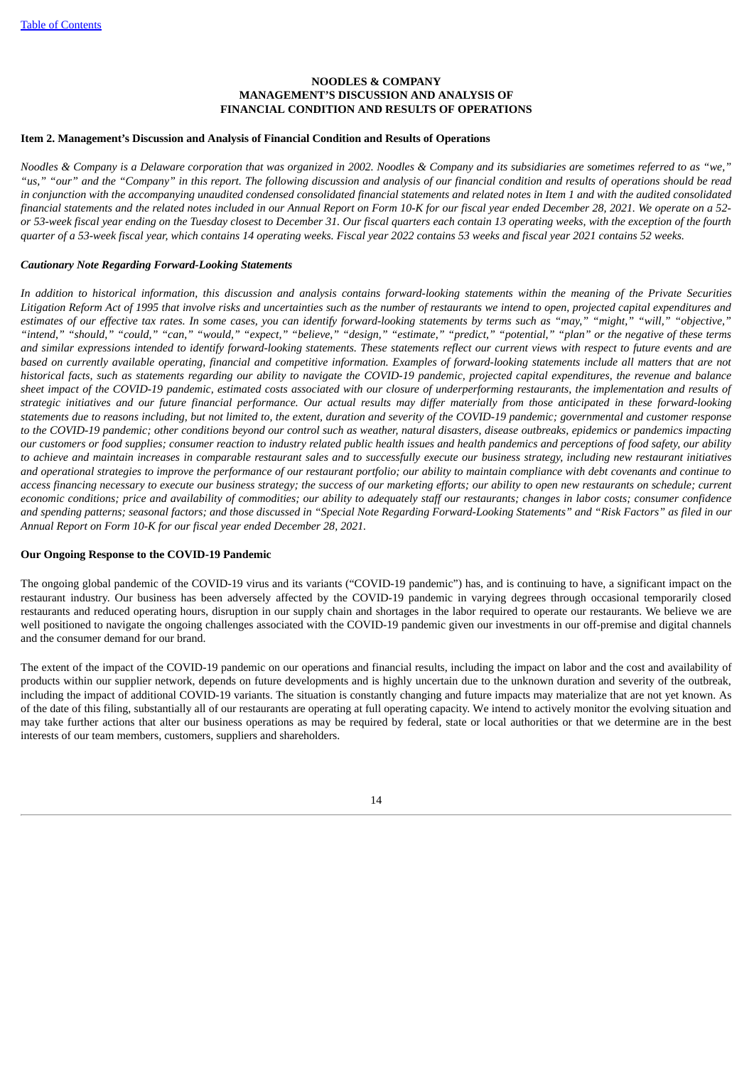## **NOODLES & COMPANY MANAGEMENT'S DISCUSSION AND ANALYSIS OF FINANCIAL CONDITION AND RESULTS OF OPERATIONS**

### **Item 2. Management's Discussion and Analysis of Financial Condition and Results of Operations**

Noodles & Company is a Delaware corporation that was organized in 2002. Noodles & Company and its subsidiaries are sometimes referred to as "we." "us," "our" and the "Company" in this report. The following discussion and analysis of our financial condition and results of operations should be read in conjunction with the accompanying unaudited condensed consolidated financial statements and related notes in Item 1 and with the audited consolidated financial statements and the related notes included in our Annual Report on Form 10-K for our fiscal year ended December 28, 2021. We operate on a 52or 53-week fiscal year ending on the Tuesday closest to December 31. Our fiscal quarters each contain 13 operating weeks, with the exception of the fourth quarter of a 53-week fiscal year, which contains 14 operating weeks. Fiscal year 2022 contains 53 weeks and fiscal year 2021 contains 52 weeks.

### *Cautionary Note Regarding Forward-Looking Statements*

In addition to historical information, this discussion and analysis contains forward-looking statements within the meaning of the Private Securities Litigation Reform Act of 1995 that involve risks and uncertainties such as the number of restaurants we intend to open, projected capital expenditures and estimates of our effective tax rates. In some cases, you can identify forward-looking statements by terms such as "may," "might," "will," "objective," "intend," "should," "could," "can," "would," "expect," "believe," "design," "estimate," "predict," "potential," "plan" or the negative of these terms and similar expressions intended to identify forward-looking statements. These statements reflect our current views with respect to future events and are based on currently available operating, financial and competitive information. Examples of forward-looking statements include all matters that are not historical facts, such as statements regarding our ability to navigate the COVID-19 pandemic, projected capital expenditures, the revenue and balance sheet impact of the COVID-19 pandemic, estimated costs associated with our closure of underperforming restaurants, the implementation and results of strategic initiatives and our future financial performance. Our actual results may differ materially from those anticipated in these forward-looking statements due to reasons including, but not limited to, the extent, duration and severity of the COVID-19 pandemic; governmental and customer response to the COVID-19 pandemic; other conditions beyond our control such as weather, natural disasters, disease outbreaks, epidemics or pandemics impacting our customers or food supplies; consumer reaction to industry related public health issues and health pandemics and perceptions of food safety, our ability to achieve and maintain increases in comparable restaurant sales and to successfully execute our business strategy, including new restaurant initiatives and operational strategies to improve the performance of our restaurant portfolio; our ability to maintain compliance with debt covenants and continue to access financing necessary to execute our business strategy; the success of our marketing efforts; our ability to open new restaurants on schedule; current economic conditions; price and availability of commodities; our ability to adequately staff our restaurants; changes in labor costs; consumer confidence and spending patterns; seasonal factors; and those discussed in "Special Note Regarding Forward-Looking Statements" and "Risk Factors" as filed in our *Annual Report on Form 10-K for our fiscal year ended December 28, 2021.*

#### **Our Ongoing Response to the COVID-19 Pandemic**

The ongoing global pandemic of the COVID-19 virus and its variants ("COVID-19 pandemic") has, and is continuing to have, a significant impact on the restaurant industry. Our business has been adversely affected by the COVID-19 pandemic in varying degrees through occasional temporarily closed restaurants and reduced operating hours, disruption in our supply chain and shortages in the labor required to operate our restaurants. We believe we are well positioned to navigate the ongoing challenges associated with the COVID-19 pandemic given our investments in our off-premise and digital channels and the consumer demand for our brand.

The extent of the impact of the COVID-19 pandemic on our operations and financial results, including the impact on labor and the cost and availability of products within our supplier network, depends on future developments and is highly uncertain due to the unknown duration and severity of the outbreak, including the impact of additional COVID-19 variants. The situation is constantly changing and future impacts may materialize that are not yet known. As of the date of this filing, substantially all of our restaurants are operating at full operating capacity. We intend to actively monitor the evolving situation and may take further actions that alter our business operations as may be required by federal, state or local authorities or that we determine are in the best interests of our team members, customers, suppliers and shareholders.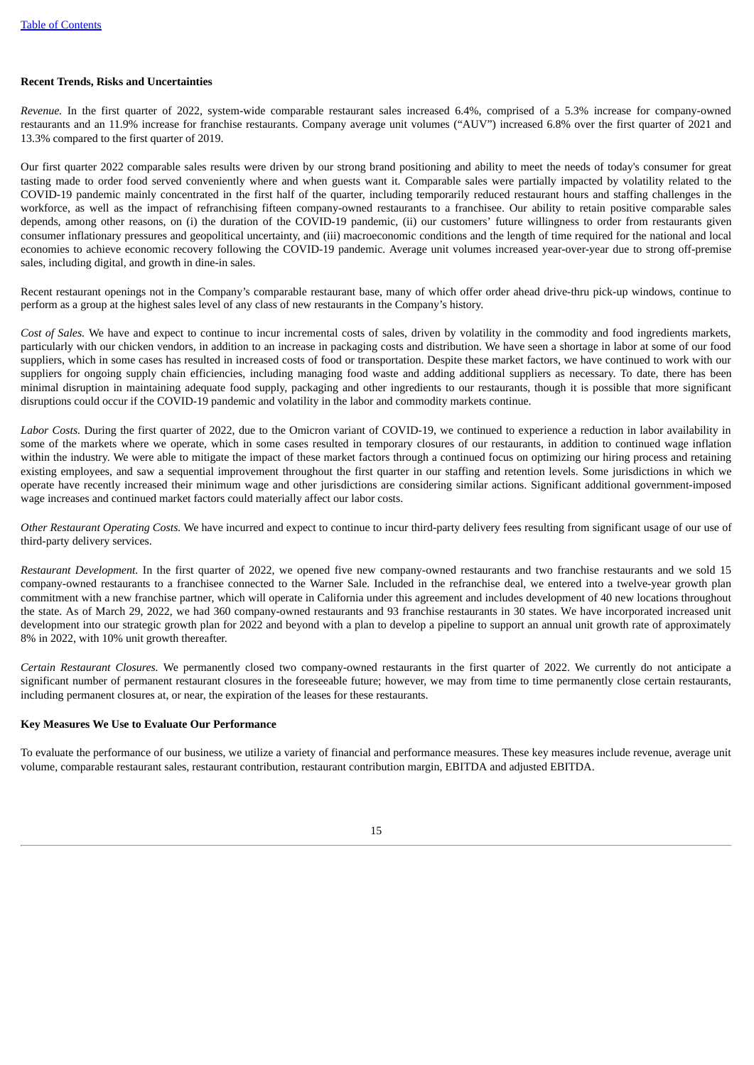## **Recent Trends, Risks and Uncertainties**

*Revenue.* In the first quarter of 2022, system-wide comparable restaurant sales increased 6.4%, comprised of a 5.3% increase for company-owned restaurants and an 11.9% increase for franchise restaurants. Company average unit volumes ("AUV") increased 6.8% over the first quarter of 2021 and 13.3% compared to the first quarter of 2019.

Our first quarter 2022 comparable sales results were driven by our strong brand positioning and ability to meet the needs of today's consumer for great tasting made to order food served conveniently where and when guests want it. Comparable sales were partially impacted by volatility related to the COVID-19 pandemic mainly concentrated in the first half of the quarter, including temporarily reduced restaurant hours and staffing challenges in the workforce, as well as the impact of refranchising fifteen company-owned restaurants to a franchisee. Our ability to retain positive comparable sales depends, among other reasons, on (i) the duration of the COVID-19 pandemic, (ii) our customers' future willingness to order from restaurants given consumer inflationary pressures and geopolitical uncertainty, and (iii) macroeconomic conditions and the length of time required for the national and local economies to achieve economic recovery following the COVID-19 pandemic. Average unit volumes increased year-over-year due to strong off-premise sales, including digital, and growth in dine-in sales.

Recent restaurant openings not in the Company's comparable restaurant base, many of which offer order ahead drive-thru pick-up windows, continue to perform as a group at the highest sales level of any class of new restaurants in the Company's history.

*Cost of Sales.* We have and expect to continue to incur incremental costs of sales, driven by volatility in the commodity and food ingredients markets, particularly with our chicken vendors, in addition to an increase in packaging costs and distribution. We have seen a shortage in labor at some of our food suppliers, which in some cases has resulted in increased costs of food or transportation. Despite these market factors, we have continued to work with our suppliers for ongoing supply chain efficiencies, including managing food waste and adding additional suppliers as necessary. To date, there has been minimal disruption in maintaining adequate food supply, packaging and other ingredients to our restaurants, though it is possible that more significant disruptions could occur if the COVID-19 pandemic and volatility in the labor and commodity markets continue.

*Labor Costs.* During the first quarter of 2022, due to the Omicron variant of COVID-19, we continued to experience a reduction in labor availability in some of the markets where we operate, which in some cases resulted in temporary closures of our restaurants, in addition to continued wage inflation within the industry. We were able to mitigate the impact of these market factors through a continued focus on optimizing our hiring process and retaining existing employees, and saw a sequential improvement throughout the first quarter in our staffing and retention levels. Some jurisdictions in which we operate have recently increased their minimum wage and other jurisdictions are considering similar actions. Significant additional government-imposed wage increases and continued market factors could materially affect our labor costs.

*Other Restaurant Operating Costs.* We have incurred and expect to continue to incur third-party delivery fees resulting from significant usage of our use of third-party delivery services.

*Restaurant Development.* In the first quarter of 2022, we opened five new company-owned restaurants and two franchise restaurants and we sold 15 company-owned restaurants to a franchisee connected to the Warner Sale. Included in the refranchise deal, we entered into a twelve-year growth plan commitment with a new franchise partner, which will operate in California under this agreement and includes development of 40 new locations throughout the state. As of March 29, 2022, we had 360 company-owned restaurants and 93 franchise restaurants in 30 states. We have incorporated increased unit development into our strategic growth plan for 2022 and beyond with a plan to develop a pipeline to support an annual unit growth rate of approximately 8% in 2022, with 10% unit growth thereafter.

*Certain Restaurant Closures.* We permanently closed two company-owned restaurants in the first quarter of 2022. We currently do not anticipate a significant number of permanent restaurant closures in the foreseeable future; however, we may from time to time permanently close certain restaurants, including permanent closures at, or near, the expiration of the leases for these restaurants.

#### **Key Measures We Use to Evaluate Our Performance**

To evaluate the performance of our business, we utilize a variety of financial and performance measures. These key measures include revenue, average unit volume, comparable restaurant sales, restaurant contribution, restaurant contribution margin, EBITDA and adjusted EBITDA.

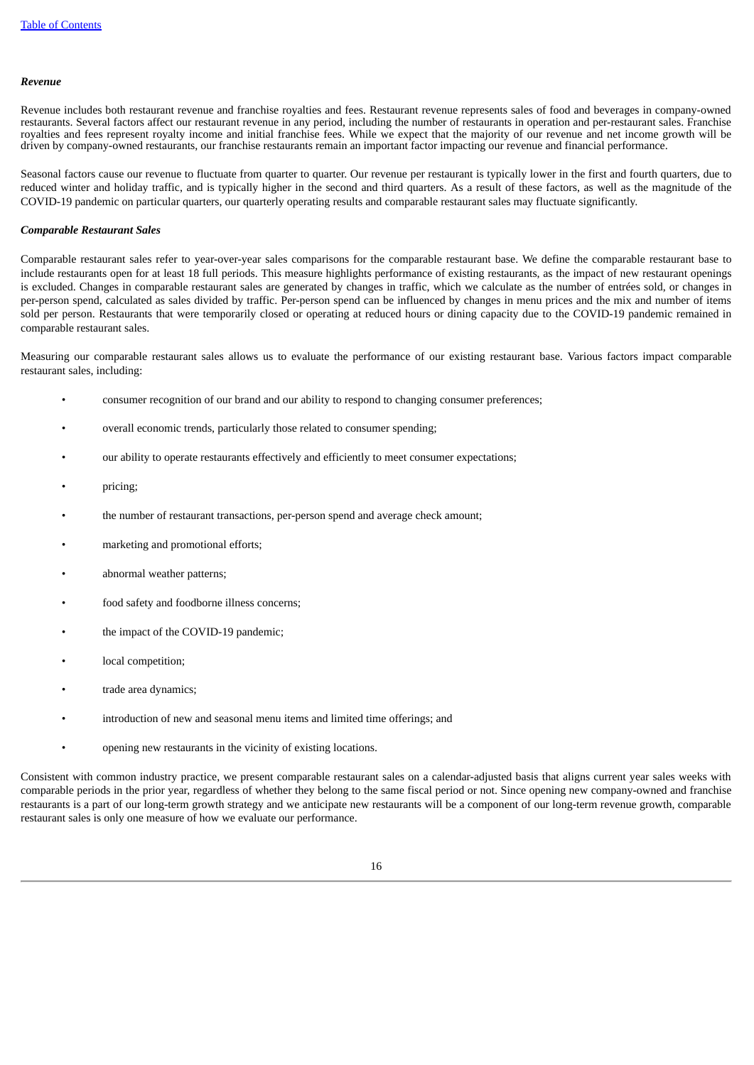#### *Revenue*

Revenue includes both restaurant revenue and franchise royalties and fees. Restaurant revenue represents sales of food and beverages in company-owned restaurants. Several factors affect our restaurant revenue in any period, including the number of restaurants in operation and per-restaurant sales. Franchise royalties and fees represent royalty income and initial franchise fees. While we expect that the majority of our revenue and net income growth will be driven by company-owned restaurants, our franchise restaurants remain an important factor impacting our revenue and financial performance.

Seasonal factors cause our revenue to fluctuate from quarter to quarter. Our revenue per restaurant is typically lower in the first and fourth quarters, due to reduced winter and holiday traffic, and is typically higher in the second and third quarters. As a result of these factors, as well as the magnitude of the COVID-19 pandemic on particular quarters, our quarterly operating results and comparable restaurant sales may fluctuate significantly.

### *Comparable Restaurant Sales*

Comparable restaurant sales refer to year-over-year sales comparisons for the comparable restaurant base. We define the comparable restaurant base to include restaurants open for at least 18 full periods. This measure highlights performance of existing restaurants, as the impact of new restaurant openings is excluded. Changes in comparable restaurant sales are generated by changes in traffic, which we calculate as the number of entrées sold, or changes in per-person spend, calculated as sales divided by traffic. Per-person spend can be influenced by changes in menu prices and the mix and number of items sold per person. Restaurants that were temporarily closed or operating at reduced hours or dining capacity due to the COVID-19 pandemic remained in comparable restaurant sales.

Measuring our comparable restaurant sales allows us to evaluate the performance of our existing restaurant base. Various factors impact comparable restaurant sales, including:

- consumer recognition of our brand and our ability to respond to changing consumer preferences;
- overall economic trends, particularly those related to consumer spending;
- our ability to operate restaurants effectively and efficiently to meet consumer expectations;
- pricing;
- the number of restaurant transactions, per-person spend and average check amount;
- marketing and promotional efforts;
- abnormal weather patterns;
- food safety and foodborne illness concerns;
- the impact of the COVID-19 pandemic;
- local competition;
- trade area dynamics:
- introduction of new and seasonal menu items and limited time offerings; and
- opening new restaurants in the vicinity of existing locations.

Consistent with common industry practice, we present comparable restaurant sales on a calendar-adjusted basis that aligns current year sales weeks with comparable periods in the prior year, regardless of whether they belong to the same fiscal period or not. Since opening new company-owned and franchise restaurants is a part of our long-term growth strategy and we anticipate new restaurants will be a component of our long-term revenue growth, comparable restaurant sales is only one measure of how we evaluate our performance.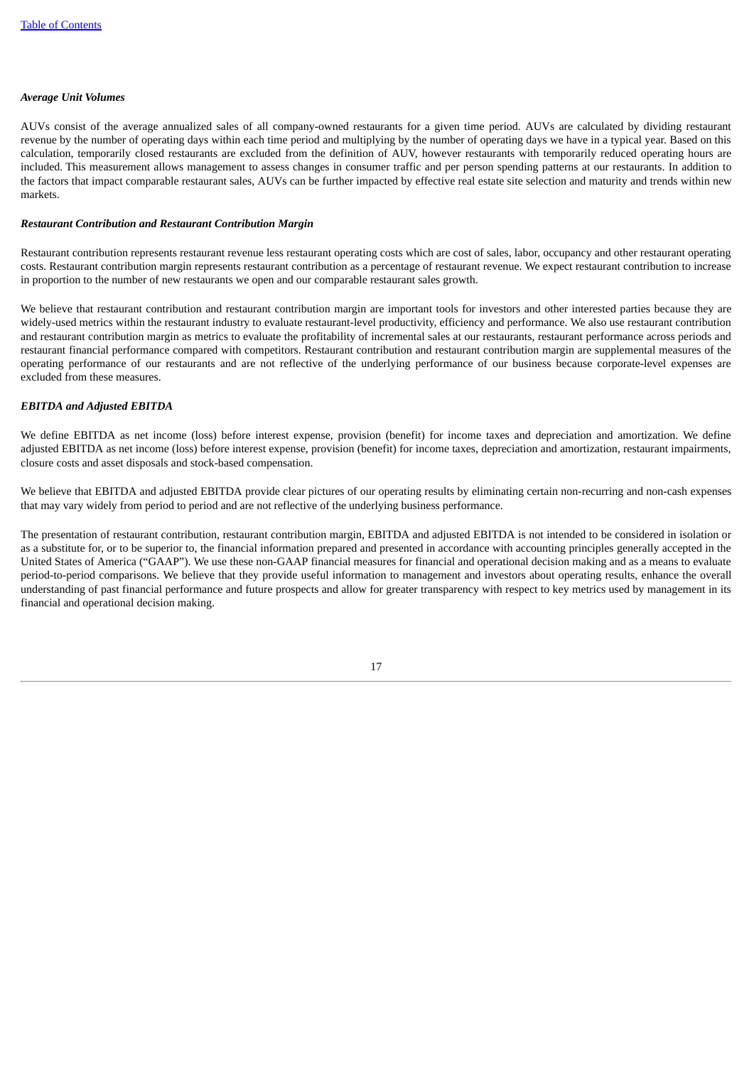#### *Average Unit Volumes*

AUVs consist of the average annualized sales of all company-owned restaurants for a given time period. AUVs are calculated by dividing restaurant revenue by the number of operating days within each time period and multiplying by the number of operating days we have in a typical year. Based on this calculation, temporarily closed restaurants are excluded from the definition of AUV, however restaurants with temporarily reduced operating hours are included. This measurement allows management to assess changes in consumer traffic and per person spending patterns at our restaurants. In addition to the factors that impact comparable restaurant sales, AUVs can be further impacted by effective real estate site selection and maturity and trends within new markets.

#### *Restaurant Contribution and Restaurant Contribution Margin*

Restaurant contribution represents restaurant revenue less restaurant operating costs which are cost of sales, labor, occupancy and other restaurant operating costs. Restaurant contribution margin represents restaurant contribution as a percentage of restaurant revenue. We expect restaurant contribution to increase in proportion to the number of new restaurants we open and our comparable restaurant sales growth.

We believe that restaurant contribution and restaurant contribution margin are important tools for investors and other interested parties because they are widely-used metrics within the restaurant industry to evaluate restaurant-level productivity, efficiency and performance. We also use restaurant contribution and restaurant contribution margin as metrics to evaluate the profitability of incremental sales at our restaurants, restaurant performance across periods and restaurant financial performance compared with competitors. Restaurant contribution and restaurant contribution margin are supplemental measures of the operating performance of our restaurants and are not reflective of the underlying performance of our business because corporate-level expenses are excluded from these measures.

### *EBITDA and Adjusted EBITDA*

We define EBITDA as net income (loss) before interest expense, provision (benefit) for income taxes and depreciation and amortization. We define adjusted EBITDA as net income (loss) before interest expense, provision (benefit) for income taxes, depreciation and amortization, restaurant impairments, closure costs and asset disposals and stock-based compensation.

We believe that EBITDA and adjusted EBITDA provide clear pictures of our operating results by eliminating certain non-recurring and non-cash expenses that may vary widely from period to period and are not reflective of the underlying business performance.

The presentation of restaurant contribution, restaurant contribution margin, EBITDA and adjusted EBITDA is not intended to be considered in isolation or as a substitute for, or to be superior to, the financial information prepared and presented in accordance with accounting principles generally accepted in the United States of America ("GAAP"). We use these non-GAAP financial measures for financial and operational decision making and as a means to evaluate period-to-period comparisons. We believe that they provide useful information to management and investors about operating results, enhance the overall understanding of past financial performance and future prospects and allow for greater transparency with respect to key metrics used by management in its financial and operational decision making.

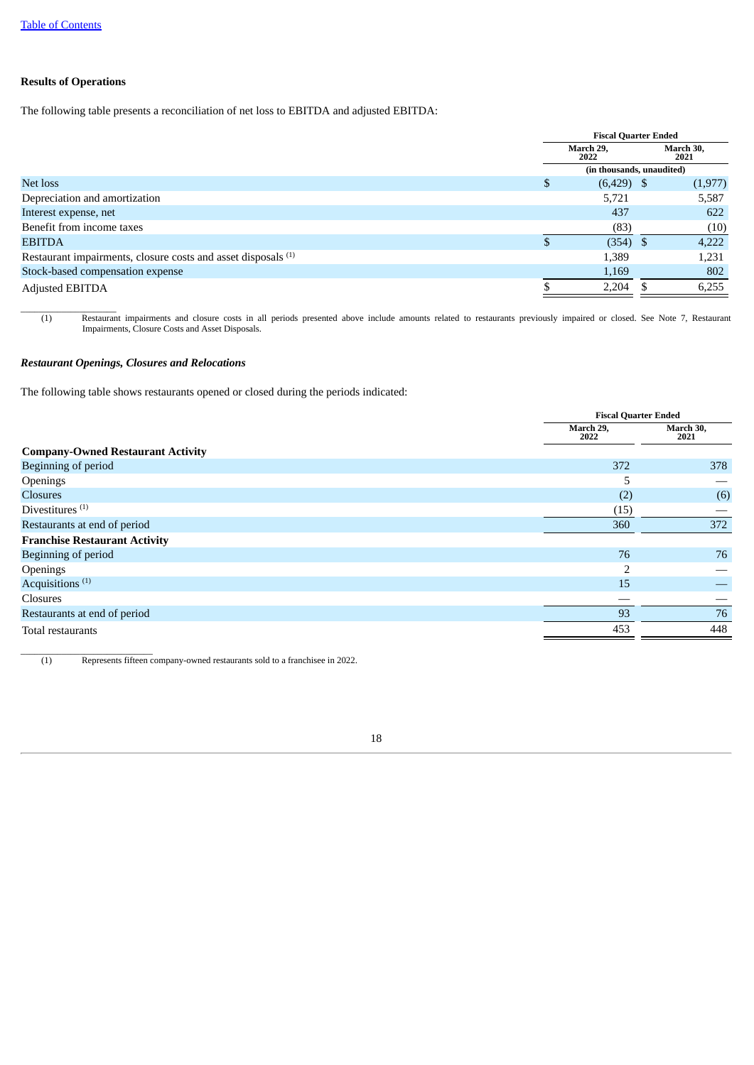## **Results of Operations**

The following table presents a reconciliation of net loss to EBITDA and adjusted EBITDA:

|                                                                          |   | <b>Fiscal Quarter Ended</b> |  |                   |
|--------------------------------------------------------------------------|---|-----------------------------|--|-------------------|
|                                                                          |   | March 29,<br>2022           |  | March 30,<br>2021 |
|                                                                          |   | (in thousands, unaudited)   |  |                   |
| Net loss                                                                 | S | $(6,429)$ \$                |  | (1,977)           |
| Depreciation and amortization                                            |   | 5.721                       |  | 5,587             |
| Interest expense, net                                                    |   | 437                         |  | 622               |
| Benefit from income taxes                                                |   | (83)                        |  | (10)              |
| <b>EBITDA</b>                                                            |   | $(354)$ \$                  |  | 4,222             |
| Restaurant impairments, closure costs and asset disposals <sup>(1)</sup> |   | 1,389                       |  | 1,231             |
| Stock-based compensation expense                                         |   | 1,169                       |  | 802               |
| <b>Adjusted EBITDA</b>                                                   |   | 2,204                       |  | 6,255             |
|                                                                          |   |                             |  |                   |

\_\_\_\_\_\_\_\_\_\_\_\_\_\_\_\_\_\_\_\_\_ (1) Restaurant impairments and closure costs in all periods presented above include amounts related to restaurants previously impaired or closed. See Note 7, Restaurant Impairments, Closure Costs and Asset Disposals.

## *Restaurant Openings, Closures and Relocations*

\_\_\_\_\_\_\_\_\_\_\_\_\_\_\_\_\_\_\_\_\_\_\_\_\_\_\_\_\_

The following table shows restaurants opened or closed during the periods indicated:

|                                          | <b>Fiscal Quarter Ended</b> |                   |
|------------------------------------------|-----------------------------|-------------------|
|                                          | March 29,<br>2022           | March 30,<br>2021 |
| <b>Company-Owned Restaurant Activity</b> |                             |                   |
| Beginning of period                      | 372                         | 378               |
| Openings                                 | .5                          |                   |
| <b>Closures</b>                          | (2)                         | (6)               |
| Divestitures <sup>(1)</sup>              | (15)                        |                   |
| Restaurants at end of period             | 360                         | 372               |
| <b>Franchise Restaurant Activity</b>     |                             |                   |
| Beginning of period                      | 76                          | 76                |
| Openings                                 | ി                           |                   |
| Acquisitions <sup>(1)</sup>              | 15                          |                   |
| Closures                                 |                             |                   |
| Restaurants at end of period             | 93                          | 76                |
| Total restaurants                        | 453                         | 448               |
|                                          |                             |                   |

(1) Represents fifteen company-owned restaurants sold to a franchisee in 2022.

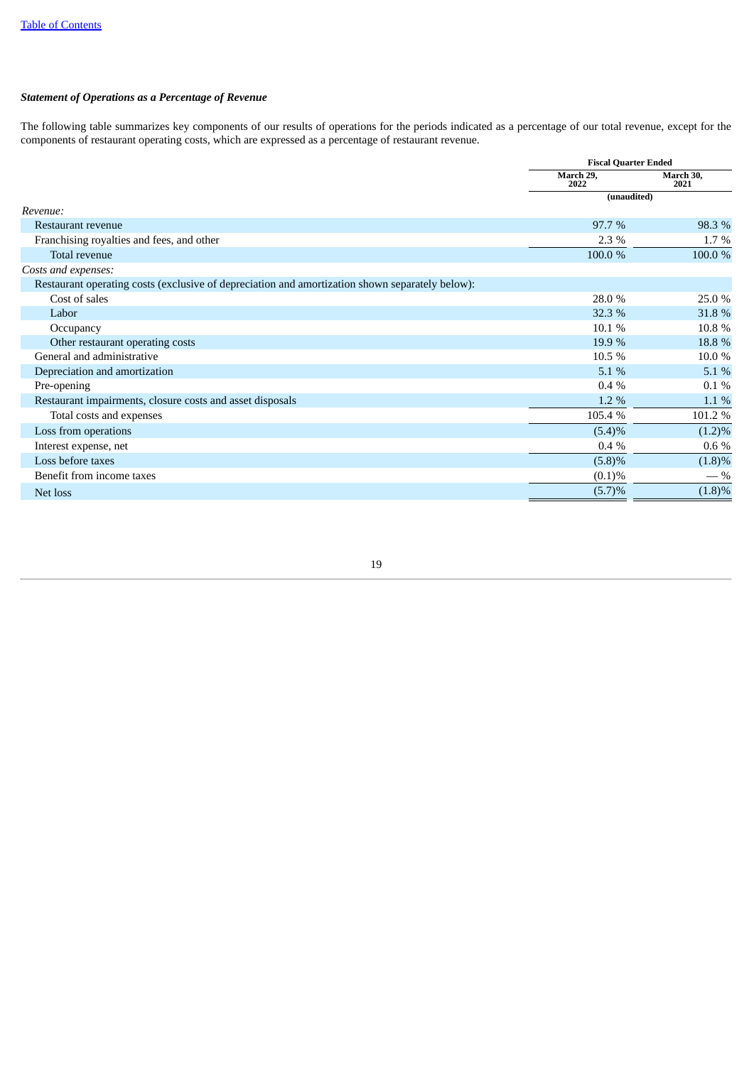## *Statement of Operations as a Percentage of Revenue*

The following table summarizes key components of our results of operations for the periods indicated as a percentage of our total revenue, except for the components of restaurant operating costs, which are expressed as a percentage of restaurant revenue.

|                                                                                                 | <b>Fiscal Quarter Ended</b> |                   |
|-------------------------------------------------------------------------------------------------|-----------------------------|-------------------|
|                                                                                                 | March 29,<br>2022           | March 30,<br>2021 |
|                                                                                                 | (unaudited)                 |                   |
| Revenue:                                                                                        |                             |                   |
| Restaurant revenue                                                                              | 97.7 %                      | 98.3 %            |
| Franchising royalties and fees, and other                                                       | 2.3 %                       | 1.7%              |
| Total revenue                                                                                   | 100.0%                      | 100.0%            |
| Costs and expenses:                                                                             |                             |                   |
| Restaurant operating costs (exclusive of depreciation and amortization shown separately below): |                             |                   |
| Cost of sales                                                                                   | 28.0 %                      | 25.0 %            |
| Labor                                                                                           | 32.3 %                      | 31.8 %            |
| Occupancy                                                                                       | 10.1 %                      | 10.8%             |
| Other restaurant operating costs                                                                | 19.9 %                      | 18.8 %            |
| General and administrative                                                                      | 10.5 %                      | 10.0%             |
| Depreciation and amortization                                                                   | 5.1 %                       | 5.1 %             |
| Pre-opening                                                                                     | $0.4\%$                     | $0.1 \%$          |
| Restaurant impairments, closure costs and asset disposals                                       | 1.2 %                       | 1.1 %             |
| Total costs and expenses                                                                        | 105.4 %                     | 101.2 %           |
| Loss from operations                                                                            | (5.4)%                      | $(1.2)\%$         |
| Interest expense, net                                                                           | $0.4\%$                     | $0.6\%$           |
| Loss before taxes                                                                               | (5.8)%                      | $(1.8)\%$         |
| Benefit from income taxes                                                                       | (0.1)%                      | $-$ %             |
| Net loss                                                                                        | $(5.7)\%$                   | (1.8)%            |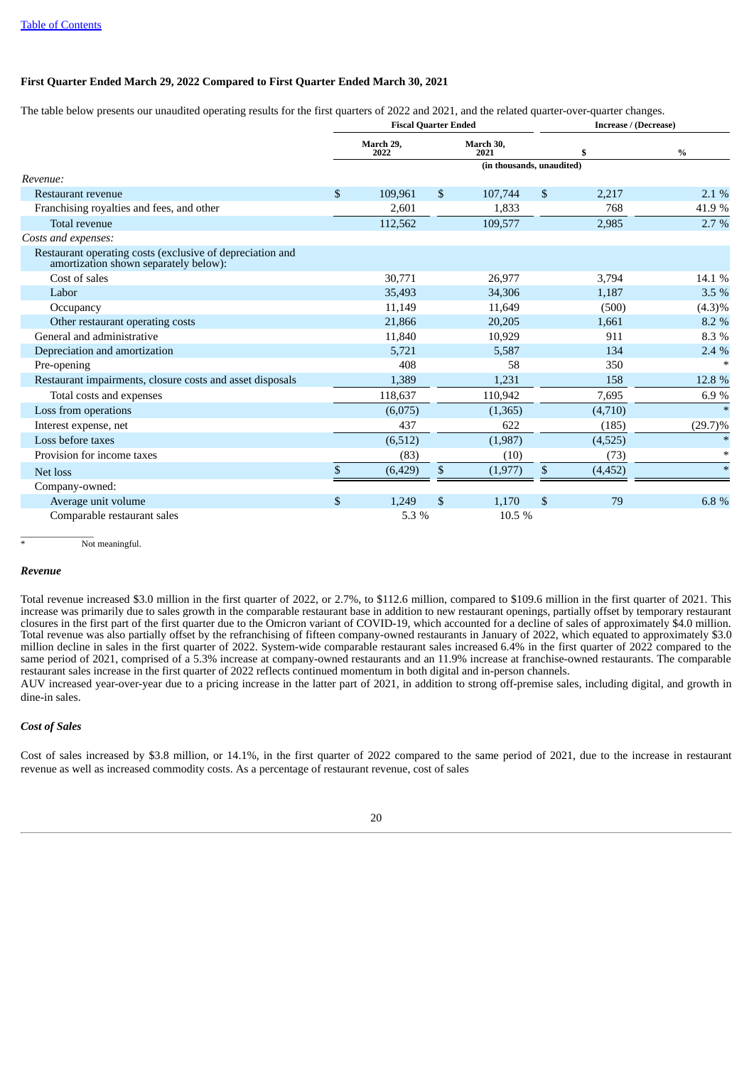## **First Quarter Ended March 29, 2022 Compared to First Quarter Ended March 30, 2021**

The table below presents our unaudited operating results for the first quarters of 2022 and 2021, and the related quarter-over-quarter changes. **Fiscal Quarter Ended Increase / (Decrease)**

|                                                                                                    |              | rocan Quan ter Entree |                           |              |          |            |  |
|----------------------------------------------------------------------------------------------------|--------------|-----------------------|---------------------------|--------------|----------|------------|--|
|                                                                                                    |              | March 29,<br>2022     | March 30,<br>2021         |              | \$       | $\%$       |  |
|                                                                                                    |              |                       | (in thousands, unaudited) |              |          |            |  |
| Revenue:                                                                                           |              |                       |                           |              |          |            |  |
| Restaurant revenue                                                                                 | $\mathbb{S}$ | 109,961               | \$<br>107,744             | \$           | 2,217    | $2.1\%$    |  |
| Franchising royalties and fees, and other                                                          |              | 2,601                 | 1,833                     |              | 768      | 41.9%      |  |
| Total revenue                                                                                      |              | 112,562               | 109,577                   |              | 2,985    | $2.7\%$    |  |
| Costs and expenses:                                                                                |              |                       |                           |              |          |            |  |
| Restaurant operating costs (exclusive of depreciation and<br>amortization shown separately below): |              |                       |                           |              |          |            |  |
| Cost of sales                                                                                      |              | 30,771                | 26,977                    |              | 3,794    | 14.1 %     |  |
| Labor                                                                                              |              | 35,493                | 34,306                    |              | 1,187    | 3.5 %      |  |
| Occupancy                                                                                          |              | 11,149                | 11,649                    |              | (500)    | $(4.3)\%$  |  |
| Other restaurant operating costs                                                                   |              | 21,866                | 20,205                    |              | 1,661    | 8.2 %      |  |
| General and administrative                                                                         |              | 11,840                | 10,929                    |              | 911      | 8.3 %      |  |
| Depreciation and amortization                                                                      |              | 5.721                 | 5,587                     |              | 134      | 2.4 %      |  |
| Pre-opening                                                                                        |              | 408                   | 58                        |              | 350      |            |  |
| Restaurant impairments, closure costs and asset disposals                                          |              | 1,389                 | 1,231                     |              | 158      | 12.8 %     |  |
| Total costs and expenses                                                                           |              | 118,637               | 110,942                   |              | 7,695    | 6.9%       |  |
| Loss from operations                                                                               |              | (6,075)               | (1,365)                   |              | (4,710)  |            |  |
| Interest expense, net                                                                              |              | 437                   | 622                       |              | (185)    | $(29.7)\%$ |  |
| Loss before taxes                                                                                  |              | (6, 512)              | (1,987)                   |              | (4,525)  |            |  |
| Provision for income taxes                                                                         |              | (83)                  | (10)                      |              | (73)     |            |  |
| Net loss                                                                                           |              | (6,429)               | \$<br>(1, 977)            | \$           | (4, 452) |            |  |
| Company-owned:                                                                                     |              |                       |                           |              |          |            |  |
| Average unit volume                                                                                | \$           | 1,249                 | \$<br>1,170               | $\mathbb{S}$ | 79       | 6.8%       |  |
| Comparable restaurant sales                                                                        |              | 5.3 %                 | 10.5 %                    |              |          |            |  |

 $\overline{\phantom{a}}$  $\overline{\rm Not}$  meaningful.

#### *Revenue*

Total revenue increased \$3.0 million in the first quarter of 2022, or 2.7%, to \$112.6 million, compared to \$109.6 million in the first quarter of 2021. This increase was primarily due to sales growth in the comparable restaurant base in addition to new restaurant openings, partially offset by temporary restaurant closures in the first part of the first quarter due to the Omicron variant of COVID-19, which accounted for a decline of sales of approximately \$4.0 million. Total revenue was also partially offset by the refranchising of fifteen company-owned restaurants in January of 2022, which equated to approximately \$3.0 million decline in sales in the first quarter of 2022. System-wide comparable restaurant sales increased 6.4% in the first quarter of 2022 compared to the same period of 2021, comprised of a 5.3% increase at company-owned restaurants and an 11.9% increase at franchise-owned restaurants. The comparable restaurant sales increase in the first quarter of 2022 reflects continued momentum in both digital and in-person channels.

AUV increased year-over-year due to a pricing increase in the latter part of 2021, in addition to strong off-premise sales, including digital, and growth in dine-in sales.

## *Cost of Sales*

Cost of sales increased by \$3.8 million, or 14.1%, in the first quarter of 2022 compared to the same period of 2021, due to the increase in restaurant revenue as well as increased commodity costs. As a percentage of restaurant revenue, cost of sales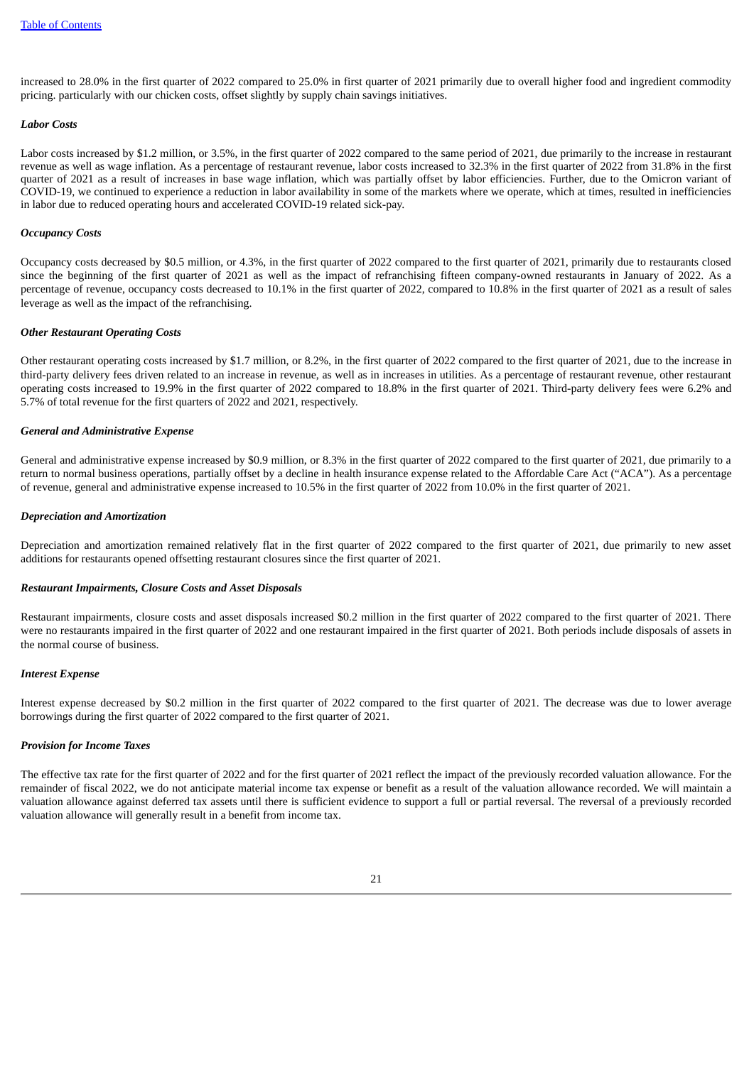increased to 28.0% in the first quarter of 2022 compared to 25.0% in first quarter of 2021 primarily due to overall higher food and ingredient commodity pricing. particularly with our chicken costs, offset slightly by supply chain savings initiatives.

### *Labor Costs*

Labor costs increased by \$1.2 million, or 3.5%, in the first quarter of 2022 compared to the same period of 2021, due primarily to the increase in restaurant revenue as well as wage inflation. As a percentage of restaurant revenue, labor costs increased to 32.3% in the first quarter of 2022 from 31.8% in the first quarter of 2021 as a result of increases in base wage inflation, which was partially offset by labor efficiencies. Further, due to the Omicron variant of COVID-19, we continued to experience a reduction in labor availability in some of the markets where we operate, which at times, resulted in inefficiencies in labor due to reduced operating hours and accelerated COVID-19 related sick-pay.

#### *Occupancy Costs*

Occupancy costs decreased by \$0.5 million, or 4.3%, in the first quarter of 2022 compared to the first quarter of 2021, primarily due to restaurants closed since the beginning of the first quarter of 2021 as well as the impact of refranchising fifteen company-owned restaurants in January of 2022. As a percentage of revenue, occupancy costs decreased to 10.1% in the first quarter of 2022, compared to 10.8% in the first quarter of 2021 as a result of sales leverage as well as the impact of the refranchising.

#### *Other Restaurant Operating Costs*

Other restaurant operating costs increased by \$1.7 million, or 8.2%, in the first quarter of 2022 compared to the first quarter of 2021, due to the increase in third-party delivery fees driven related to an increase in revenue, as well as in increases in utilities. As a percentage of restaurant revenue, other restaurant operating costs increased to 19.9% in the first quarter of 2022 compared to 18.8% in the first quarter of 2021. Third-party delivery fees were 6.2% and 5.7% of total revenue for the first quarters of 2022 and 2021, respectively.

#### *General and Administrative Expense*

General and administrative expense increased by \$0.9 million, or 8.3% in the first quarter of 2022 compared to the first quarter of 2021, due primarily to a return to normal business operations, partially offset by a decline in health insurance expense related to the Affordable Care Act ("ACA"). As a percentage of revenue, general and administrative expense increased to 10.5% in the first quarter of 2022 from 10.0% in the first quarter of 2021.

#### *Depreciation and Amortization*

Depreciation and amortization remained relatively flat in the first quarter of 2022 compared to the first quarter of 2021, due primarily to new asset additions for restaurants opened offsetting restaurant closures since the first quarter of 2021.

#### *Restaurant Impairments, Closure Costs and Asset Disposals*

Restaurant impairments, closure costs and asset disposals increased \$0.2 million in the first quarter of 2022 compared to the first quarter of 2021. There were no restaurants impaired in the first quarter of 2022 and one restaurant impaired in the first quarter of 2021. Both periods include disposals of assets in the normal course of business.

#### *Interest Expense*

Interest expense decreased by \$0.2 million in the first quarter of 2022 compared to the first quarter of 2021. The decrease was due to lower average borrowings during the first quarter of 2022 compared to the first quarter of 2021.

### *Provision for Income Taxes*

The effective tax rate for the first quarter of 2022 and for the first quarter of 2021 reflect the impact of the previously recorded valuation allowance. For the remainder of fiscal 2022, we do not anticipate material income tax expense or benefit as a result of the valuation allowance recorded. We will maintain a valuation allowance against deferred tax assets until there is sufficient evidence to support a full or partial reversal. The reversal of a previously recorded valuation allowance will generally result in a benefit from income tax.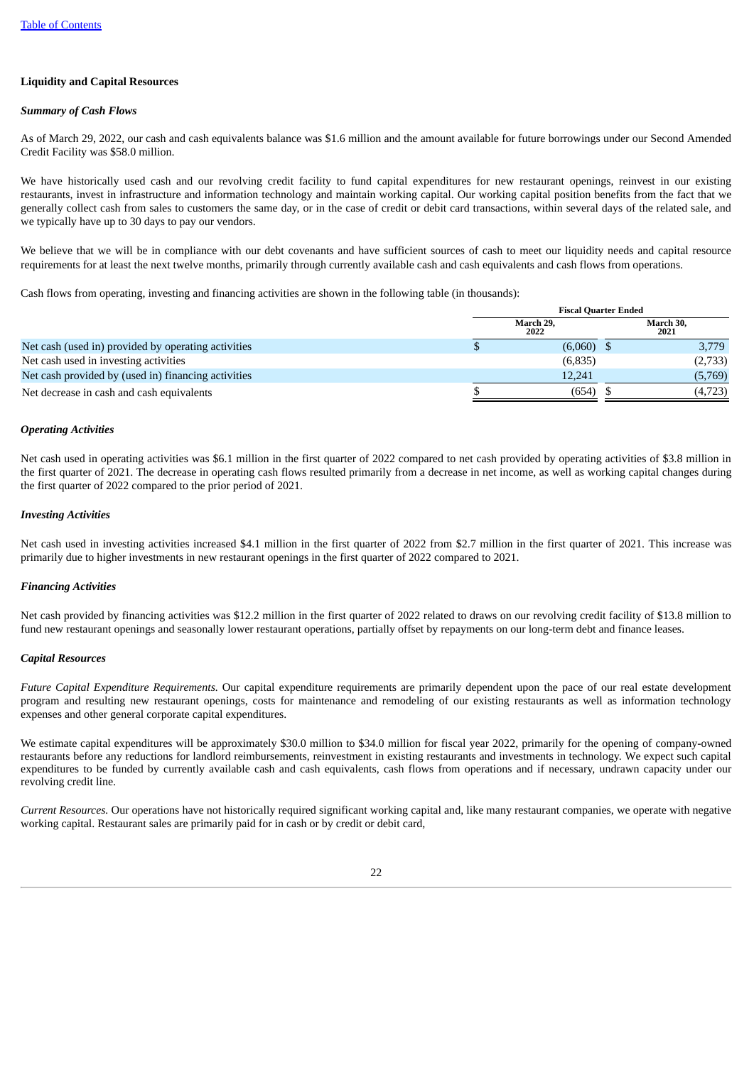## **Liquidity and Capital Resources**

#### *Summary of Cash Flows*

As of March 29, 2022, our cash and cash equivalents balance was \$1.6 million and the amount available for future borrowings under our Second Amended Credit Facility was \$58.0 million.

We have historically used cash and our revolving credit facility to fund capital expenditures for new restaurant openings, reinvest in our existing restaurants, invest in infrastructure and information technology and maintain working capital. Our working capital position benefits from the fact that we generally collect cash from sales to customers the same day, or in the case of credit or debit card transactions, within several days of the related sale, and we typically have up to 30 days to pay our vendors.

We believe that we will be in compliance with our debt covenants and have sufficient sources of cash to meet our liquidity needs and capital resource requirements for at least the next twelve months, primarily through currently available cash and cash equivalents and cash flows from operations.

Cash flows from operating, investing and financing activities are shown in the following table (in thousands):

|                                                     | <b>Fiscal Quarter Ended</b> |  |                   |
|-----------------------------------------------------|-----------------------------|--|-------------------|
|                                                     | March 29,<br>2022           |  | March 30,<br>2021 |
| Net cash (used in) provided by operating activities | $(6,060)$ \$                |  | 3,779             |
| Net cash used in investing activities               | (6,835)                     |  | (2,733)           |
| Net cash provided by (used in) financing activities | 12.241                      |  | (5,769)           |
| Net decrease in cash and cash equivalents           | (654)                       |  | (4, 723)          |

#### *Operating Activities*

Net cash used in operating activities was \$6.1 million in the first quarter of 2022 compared to net cash provided by operating activities of \$3.8 million in the first quarter of 2021. The decrease in operating cash flows resulted primarily from a decrease in net income, as well as working capital changes during the first quarter of 2022 compared to the prior period of 2021.

#### *Investing Activities*

Net cash used in investing activities increased \$4.1 million in the first quarter of 2022 from \$2.7 million in the first quarter of 2021. This increase was primarily due to higher investments in new restaurant openings in the first quarter of 2022 compared to 2021.

### *Financing Activities*

Net cash provided by financing activities was \$12.2 million in the first quarter of 2022 related to draws on our revolving credit facility of \$13.8 million to fund new restaurant openings and seasonally lower restaurant operations, partially offset by repayments on our long-term debt and finance leases.

### *Capital Resources*

*Future Capital Expenditure Requirements.* Our capital expenditure requirements are primarily dependent upon the pace of our real estate development program and resulting new restaurant openings, costs for maintenance and remodeling of our existing restaurants as well as information technology expenses and other general corporate capital expenditures.

We estimate capital expenditures will be approximately \$30.0 million to \$34.0 million for fiscal year 2022, primarily for the opening of company-owned restaurants before any reductions for landlord reimbursements, reinvestment in existing restaurants and investments in technology. We expect such capital expenditures to be funded by currently available cash and cash equivalents, cash flows from operations and if necessary, undrawn capacity under our revolving credit line.

*Current Resources.* Our operations have not historically required significant working capital and, like many restaurant companies, we operate with negative working capital. Restaurant sales are primarily paid for in cash or by credit or debit card,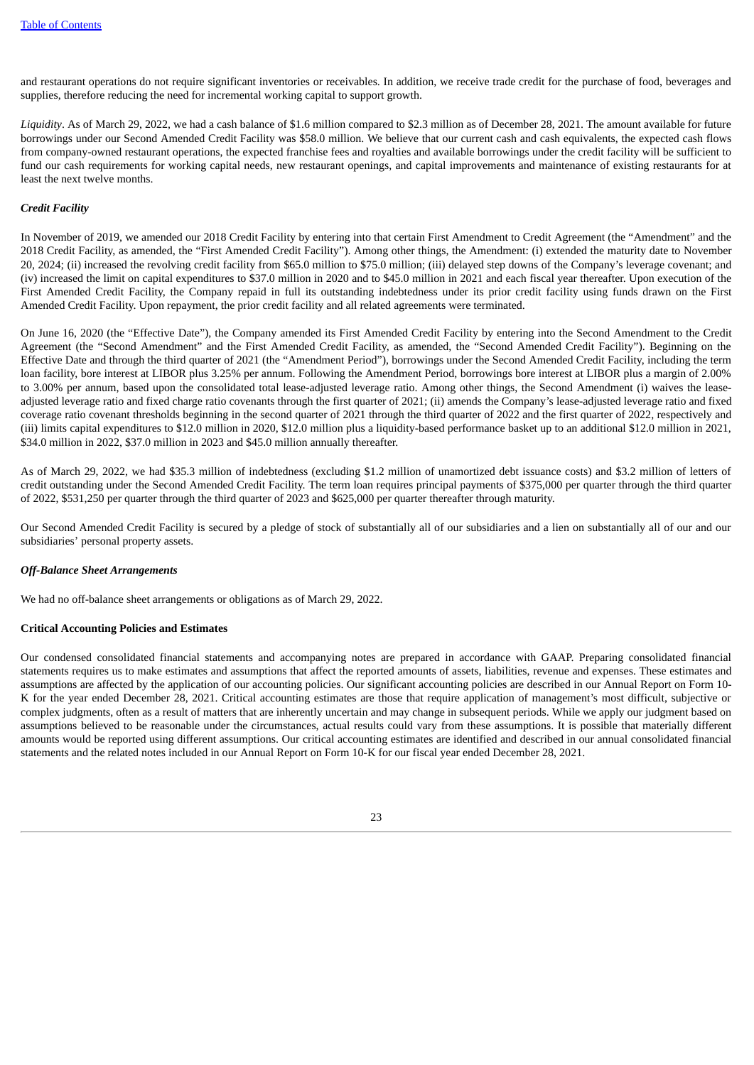and restaurant operations do not require significant inventories or receivables. In addition, we receive trade credit for the purchase of food, beverages and supplies, therefore reducing the need for incremental working capital to support growth.

*Liquidity*. As of March 29, 2022, we had a cash balance of \$1.6 million compared to \$2.3 million as of December 28, 2021. The amount available for future borrowings under our Second Amended Credit Facility was \$58.0 million. We believe that our current cash and cash equivalents, the expected cash flows from company-owned restaurant operations, the expected franchise fees and royalties and available borrowings under the credit facility will be sufficient to fund our cash requirements for working capital needs, new restaurant openings, and capital improvements and maintenance of existing restaurants for at least the next twelve months.

### *Credit Facility*

In November of 2019, we amended our 2018 Credit Facility by entering into that certain First Amendment to Credit Agreement (the "Amendment" and the 2018 Credit Facility, as amended, the "First Amended Credit Facility"). Among other things, the Amendment: (i) extended the maturity date to November 20, 2024; (ii) increased the revolving credit facility from \$65.0 million to \$75.0 million; (iii) delayed step downs of the Company's leverage covenant; and (iv) increased the limit on capital expenditures to \$37.0 million in 2020 and to \$45.0 million in 2021 and each fiscal year thereafter. Upon execution of the First Amended Credit Facility, the Company repaid in full its outstanding indebtedness under its prior credit facility using funds drawn on the First Amended Credit Facility. Upon repayment, the prior credit facility and all related agreements were terminated.

On June 16, 2020 (the "Effective Date"), the Company amended its First Amended Credit Facility by entering into the Second Amendment to the Credit Agreement (the "Second Amendment" and the First Amended Credit Facility, as amended, the "Second Amended Credit Facility"). Beginning on the Effective Date and through the third quarter of 2021 (the "Amendment Period"), borrowings under the Second Amended Credit Facility, including the term loan facility, bore interest at LIBOR plus 3.25% per annum. Following the Amendment Period, borrowings bore interest at LIBOR plus a margin of 2.00% to 3.00% per annum, based upon the consolidated total lease-adjusted leverage ratio. Among other things, the Second Amendment (i) waives the leaseadjusted leverage ratio and fixed charge ratio covenants through the first quarter of 2021; (ii) amends the Company's lease-adjusted leverage ratio and fixed coverage ratio covenant thresholds beginning in the second quarter of 2021 through the third quarter of 2022 and the first quarter of 2022, respectively and (iii) limits capital expenditures to \$12.0 million in 2020, \$12.0 million plus a liquidity-based performance basket up to an additional \$12.0 million in 2021, \$34.0 million in 2022, \$37.0 million in 2023 and \$45.0 million annually thereafter.

As of March 29, 2022, we had \$35.3 million of indebtedness (excluding \$1.2 million of unamortized debt issuance costs) and \$3.2 million of letters of credit outstanding under the Second Amended Credit Facility. The term loan requires principal payments of \$375,000 per quarter through the third quarter of 2022, \$531,250 per quarter through the third quarter of 2023 and \$625,000 per quarter thereafter through maturity.

Our Second Amended Credit Facility is secured by a pledge of stock of substantially all of our subsidiaries and a lien on substantially all of our and our subsidiaries' personal property assets.

#### *Off-Balance Sheet Arrangements*

We had no off-balance sheet arrangements or obligations as of March 29, 2022.

### **Critical Accounting Policies and Estimates**

<span id="page-23-0"></span>Our condensed consolidated financial statements and accompanying notes are prepared in accordance with GAAP. Preparing consolidated financial statements requires us to make estimates and assumptions that affect the reported amounts of assets, liabilities, revenue and expenses. These estimates and assumptions are affected by the application of our accounting policies. Our significant accounting policies are described in our Annual Report on Form 10- K for the year ended December 28, 2021. Critical accounting estimates are those that require application of management's most difficult, subjective or complex judgments, often as a result of matters that are inherently uncertain and may change in subsequent periods. While we apply our judgment based on assumptions believed to be reasonable under the circumstances, actual results could vary from these assumptions. It is possible that materially different amounts would be reported using different assumptions. Our critical accounting estimates are identified and described in our annual consolidated financial statements and the related notes included in our Annual Report on Form 10-K for our fiscal year ended December 28, 2021.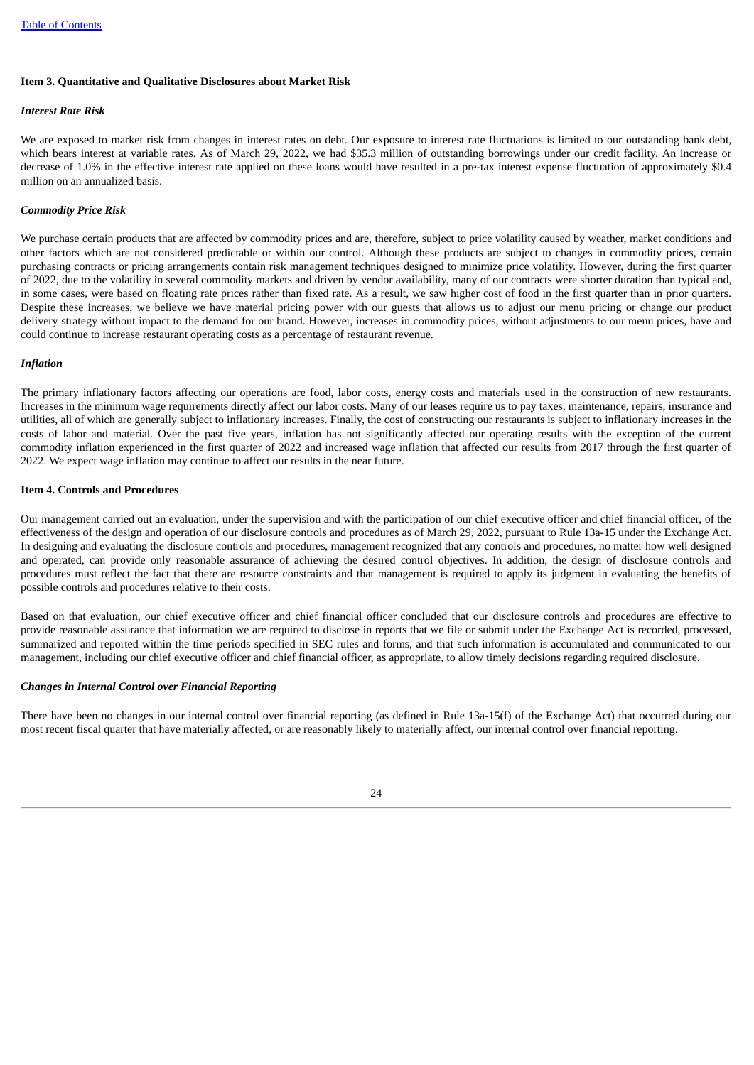### **Item 3. Quantitative and Qualitative Disclosures about Market Risk**

### *Interest Rate Risk*

We are exposed to market risk from changes in interest rates on debt. Our exposure to interest rate fluctuations is limited to our outstanding bank debt, which bears interest at variable rates. As of March 29, 2022, we had \$35.3 million of outstanding borrowings under our credit facility. An increase or decrease of 1.0% in the effective interest rate applied on these loans would have resulted in a pre-tax interest expense fluctuation of approximately \$0.4 million on an annualized basis.

## *Commodity Price Risk*

We purchase certain products that are affected by commodity prices and are, therefore, subject to price volatility caused by weather, market conditions and other factors which are not considered predictable or within our control. Although these products are subject to changes in commodity prices, certain purchasing contracts or pricing arrangements contain risk management techniques designed to minimize price volatility. However, during the first quarter of 2022, due to the volatility in several commodity markets and driven by vendor availability, many of our contracts were shorter duration than typical and, in some cases, were based on floating rate prices rather than fixed rate. As a result, we saw higher cost of food in the first quarter than in prior quarters. Despite these increases, we believe we have material pricing power with our guests that allows us to adjust our menu pricing or change our product delivery strategy without impact to the demand for our brand. However, increases in commodity prices, without adjustments to our menu prices, have and could continue to increase restaurant operating costs as a percentage of restaurant revenue.

## *Inflation*

The primary inflationary factors affecting our operations are food, labor costs, energy costs and materials used in the construction of new restaurants. Increases in the minimum wage requirements directly affect our labor costs. Many of our leases require us to pay taxes, maintenance, repairs, insurance and utilities, all of which are generally subject to inflationary increases. Finally, the cost of constructing our restaurants is subject to inflationary increases in the costs of labor and material. Over the past five years, inflation has not significantly affected our operating results with the exception of the current commodity inflation experienced in the first quarter of 2022 and increased wage inflation that affected our results from 2017 through the first quarter of 2022. We expect wage inflation may continue to affect our results in the near future.

### <span id="page-24-0"></span>**Item 4. Controls and Procedures**

Our management carried out an evaluation, under the supervision and with the participation of our chief executive officer and chief financial officer, of the effectiveness of the design and operation of our disclosure controls and procedures as of March 29, 2022, pursuant to Rule 13a-15 under the Exchange Act. In designing and evaluating the disclosure controls and procedures, management recognized that any controls and procedures, no matter how well designed and operated, can provide only reasonable assurance of achieving the desired control objectives. In addition, the design of disclosure controls and procedures must reflect the fact that there are resource constraints and that management is required to apply its judgment in evaluating the benefits of possible controls and procedures relative to their costs.

Based on that evaluation, our chief executive officer and chief financial officer concluded that our disclosure controls and procedures are effective to provide reasonable assurance that information we are required to disclose in reports that we file or submit under the Exchange Act is recorded, processed, summarized and reported within the time periods specified in SEC rules and forms, and that such information is accumulated and communicated to our management, including our chief executive officer and chief financial officer, as appropriate, to allow timely decisions regarding required disclosure.

## *Changes in Internal Control over Financial Reporting*

<span id="page-24-1"></span>There have been no changes in our internal control over financial reporting (as defined in Rule 13a-15(f) of the Exchange Act) that occurred during our most recent fiscal quarter that have materially affected, or are reasonably likely to materially affect, our internal control over financial reporting.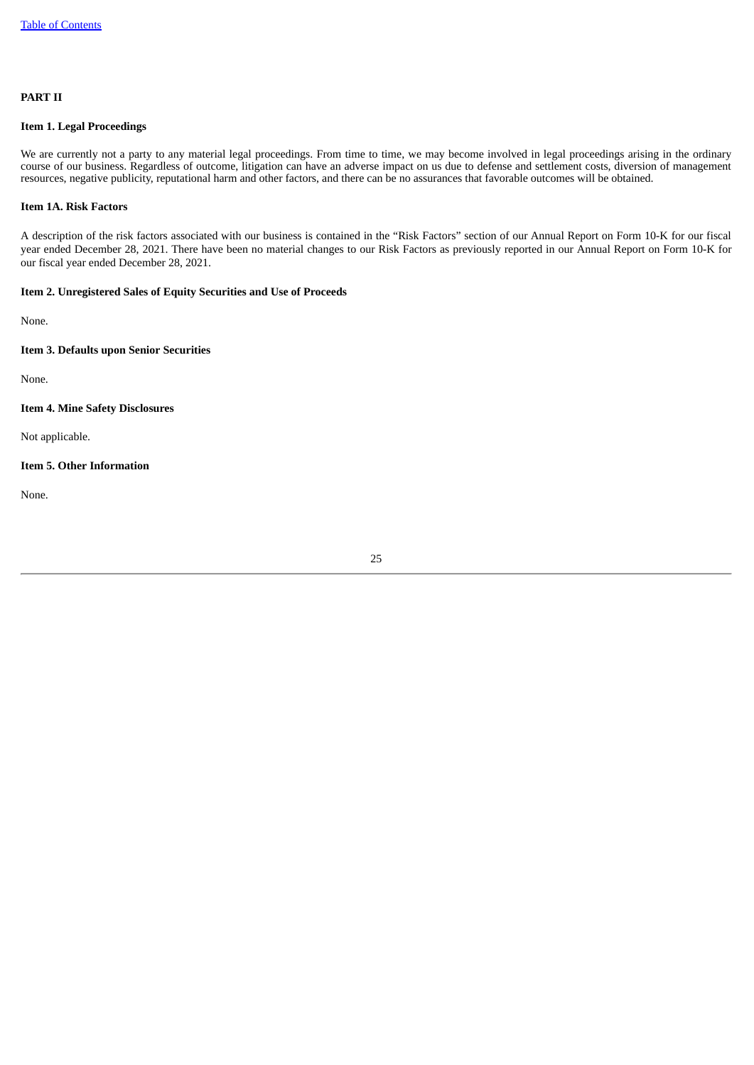## **PART II**

#### <span id="page-25-0"></span>**Item 1. Legal Proceedings**

We are currently not a party to any material legal proceedings. From time to time, we may become involved in legal proceedings arising in the ordinary course of our business. Regardless of outcome, litigation can have an adverse impact on us due to defense and settlement costs, diversion of management resources, negative publicity, reputational harm and other factors, and there can be no assurances that favorable outcomes will be obtained.

## <span id="page-25-1"></span>**Item 1A. Risk Factors**

A description of the risk factors associated with our business is contained in the "Risk Factors" section of our Annual Report on Form 10-K for our fiscal year ended December 28, 2021. There have been no material changes to our Risk Factors as previously reported in our Annual Report on Form 10-K for our fiscal year ended December 28, 2021.

## <span id="page-25-2"></span>**Item 2. Unregistered Sales of Equity Securities and Use of Proceeds**

None.

#### <span id="page-25-3"></span>**Item 3. Defaults upon Senior Securities**

None.

### <span id="page-25-4"></span>**Item 4. Mine Safety Disclosures**

Not applicable.

## <span id="page-25-5"></span>**Item 5. Other Information**

<span id="page-25-6"></span>None.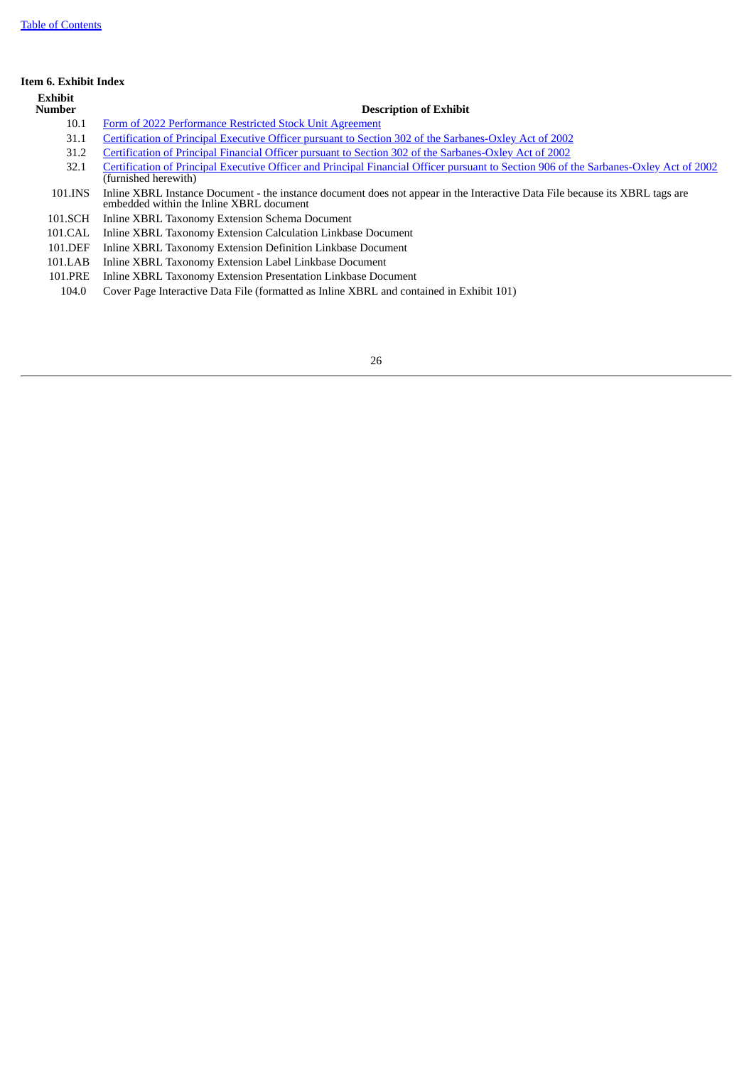**Exhibit**

### **Item 6. Exhibit Index**

#### **Number Description** of **Exhibit**

- 10.1 Form of 2022 [Performance](#page-28-0) Restricted Stock Unit Agreement
- 31.1 Certification of Principal Executive Officer pursuant to Section 302 of the [Sarbanes-Oxley](#page-40-0) Act of 2002
- 31.2 Certification of Principal Financial Officer pursuant to Section 302 of the [Sarbanes-Oxley](#page-41-0) Act of 2002
- 32.1 Certification of Principal Executive Officer and Principal Financial Officer pursuant to Section 906 of the [Sarbanes-Oxley](#page-42-0) Act of 2002 (furnished herewith)
- 101.INS Inline XBRL Instance Document the instance document does not appear in the Interactive Data File because its XBRL tags are embedded within the Inline XBRL document
- 101.SCH Inline XBRL Taxonomy Extension Schema Document
- 101.CAL Inline XBRL Taxonomy Extension Calculation Linkbase Document
- 101.DEF Inline XBRL Taxonomy Extension Definition Linkbase Document
- 101.LAB Inline XBRL Taxonomy Extension Label Linkbase Document
- 101.PRE Inline XBRL Taxonomy Extension Presentation Linkbase Document
- <span id="page-26-0"></span>104.0 Cover Page Interactive Data File (formatted as Inline XBRL and contained in Exhibit 101)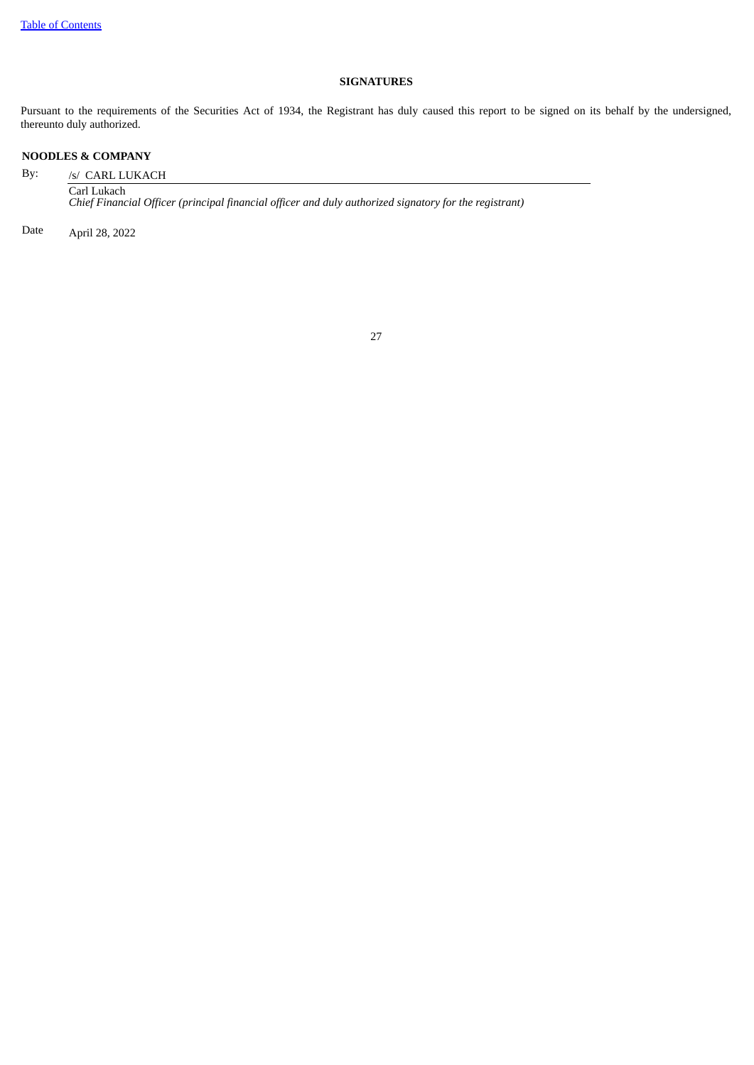## **SIGNATURES**

Pursuant to the requirements of the Securities Act of 1934, the Registrant has duly caused this report to be signed on its behalf by the undersigned, thereunto duly authorized.

## **NOODLES & COMPANY**

| By: | /s/ CARL LUKACH                                                                                                       |
|-----|-----------------------------------------------------------------------------------------------------------------------|
|     | Carl Lukach<br>Chief Financial Officer (principal financial officer and duly authorized signatory for the registrant) |

Date April 28, 2022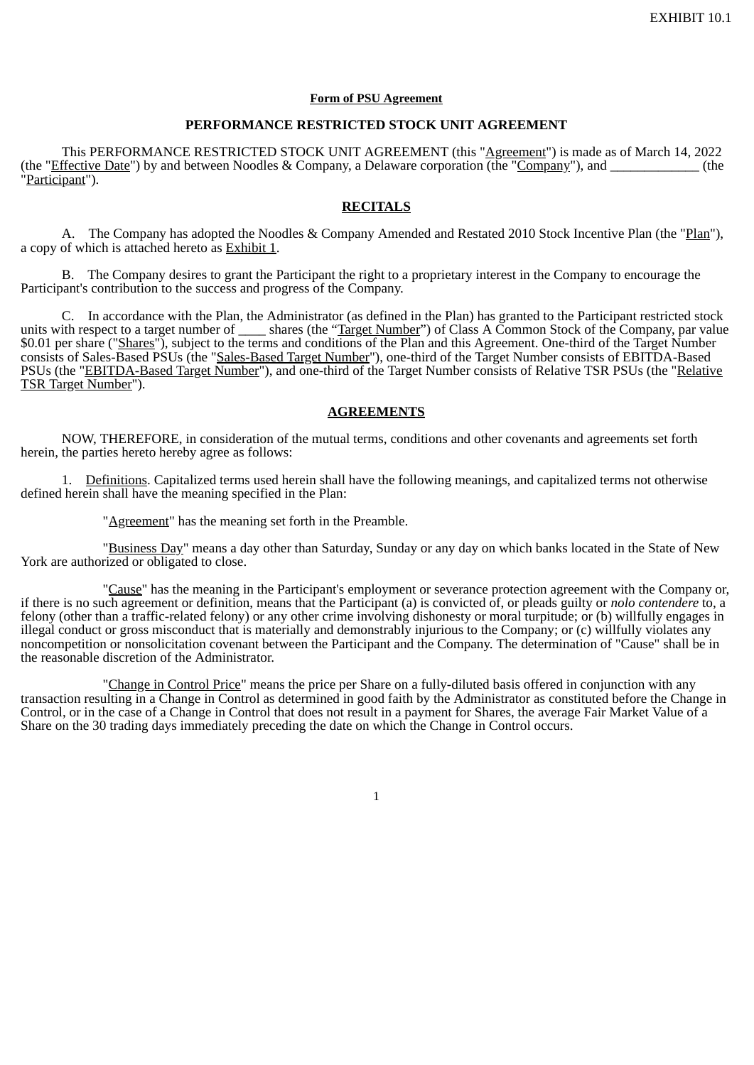## **Form of PSU Agreement**

## **PERFORMANCE RESTRICTED STOCK UNIT AGREEMENT**

<span id="page-28-0"></span>This PERFORMANCE RESTRICTED STOCK UNIT AGREEMENT (this "Agreement") is made as of March 14, 2022 (the "Effective Date") by and between Noodles & Company, a Delaware corporation (the "Company"), and  $($ the Participant").

## **RECITALS**

A. The Company has adopted the Noodles & Company Amended and Restated 2010 Stock Incentive Plan (the "Plan"), a copy of which is attached hereto as Exhibit 1.

B. The Company desires to grant the Participant the right to a proprietary interest in the Company to encourage the Participant's contribution to the success and progress of the Company.

C. In accordance with the Plan, the Administrator (as defined in the Plan) has granted to the Participant restricted stock units with respect to a target number of \_\_\_\_\_ shares (the "<u>Target Number</u>") of Class A Common Stock of the Company, par value \$0.01 per share ("Shares"), subject to the terms and conditions of the Plan and this Agreement. One-third of the Target Number consists of Sales-Based PSUs (the "Sales-Based Target Number"), one-third of the Target Number consists of EBITDA-Based PSUs (the "EBITDA-Based Target Number"), and one-third of the Target Number consists of Relative TSR PSUs (the "Relative TSR Target Number").

## **AGREEMENTS**

NOW, THEREFORE, in consideration of the mutual terms, conditions and other covenants and agreements set forth herein, the parties hereto hereby agree as follows:

1. Definitions. Capitalized terms used herein shall have the following meanings, and capitalized terms not otherwise defined herein shall have the meaning specified in the Plan:

"Agreement" has the meaning set forth in the Preamble.

"Business Day" means a day other than Saturday, Sunday or any day on which banks located in the State of New York are authorized or obligated to close.

"Cause" has the meaning in the Participant's employment or severance protection agreement with the Company or, if there is no such agreement or definition, means that the Participant (a) is convicted of, or pleads guilty or *nolo contendere* to, a felony (other than a traffic-related felony) or any other crime involving dishonesty or moral turpitude; or (b) willfully engages in illegal conduct or gross misconduct that is materially and demonstrably injurious to the Company; or (c) willfully violates any noncompetition or nonsolicitation covenant between the Participant and the Company. The determination of "Cause" shall be in the reasonable discretion of the Administrator.

"Change in Control Price" means the price per Share on a fully-diluted basis offered in conjunction with any transaction resulting in a Change in Control as determined in good faith by the Administrator as constituted before the Change in Control, or in the case of a Change in Control that does not result in a payment for Shares, the average Fair Market Value of a Share on the 30 trading days immediately preceding the date on which the Change in Control occurs.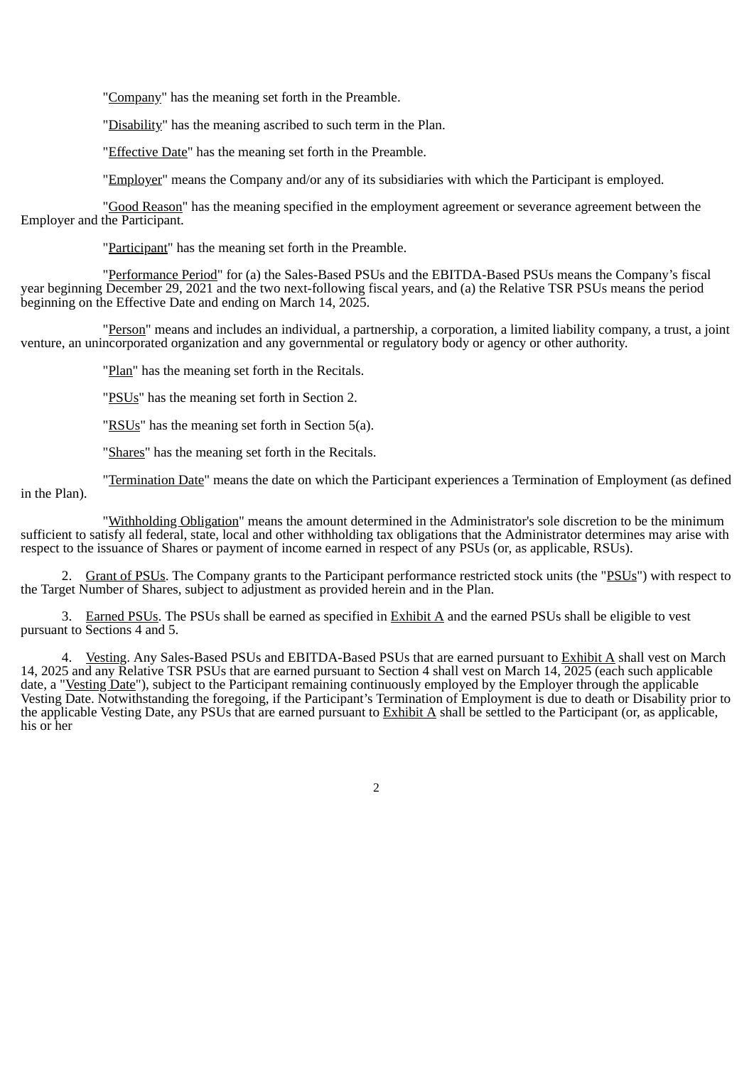"Company" has the meaning set forth in the Preamble.

"Disability" has the meaning ascribed to such term in the Plan.

"Effective Date" has the meaning set forth in the Preamble.

"Employer" means the Company and/or any of its subsidiaries with which the Participant is employed.

"Good Reason" has the meaning specified in the employment agreement or severance agreement between the Employer and the Participant.

"Participant" has the meaning set forth in the Preamble.

"Performance Period" for (a) the Sales-Based PSUs and the EBITDA-Based PSUs means the Company's fiscal year beginning December 29, 2021 and the two next-following fiscal years, and (a) the Relative TSR PSUs means the period beginning on the Effective Date and ending on March 14, 2025.

"Person" means and includes an individual, a partnership, a corporation, a limited liability company, a trust, a joint venture, an unincorporated organization and any governmental or regulatory body or agency or other authority.

"Plan" has the meaning set forth in the Recitals.

"PSUs" has the meaning set forth in Section 2.

"RSUs" has the meaning set forth in Section 5(a).

"Shares" has the meaning set forth in the Recitals.

"Termination Date" means the date on which the Participant experiences a Termination of Employment (as defined in the Plan).

"Withholding Obligation" means the amount determined in the Administrator's sole discretion to be the minimum sufficient to satisfy all federal, state, local and other withholding tax obligations that the Administrator determines may arise with respect to the issuance of Shares or payment of income earned in respect of any PSUs (or, as applicable, RSUs).

2. Grant of PSUs. The Company grants to the Participant performance restricted stock units (the "PSUs") with respect to the Target Number of Shares, subject to adjustment as provided herein and in the Plan.

3. Earned PSUs. The PSUs shall be earned as specified in Exhibit A and the earned PSUs shall be eligible to vest pursuant to Sections 4 and 5.

4. Vesting. Any Sales-Based PSUs and EBITDA-Based PSUs that are earned pursuant to Exhibit A shall vest on March 14, 2025 and any Relative TSR PSUs that are earned pursuant to Section 4 shall vest on March 14, 2025 (each such applicable date, a "Vesting Date"), subject to the Participant remaining continuously employed by the Employer through the applicable Vesting Date. Notwithstanding the foregoing, if the Participant's Termination of Employment is due to death or Disability prior to the applicable Vesting Date, any PSUs that are earned pursuant to **Exhibit A** shall be settled to the Participant (or, as applicable, his or her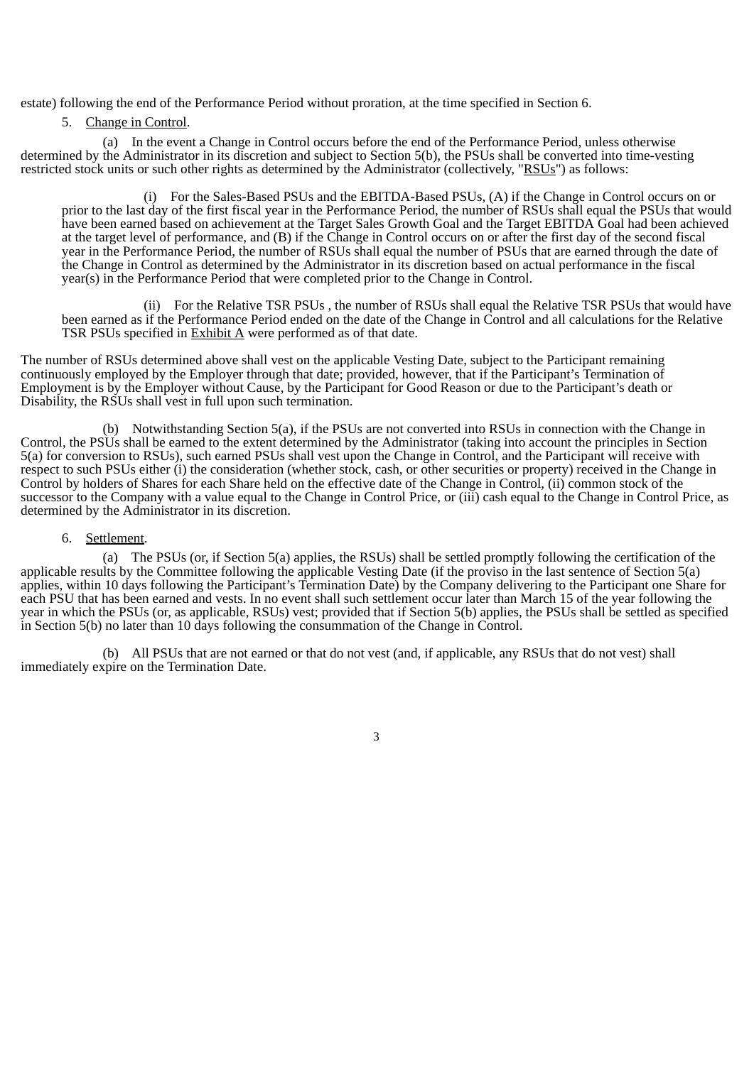estate) following the end of the Performance Period without proration, at the time specified in Section 6.

## 5. Change in Control.

(a) In the event a Change in Control occurs before the end of the Performance Period, unless otherwise determined by the Administrator in its discretion and subject to Section 5(b), the PSUs shall be converted into time-vesting restricted stock units or such other rights as determined by the Administrator (collectively, "RSUs") as follows:

(i) For the Sales-Based PSUs and the EBITDA-Based PSUs, (A) if the Change in Control occurs on or prior to the last day of the first fiscal year in the Performance Period, the number of RSUs shall equal the PSUs that would have been earned based on achievement at the Target Sales Growth Goal and the Target EBITDA Goal had been achieved at the target level of performance, and (B) if the Change in Control occurs on or after the first day of the second fiscal year in the Performance Period, the number of RSUs shall equal the number of PSUs that are earned through the date of the Change in Control as determined by the Administrator in its discretion based on actual performance in the fiscal year(s) in the Performance Period that were completed prior to the Change in Control.

(ii) For the Relative TSR PSUs , the number of RSUs shall equal the Relative TSR PSUs that would have been earned as if the Performance Period ended on the date of the Change in Control and all calculations for the Relative TSR PSUs specified in  $Exhibit A$  were performed as of that date.

The number of RSUs determined above shall vest on the applicable Vesting Date, subject to the Participant remaining continuously employed by the Employer through that date; provided, however, that if the Participant's Termination of Employment is by the Employer without Cause, by the Participant for Good Reason or due to the Participant's death or Disability, the RSUs shall vest in full upon such termination.

(b) Notwithstanding Section 5(a), if the PSUs are not converted into RSUs in connection with the Change in Control, the PSUs shall be earned to the extent determined by the Administrator (taking into account the principles in Section 5(a) for conversion to RSUs), such earned PSUs shall vest upon the Change in Control, and the Participant will receive with respect to such PSUs either (i) the consideration (whether stock, cash, or other securities or property) received in the Change in Control by holders of Shares for each Share held on the effective date of the Change in Control, (ii) common stock of the successor to the Company with a value equal to the Change in Control Price, or (iii) cash equal to the Change in Control Price, as determined by the Administrator in its discretion.

## 6. Settlement.

(a) The PSUs (or, if Section 5(a) applies, the RSUs) shall be settled promptly following the certification of the applicable results by the Committee following the applicable Vesting Date (if the proviso in the last sentence of Section 5(a) applies, within 10 days following the Participant's Termination Date) by the Company delivering to the Participant one Share for each PSU that has been earned and vests. In no event shall such settlement occur later than March 15 of the year following the year in which the PSUs (or, as applicable, RSUs) vest; provided that if Section 5(b) applies, the PSUs shall be settled as specified in Section 5(b) no later than 10 days following the consummation of the Change in Control.

(b) All PSUs that are not earned or that do not vest (and, if applicable, any RSUs that do not vest) shall immediately expire on the Termination Date.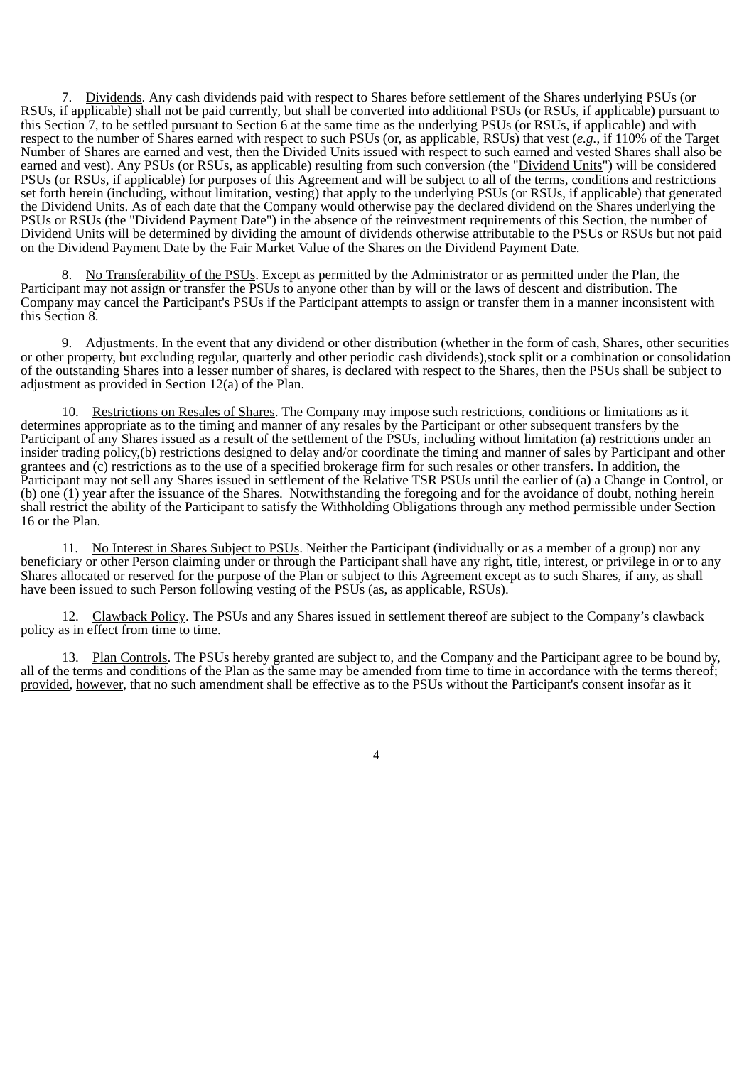7. Dividends. Any cash dividends paid with respect to Shares before settlement of the Shares underlying PSUs (or RSUs, if applicable) shall not be paid currently, but shall be converted into additional PSUs (or RSUs, if applicable) pursuant to this Section 7, to be settled pursuant to Section 6 at the same time as the underlying PSUs (or RSUs, if applicable) and with respect to the number of Shares earned with respect to such PSUs (or, as applicable, RSUs) that vest (*e.g.*, if 110% of the Target Number of Shares are earned and vest, then the Divided Units issued with respect to such earned and vested Shares shall also be earned and vest). Any PSUs (or RSUs, as applicable) resulting from such conversion (the "Dividend Units") will be considered PSUs (or RSUs, if applicable) for purposes of this Agreement and will be subject to all of the terms, conditions and restrictions set forth herein (including, without limitation, vesting) that apply to the underlying PSUs (or RSUs, if applicable) that generated the Dividend Units. As of each date that the Company would otherwise pay the declared dividend on the Shares underlying the PSUs or RSUs (the "Dividend Payment Date") in the absence of the reinvestment requirements of this Section, the number of Dividend Units will be determined by dividing the amount of dividends otherwise attributable to the PSUs or RSUs but not paid on the Dividend Payment Date by the Fair Market Value of the Shares on the Dividend Payment Date.

8. No Transferability of the PSUs. Except as permitted by the Administrator or as permitted under the Plan, the Participant may not assign or transfer the PSUs to anyone other than by will or the laws of descent and distribution. The Company may cancel the Participant's PSUs if the Participant attempts to assign or transfer them in a manner inconsistent with this Section 8.

9. Adjustments. In the event that any dividend or other distribution (whether in the form of cash, Shares, other securities or other property, but excluding regular, quarterly and other periodic cash dividends),stock split or a combination or consolidation of the outstanding Shares into a lesser number of shares, is declared with respect to the Shares, then the PSUs shall be subject to adjustment as provided in Section 12(a) of the Plan.

10. Restrictions on Resales of Shares. The Company may impose such restrictions, conditions or limitations as it determines appropriate as to the timing and manner of any resales by the Participant or other subsequent transfers by the Participant of any Shares issued as a result of the settlement of the PSUs, including without limitation (a) restrictions under an insider trading policy,(b) restrictions designed to delay and/or coordinate the timing and manner of sales by Participant and other grantees and  $\overrightarrow{c}$ ) restrictions as to the use of a specified brokerage firm for such resales or other transfers. In addition, the Participant may not sell any Shares issued in settlement of the Relative TSR PSUs until the earlier of (a) a Change in Control, or (b) one (1) year after the issuance of the Shares. Notwithstanding the foregoing and for the avoidance of doubt, nothing herein shall restrict the ability of the Participant to satisfy the Withholding Obligations through any method permissible under Section 16 or the Plan.

11. No Interest in Shares Subject to PSUs. Neither the Participant (individually or as a member of a group) nor any beneficiary or other Person claiming under or through the Participant shall have any right, title, interest, or privilege in or to any Shares allocated or reserved for the purpose of the Plan or subject to this Agreement except as to such Shares, if any, as shall have been issued to such Person following vesting of the PSUs (as, as applicable, RSUs).

12. Clawback Policy. The PSUs and any Shares issued in settlement thereof are subject to the Company's clawback policy as in effect from time to time.

13. Plan Controls. The PSUs hereby granted are subject to, and the Company and the Participant agree to be bound by, all of the terms and conditions of the Plan as the same may be amended from time to time in accordance with the terms thereof; provided, however, that no such amendment shall be effective as to the PSUs without the Participant's consent insofar as it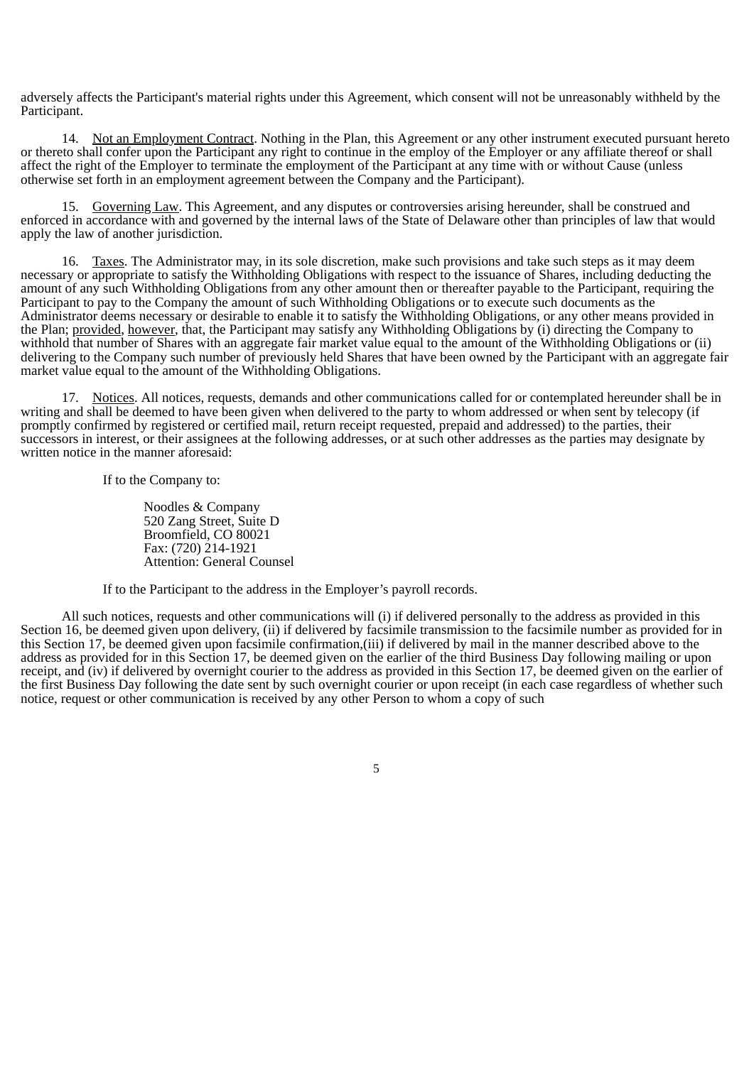adversely affects the Participant's material rights under this Agreement, which consent will not be unreasonably withheld by the Participant.

14. Not an Employment Contract. Nothing in the Plan, this Agreement or any other instrument executed pursuant hereto or thereto shall confer upon the Participant any right to continue in the employ of the Employer or any affiliate thereof or shall affect the right of the Employer to terminate the employment of the Participant at any time with or without Cause (unless otherwise set forth in an employment agreement between the Company and the Participant).

15. Governing Law. This Agreement, and any disputes or controversies arising hereunder, shall be construed and enforced in accordance with and governed by the internal laws of the State of Delaware other than principles of law that would apply the law of another jurisdiction.

16. Taxes. The Administrator may, in its sole discretion, make such provisions and take such steps as it may deem necessary or appropriate to satisfy the Withholding Obligations with respect to the issuance of Shares, including deducting the amount of any such Withholding Obligations from any other amount then or thereafter payable to the Participant, requiring the Participant to pay to the Company the amount of such Withholding Obligations or to execute such documents as the Administrator deems necessary or desirable to enable it to satisfy the Withholding Obligations, or any other means provided in the Plan; provided, however, that, the Participant may satisfy any Withholding Obligations by (i) directing the Company to withhold that number of Shares with an aggregate fair market value equal to the amount of the Withholding Obligations or (ii) delivering to the Company such number of previously held Shares that have been owned by the Participant with an aggregate fair market value equal to the amount of the Withholding Obligations.

17. Notices. All notices, requests, demands and other communications called for or contemplated hereunder shall be in writing and shall be deemed to have been given when delivered to the party to whom addressed or when sent by telecopy (if promptly confirmed by registered or certified mail, return receipt requested, prepaid and addressed) to the parties, their successors in interest, or their assignees at the following addresses, or at such other addresses as the parties may designate by written notice in the manner aforesaid:

If to the Company to:

Noodles & Company 520 Zang Street, Suite D Broomfield, CO 80021 Fax: (720) 214-1921 Attention: General Counsel

If to the Participant to the address in the Employer's payroll records.

All such notices, requests and other communications will (i) if delivered personally to the address as provided in this Section 16, be deemed given upon delivery, (ii) if delivered by facsimile transmission to the facsimile number as provided for in this Section 17, be deemed given upon facsimile confirmation,(iii) if delivered by mail in the manner described above to the address as provided for in this Section 17, be deemed given on the earlier of the third Business Day following mailing or upon receipt, and (iv) if delivered by overnight courier to the address as provided in this Section 17, be deemed given on the earlier of the first Business Day following the date sent by such overnight courier or upon receipt (in each case regardless of whether such notice, request or other communication is received by any other Person to whom a copy of such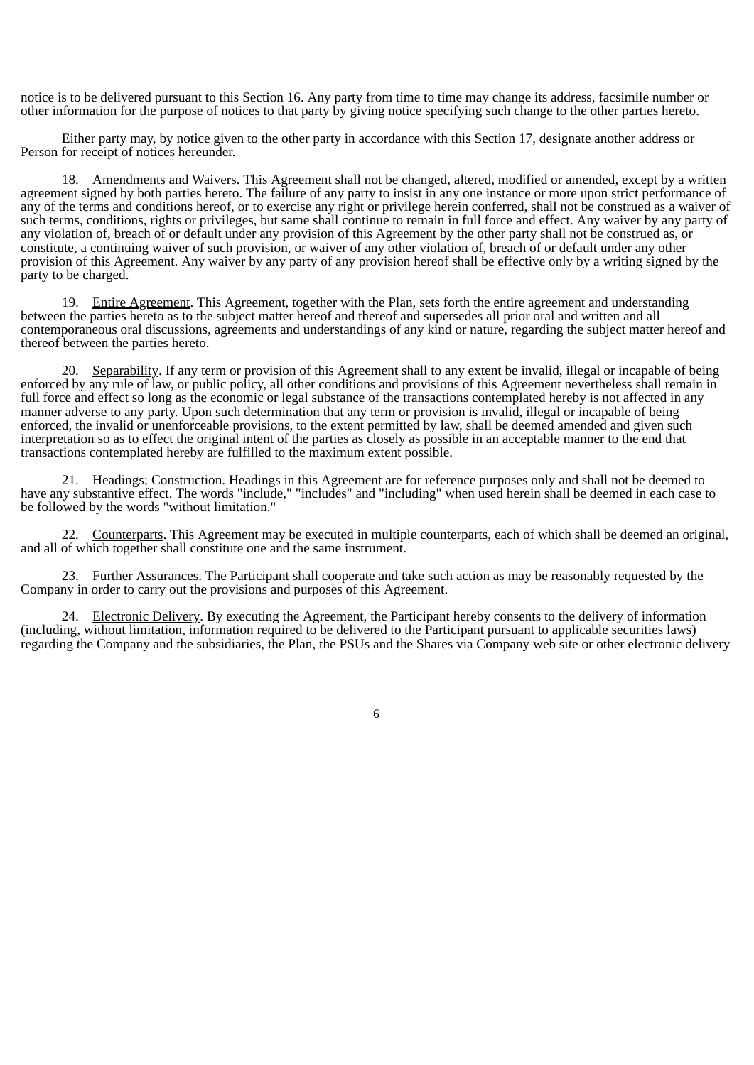notice is to be delivered pursuant to this Section 16. Any party from time to time may change its address, facsimile number or other information for the purpose of notices to that party by giving notice specifying such change to the other parties hereto.

Either party may, by notice given to the other party in accordance with this Section 17, designate another address or Person for receipt of notices hereunder.

18. Amendments and Waivers. This Agreement shall not be changed, altered, modified or amended, except by a written agreement signed by both parties hereto. The failure of any party to insist in any one instance or more upon strict performance of any of the terms and conditions hereof, or to exercise any right or privilege herein conferred, shall not be construed as a waiver of such terms, conditions, rights or privileges, but same shall continue to remain in full force and effect. Any waiver by any party of any violation of, breach of or default under any provision of this Agreement by the other party shall not be construed as, or constitute, a continuing waiver of such provision, or waiver of any other violation of, breach of or default under any other provision of this Agreement. Any waiver by any party of any provision hereof shall be effective only by a writing signed by the party to be charged.

19. Entire Agreement. This Agreement, together with the Plan, sets forth the entire agreement and understanding between the parties hereto as to the subject matter hereof and thereof and supersedes all prior oral and written and all contemporaneous oral discussions, agreements and understandings of any kind or nature, regarding the subject matter hereof and thereof between the parties hereto.

20. Separability. If any term or provision of this Agreement shall to any extent be invalid, illegal or incapable of being enforced by any rule of law, or public policy, all other conditions and provisions of this Agreement nevertheless shall remain in full force and effect so long as the economic or legal substance of the transactions contemplated hereby is not affected in any manner adverse to any party. Upon such determination that any term or provision is invalid, illegal or incapable of being enforced, the invalid or unenforceable provisions, to the extent permitted by law, shall be deemed amended and given such interpretation so as to effect the original intent of the parties as closely as possible in an acceptable manner to the end that transactions contemplated hereby are fulfilled to the maximum extent possible.

21. Headings; Construction. Headings in this Agreement are for reference purposes only and shall not be deemed to have any substantive effect. The words "include," "includes" and "including" when used herein shall be deemed in each case to be followed by the words "without limitation."

22. Counterparts. This Agreement may be executed in multiple counterparts, each of which shall be deemed an original, and all of which together shall constitute one and the same instrument.

23. Further Assurances. The Participant shall cooperate and take such action as may be reasonably requested by the Company in order to carry out the provisions and purposes of this Agreement.

24. Electronic Delivery. By executing the Agreement, the Participant hereby consents to the delivery of information (including, without limitation, information required to be delivered to the Participant pursuant to applicable securities laws) regarding the Company and the subsidiaries, the Plan, the PSUs and the Shares via Company web site or other electronic delivery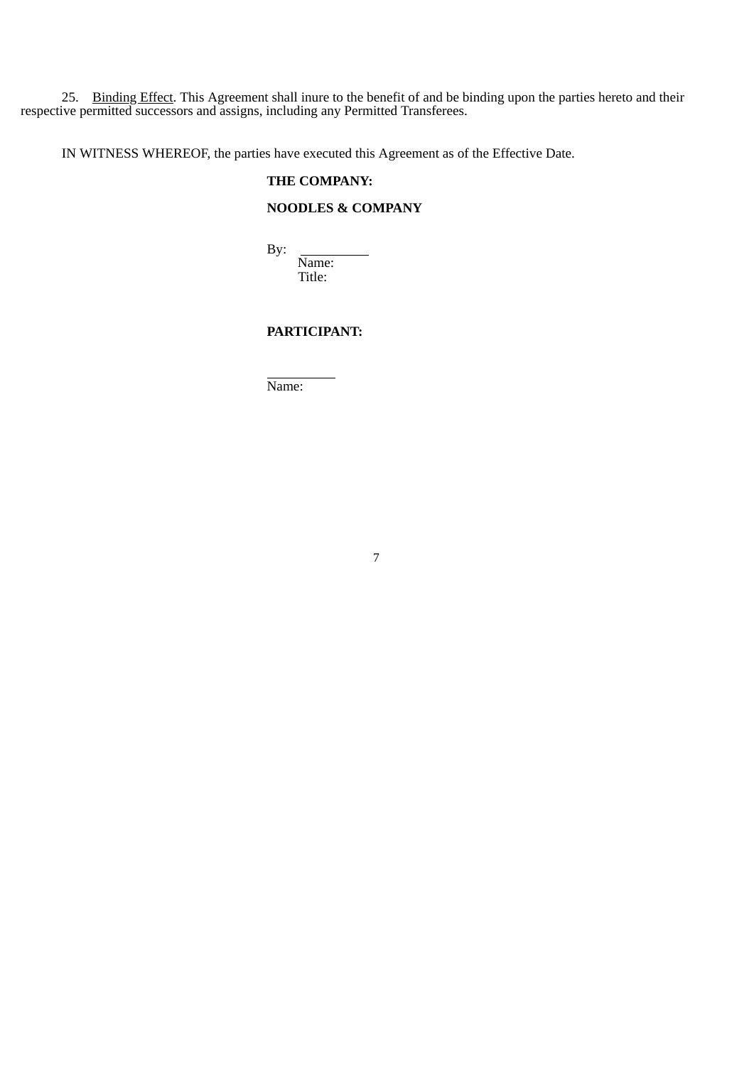25. Binding Effect. This Agreement shall inure to the benefit of and be binding upon the parties hereto and their respective permitted successors and assigns, including any Permitted Transferees.

IN WITNESS WHEREOF, the parties have executed this Agreement as of the Effective Date.

## **THE COMPANY:**

# **NOODLES & COMPANY**

By:

Name: Title:

# **PARTICIPANT:**

Name:

 $\overline{a}$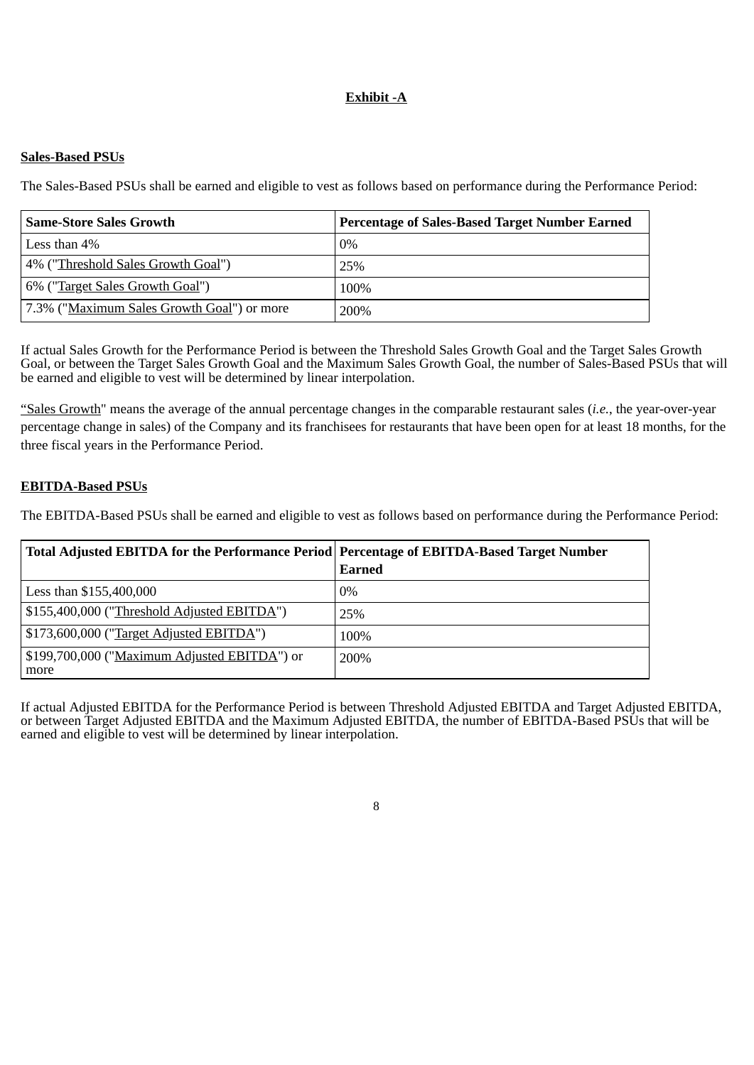# **Exhibit -A**

# **Sales-Based PSUs**

The Sales-Based PSUs shall be earned and eligible to vest as follows based on performance during the Performance Period:

| <b>Same-Store Sales Growth</b>             | <b>Percentage of Sales-Based Target Number Earned</b> |
|--------------------------------------------|-------------------------------------------------------|
| Less than $4\%$                            | $0\%$                                                 |
| 4% ("Threshold Sales Growth Goal")         | 25%                                                   |
| 6% ("Target Sales Growth Goal")            | 100%                                                  |
| 7.3% ("Maximum Sales Growth Goal") or more | 200%                                                  |

If actual Sales Growth for the Performance Period is between the Threshold Sales Growth Goal and the Target Sales Growth Goal, or between the Target Sales Growth Goal and the Maximum Sales Growth Goal, the number of Sales-Based PSUs that will be earned and eligible to vest will be determined by linear interpolation.

"Sales Growth" means the average of the annual percentage changes in the comparable restaurant sales (*i.e.*, the year-over-year percentage change in sales) of the Company and its franchisees for restaurants that have been open for at least 18 months, for the three fiscal years in the Performance Period.

# **EBITDA-Based PSUs**

The EBITDA-Based PSUs shall be earned and eligible to vest as follows based on performance during the Performance Period:

| Total Adjusted EBITDA for the Performance Period Percentage of EBITDA-Based Target Number |        |
|-------------------------------------------------------------------------------------------|--------|
|                                                                                           | Earned |
| Less than \$155,400,000                                                                   | $0\%$  |
| \$155,400,000 ("Threshold Adjusted EBITDA")                                               | 25%    |
| $$173,600,000$ ("Target Adjusted EBITDA")                                                 | 100%   |
| \$199,700,000 ("Maximum Adjusted EBITDA") or<br>more                                      | 200%   |

If actual Adjusted EBITDA for the Performance Period is between Threshold Adjusted EBITDA and Target Adjusted EBITDA, or between Target Adjusted EBITDA and the Maximum Adjusted EBITDA, the number of EBITDA-Based PSUs that will be earned and eligible to vest will be determined by linear interpolation.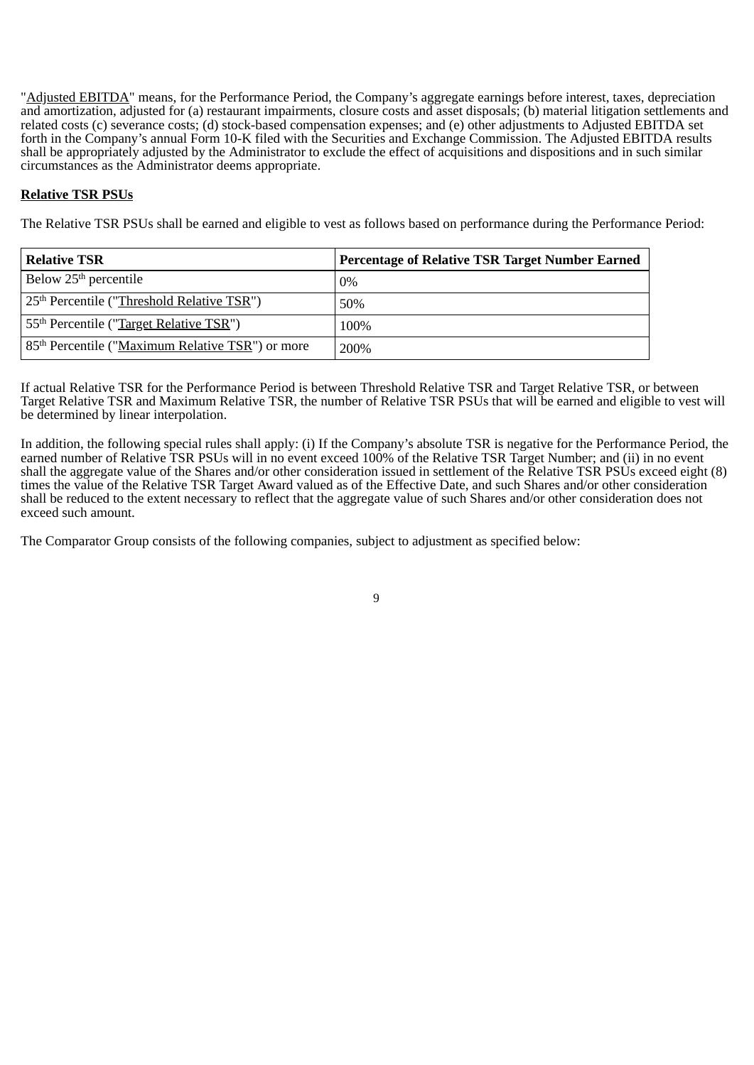"Adjusted EBITDA" means, for the Performance Period, the Company's aggregate earnings before interest, taxes, depreciation and amortization, adjusted for (a) restaurant impairments, closure costs and asset disposals; (b) material litigation settlements and related costs (c) severance costs; (d) stock-based compensation expenses; and (e) other adjustments to Adjusted EBITDA set forth in the Company's annual Form 10-K filed with the Securities and Exchange Commission. The Adjusted EBITDA results shall be appropriately adjusted by the Administrator to exclude the effect of acquisitions and dispositions and in such similar circumstances as the Administrator deems appropriate.

## **Relative TSR PSUs**

The Relative TSR PSUs shall be earned and eligible to vest as follows based on performance during the Performance Period:

| <b>Relative TSR</b>                                          | <b>Percentage of Relative TSR Target Number Earned</b> |
|--------------------------------------------------------------|--------------------------------------------------------|
| Below $25th$ percentile                                      | $0\%$                                                  |
| 25 <sup>th</sup> Percentile ("Threshold Relative TSR")       | 50%                                                    |
| 55 <sup>th</sup> Percentile ("Target Relative TSR")          | 100%                                                   |
| 85 <sup>th</sup> Percentile ("Maximum Relative TSR") or more | 200\%                                                  |

If actual Relative TSR for the Performance Period is between Threshold Relative TSR and Target Relative TSR, or between Target Relative TSR and Maximum Relative TSR, the number of Relative TSR PSUs that will be earned and eligible to vest will be determined by linear interpolation.

In addition, the following special rules shall apply: (i) If the Company's absolute TSR is negative for the Performance Period, the earned number of Relative TSR PSUs will in no event exceed 100% of the Relative TSR Target Number; and (ii) in no event shall the aggregate value of the Shares and/or other consideration issued in settlement of the Relative TSR PSUs exceed eight (8) times the value of the Relative TSR Target Award valued as of the Effective Date, and such Shares and/or other consideration shall be reduced to the extent necessary to reflect that the aggregate value of such Shares and/or other consideration does not exceed such amount.

The Comparator Group consists of the following companies, subject to adjustment as specified below: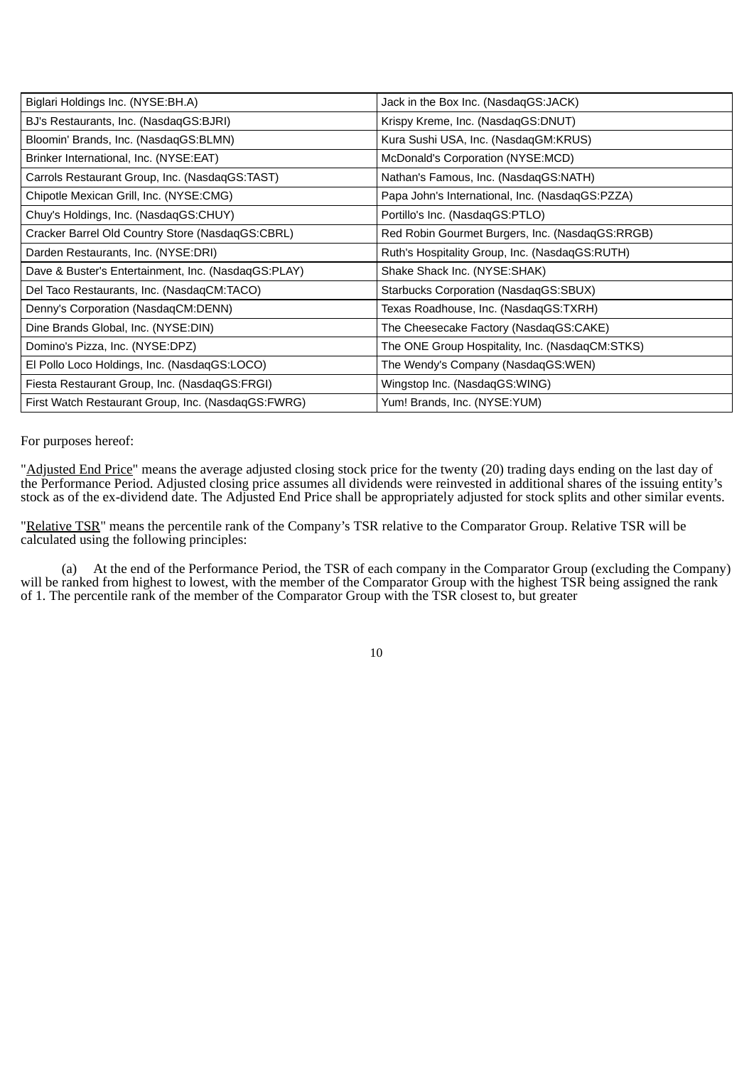| Biglari Holdings Inc. (NYSE:BH.A)                   | Jack in the Box Inc. (NasdaqGS:JACK)            |
|-----------------------------------------------------|-------------------------------------------------|
| BJ's Restaurants, Inc. (NasdaqGS:BJRI)              | Krispy Kreme, Inc. (NasdaqGS:DNUT)              |
| Bloomin' Brands, Inc. (NasdagGS:BLMN)               | Kura Sushi USA, Inc. (NasdagGM:KRUS)            |
| Brinker International, Inc. (NYSE:EAT)              | McDonald's Corporation (NYSE:MCD)               |
| Carrols Restaurant Group, Inc. (NasdaqGS:TAST)      | Nathan's Famous, Inc. (NasdagGS:NATH)           |
| Chipotle Mexican Grill, Inc. (NYSE:CMG)             | Papa John's International, Inc. (NasdagGS:PZZA) |
| Chuy's Holdings, Inc. (NasdagGS:CHUY)               | Portillo's Inc. (NasdagGS:PTLO)                 |
| Cracker Barrel Old Country Store (NasdaqGS:CBRL)    | Red Robin Gourmet Burgers, Inc. (NasdaqGS:RRGB) |
| Darden Restaurants, Inc. (NYSE:DRI)                 | Ruth's Hospitality Group, Inc. (NasdaqGS:RUTH)  |
| Dave & Buster's Entertainment, Inc. (NasdaqGS:PLAY) | Shake Shack Inc. (NYSE:SHAK)                    |
| Del Taco Restaurants, Inc. (NasdaqCM:TACO)          | Starbucks Corporation (NasdaqGS:SBUX)           |
| Denny's Corporation (NasdaqCM:DENN)                 | Texas Roadhouse, Inc. (NasdaqGS:TXRH)           |
| Dine Brands Global, Inc. (NYSE:DIN)                 | The Cheesecake Factory (NasdaqGS:CAKE)          |
| Domino's Pizza, Inc. (NYSE:DPZ)                     | The ONE Group Hospitality, Inc. (NasdagCM:STKS) |
| El Pollo Loco Holdings, Inc. (NasdagGS:LOCO)        | The Wendy's Company (NasdagGS:WEN)              |
| Fiesta Restaurant Group, Inc. (NasdaqGS:FRGI)       | Wingstop Inc. (NasdagGS:WING)                   |
| First Watch Restaurant Group, Inc. (NasdagGS:FWRG)  | Yum! Brands, Inc. (NYSE:YUM)                    |

For purposes hereof:

"Adjusted End Price" means the average adjusted closing stock price for the twenty (20) trading days ending on the last day of the Performance Period. Adjusted closing price assumes all dividends were reinvested in additional shares of the issuing entity's stock as of the ex-dividend date. The Adjusted End Price shall be appropriately adjusted for stock splits and other similar events.

"Relative TSR" means the percentile rank of the Company's TSR relative to the Comparator Group. Relative TSR will be calculated using the following principles:

(a) At the end of the Performance Period, the TSR of each company in the Comparator Group (excluding the Company) will be ranked from highest to lowest, with the member of the Comparator Group with the highest TSR being assigned the rank of 1. The percentile rank of the member of the Comparator Group with the TSR closest to, but greater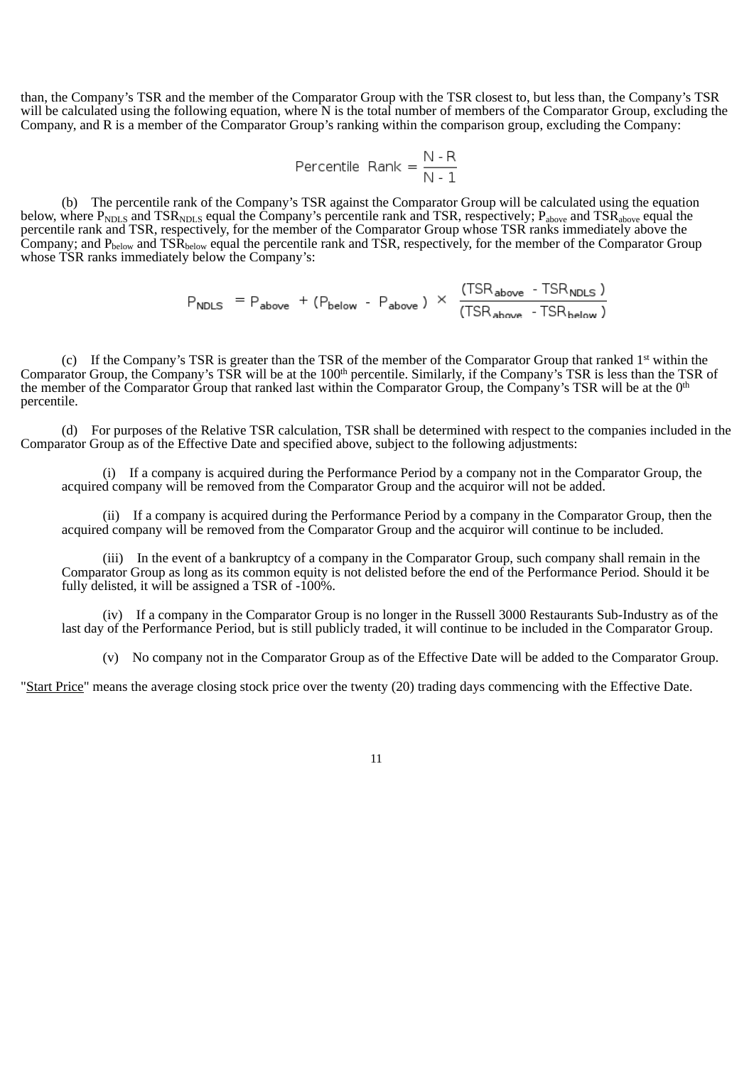than, the Company's TSR and the member of the Comparator Group with the TSR closest to, but less than, the Company's TSR will be calculated using the following equation, where N is the total number of members of the Comparator Group, excluding the Company, and R is a member of the Comparator Group's ranking within the comparison group, excluding the Company:

Percentile Rank = 
$$
\frac{N - R}{N - 1}
$$

(b) The percentile rank of the Company's TSR against the Comparator Group will be calculated using the equation below, where  $P_{\text{NDLS}}$  and  $TSR_{\text{NDLS}}$  equal the Company's percentile rank and TSR, respectively;  $P_{\text{above}}$  and  $TSR_{\text{above}}$  equal the percentile rank and TSR, respectively, for the member of the Comparator Group whose TSR ranks immediately above the Company; and P<sub>below</sub> and TSR<sub>below</sub> equal the percentile rank and TSR, respectively, for the member of the Comparator Group whose TSR ranks immediately below the Company's:

$$
P_{\text{NDLS}} = P_{\text{above}} + (P_{\text{below}} - P_{\text{above}}) \times \frac{(ISR_{\text{above}} - ISR_{\text{NDLS}})}{(TSR_{\text{above}} - TSR_{\text{below}})}
$$

 $\sim$   $\sim$   $\sim$ 

(c) If the Company's TSR is greater than the TSR of the member of the Comparator Group that ranked 1<sup>st</sup> within the Comparator Group, the Company's TSR will be at the  $100<sup>th</sup>$  percentile. Similarly, if the Company's TSR is less than the TSR of the member of the Comparator Group that ranked last within the Comparator Group, the Company's TSR will be at the  $0<sup>th</sup>$ percentile.

(d) For purposes of the Relative TSR calculation, TSR shall be determined with respect to the companies included in the Comparator Group as of the Effective Date and specified above, subject to the following adjustments:

(i) If a company is acquired during the Performance Period by a company not in the Comparator Group, the acquired company will be removed from the Comparator Group and the acquiror will not be added.

(ii) If a company is acquired during the Performance Period by a company in the Comparator Group, then the acquired company will be removed from the Comparator Group and the acquiror will continue to be included.

(iii) In the event of a bankruptcy of a company in the Comparator Group, such company shall remain in the Comparator Group as long as its common equity is not delisted before the end of the Performance Period. Should it be fully delisted, it will be assigned a TSR of -100%.

(iv) If a company in the Comparator Group is no longer in the Russell 3000 Restaurants Sub-Industry as of the last day of the Performance Period, but is still publicly traded, it will continue to be included in the Comparator Group.

(v) No company not in the Comparator Group as of the Effective Date will be added to the Comparator Group.

"Start Price" means the average closing stock price over the twenty (20) trading days commencing with the Effective Date.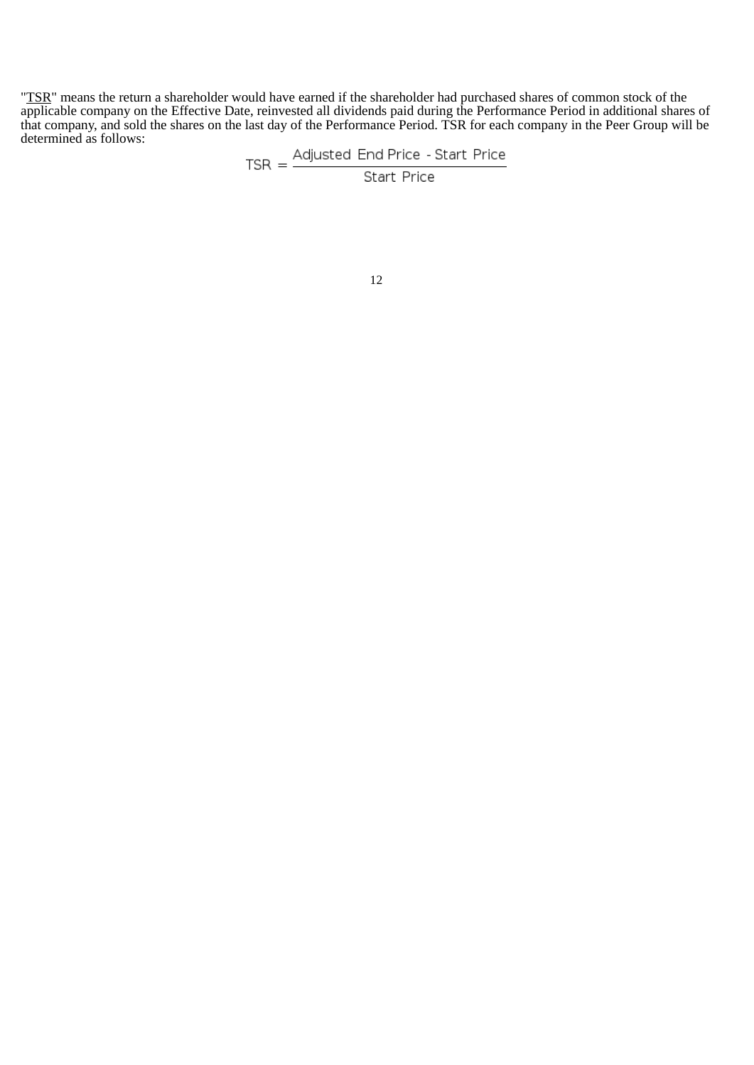"TSR" means the return a shareholder would have earned if the shareholder had purchased shares of common stock of the applicable company on the Effective Date, reinvested all dividends paid during the Performance Period in additional shares of that company, and sold the shares on the last day of the Performance Period. TSR for each company in the Peer Group will be determined as follows:

 $TSR = \frac{ \text{Adjusted End Price - Start Price}}{\text{Start Price}}$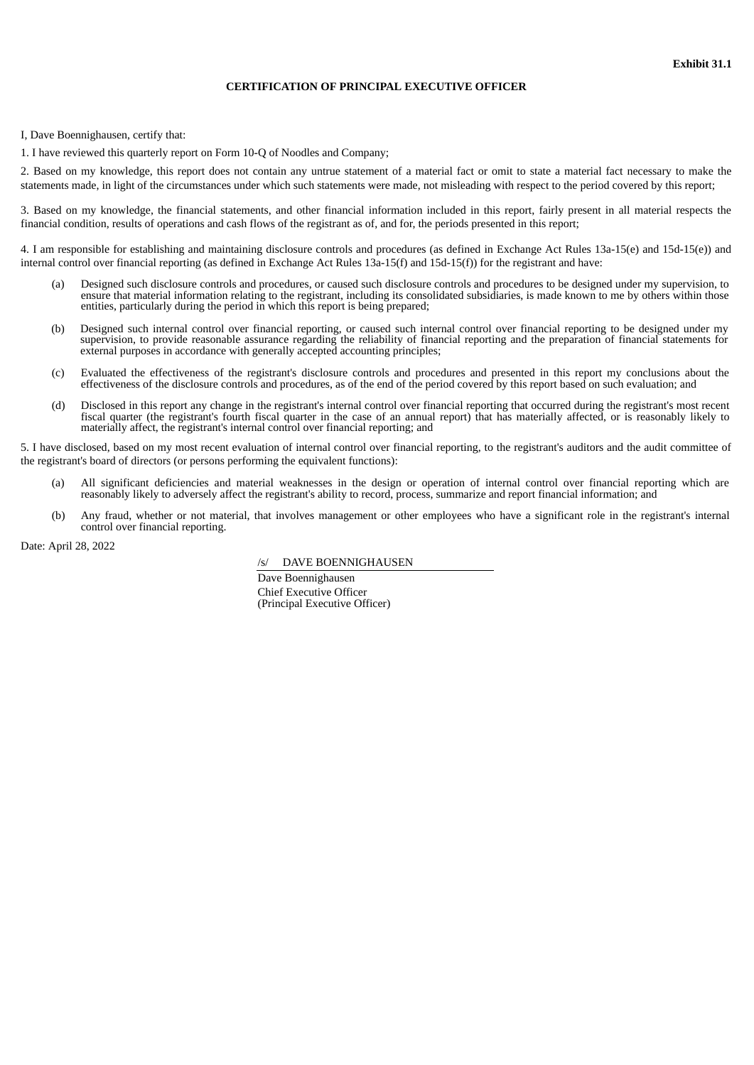### **CERTIFICATION OF PRINCIPAL EXECUTIVE OFFICER**

<span id="page-40-0"></span>I, Dave Boennighausen, certify that:

1. I have reviewed this quarterly report on Form 10-Q of Noodles and Company;

2. Based on my knowledge, this report does not contain any untrue statement of a material fact or omit to state a material fact necessary to make the statements made, in light of the circumstances under which such statements were made, not misleading with respect to the period covered by this report;

3. Based on my knowledge, the financial statements, and other financial information included in this report, fairly present in all material respects the financial condition, results of operations and cash flows of the registrant as of, and for, the periods presented in this report;

4. I am responsible for establishing and maintaining disclosure controls and procedures (as defined in Exchange Act Rules 13a-15(e) and 15d-15(e)) and internal control over financial reporting (as defined in Exchange Act Rules 13a-15(f) and 15d-15(f)) for the registrant and have:

- (a) Designed such disclosure controls and procedures, or caused such disclosure controls and procedures to be designed under my supervision, to ensure that material information relating to the registrant, including its consolidated subsidiaries, is made known to me by others within those entities, particularly during the period in which this report is being prepared;
- (b) Designed such internal control over financial reporting, or caused such internal control over financial reporting to be designed under my supervision, to provide reasonable assurance regarding the reliability of financial reporting and the preparation of financial statements for external purposes in accordance with generally accepted accounting principles;
- (c) Evaluated the effectiveness of the registrant's disclosure controls and procedures and presented in this report my conclusions about the effectiveness of the disclosure controls and procedures, as of the end of the period covered by this report based on such evaluation; and
- (d) Disclosed in this report any change in the registrant's internal control over financial reporting that occurred during the registrant's most recent fiscal quarter (the registrant's fourth fiscal quarter in the case of an annual report) that has materially affected, or is reasonably likely to materially affect, the registrant's internal control over financial reporting; and

5. I have disclosed, based on my most recent evaluation of internal control over financial reporting, to the registrant's auditors and the audit committee of the registrant's board of directors (or persons performing the equivalent functions):

- (a) All significant deficiencies and material weaknesses in the design or operation of internal control over financial reporting which are reasonably likely to adversely affect the registrant's ability to record, process, summarize and report financial information; and
- (b) Any fraud, whether or not material, that involves management or other employees who have a significant role in the registrant's internal control over financial reporting.

Date: April 28, 2022

/s/ DAVE BOENNIGHAUSEN

Dave Boennighausen Chief Executive Officer (Principal Executive Officer)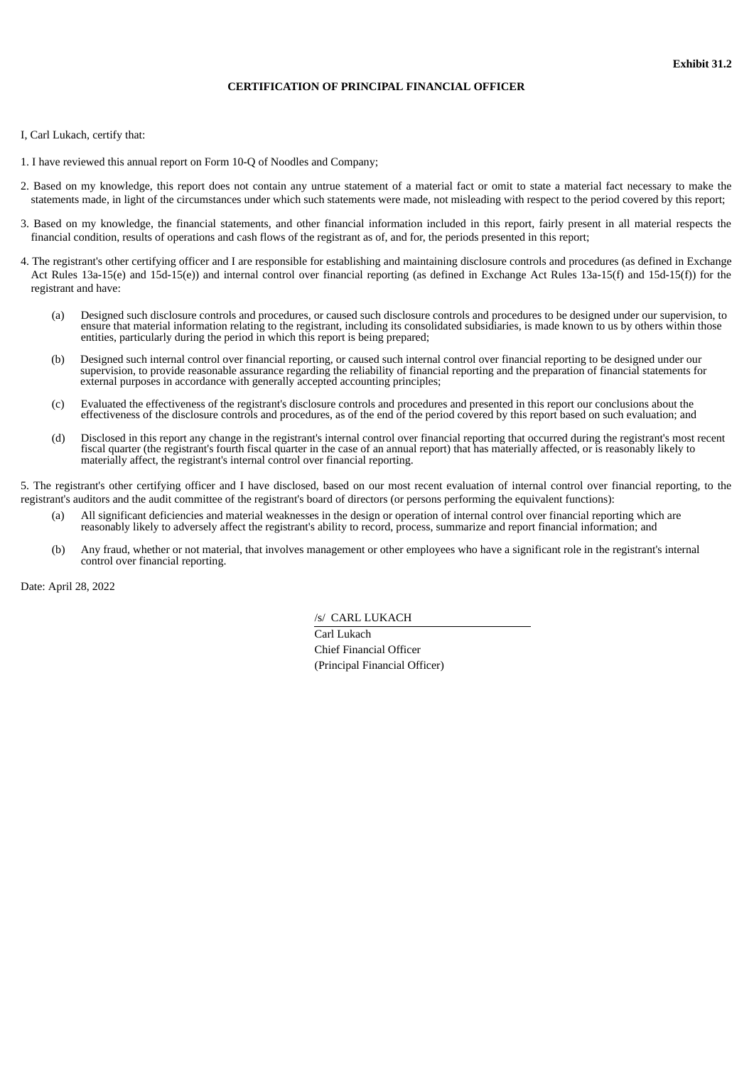## **CERTIFICATION OF PRINCIPAL FINANCIAL OFFICER**

<span id="page-41-0"></span>I, Carl Lukach, certify that:

- 1. I have reviewed this annual report on Form 10-Q of Noodles and Company;
- 2. Based on my knowledge, this report does not contain any untrue statement of a material fact or omit to state a material fact necessary to make the statements made, in light of the circumstances under which such statements were made, not misleading with respect to the period covered by this report;
- 3. Based on my knowledge, the financial statements, and other financial information included in this report, fairly present in all material respects the financial condition, results of operations and cash flows of the registrant as of, and for, the periods presented in this report;
- 4. The registrant's other certifying officer and I are responsible for establishing and maintaining disclosure controls and procedures (as defined in Exchange Act Rules 13a-15(e) and 15d-15(e)) and internal control over financial reporting (as defined in Exchange Act Rules 13a-15(f) and 15d-15(f)) for the registrant and have:
	- (a) Designed such disclosure controls and procedures, or caused such disclosure controls and procedures to be designed under our supervision, to ensure that material information relating to the registrant, including its consolidated subsidiaries, is made known to us by others within those entities, particularly during the period in which this report is being prepared;
	- (b) Designed such internal control over financial reporting, or caused such internal control over financial reporting to be designed under our supervision, to provide reasonable assurance regarding the reliability of financial reporting and the preparation of financial statements for external purposes in accordance with generally accepted accounting principles;
	- (c) Evaluated the effectiveness of the registrant's disclosure controls and procedures and presented in this report our conclusions about the effectiveness of the disclosure controls and procedures, as of the end of the period covered by this report based on such evaluation; and
	- (d) Disclosed in this report any change in the registrant's internal control over financial reporting that occurred during the registrant's most recent fiscal quarter (the registrant's fourth fiscal quarter in the case of an annual report) that has materially affected, or is reasonably likely to materially affect, the registrant's internal control over financial reporting.

5. The registrant's other certifying officer and I have disclosed, based on our most recent evaluation of internal control over financial reporting, to the registrant's auditors and the audit committee of the registrant's board of directors (or persons performing the equivalent functions):

- (a) All significant deficiencies and material weaknesses in the design or operation of internal control over financial reporting which are reasonably likely to adversely affect the registrant's ability to record, process, summarize and report financial information; and
- (b) Any fraud, whether or not material, that involves management or other employees who have a significant role in the registrant's internal control over financial reporting.

Date: April 28, 2022

/s/ CARL LUKACH

Carl Lukach Chief Financial Officer (Principal Financial Officer)